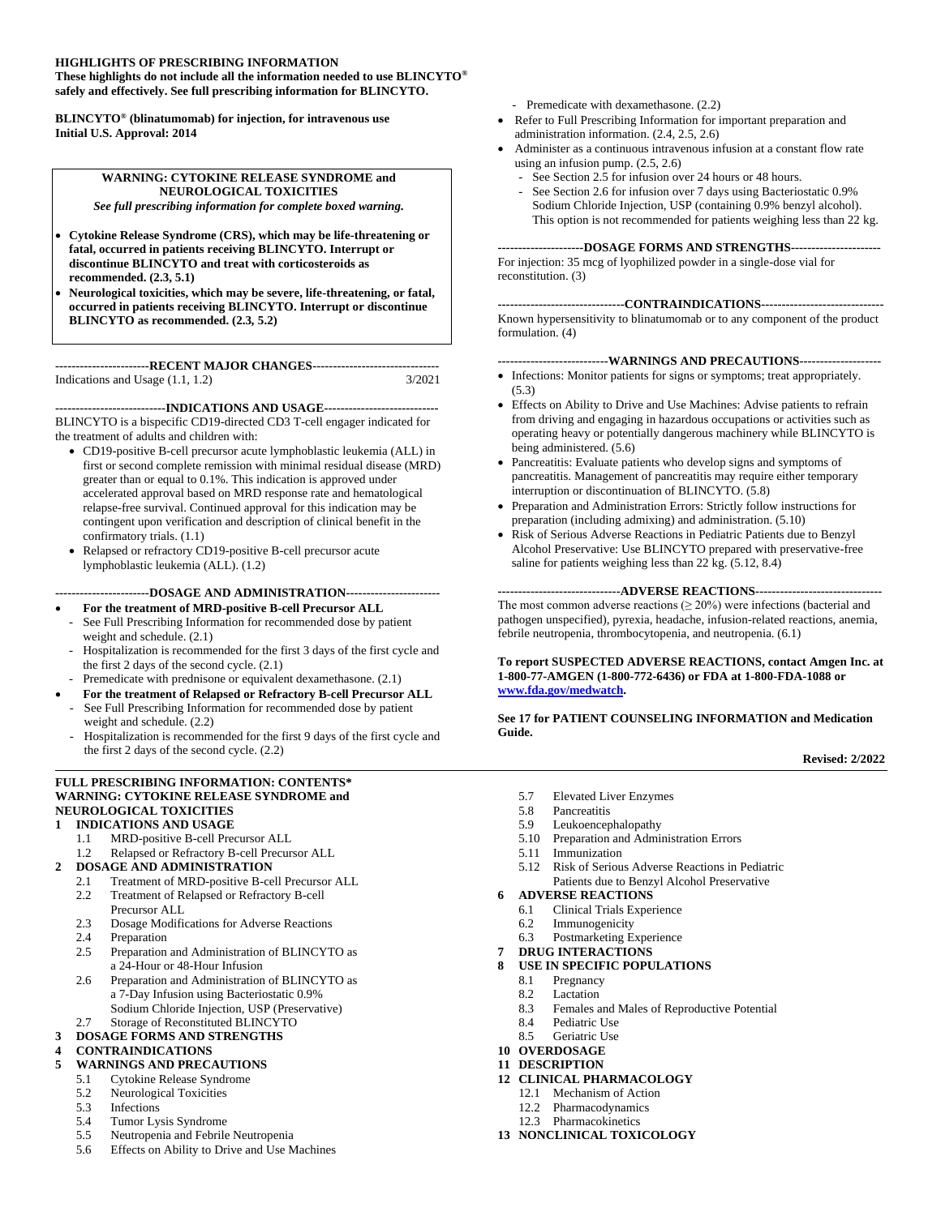#### **HIGHLIGHTS OF PRESCRIBING INFORMATION**

**These highlights do not include all the information needed to use BLINCYTO® safely and effectively. See full prescribing information for BLINCYTO.** 

**BLINCYTO® (blinatumomab) for injection, for intravenous use Initial U.S. Approval: 2014**

#### **WARNING: CYTOKINE RELEASE SYNDROME and NEUROLOGICAL TOXICITIES**

*See full prescribing information for complete boxed warning.*

- **Cytokine Release Syndrome (CRS), which may be life-threatening or fatal, occurred in patients receiving BLINCYTO. Interrupt or discontinue BLINCYTO and treat with corticosteroids as recommended. (2.3, 5.1)**
- **Neurological toxicities, which may be severe, life-threatening, or fatal, occurred in patients receiving BLINCYTO. Interrupt or discontinue BLINCYTO as recommended. (2.3***,* **5.2)**

#### **-----------------------RECENT MAJOR CHANGES-------------------------------** Indications and Usage  $(1.1, 1.2)$

**---------------------------INDICATIONS AND USAGE----------------------------**

BLINCYTO is a bispecific CD19-directed CD3 T-cell engager indicated for the treatment of adults and children with:

- CD19-positive B-cell precursor acute lymphoblastic leukemia (ALL) in first or second complete remission with minimal residual disease (MRD) greater than or equal to 0.1%. This indication is approved under accelerated approval based on MRD response rate and hematological relapse-free survival. Continued approval for this indication may be contingent upon verification and description of clinical benefit in the confirmatory trials. (1.1)
- Relapsed or refractory CD19-positive B-cell precursor acute lymphoblastic leukemia (ALL). (1.2)

#### **-----------------------DOSAGE AND ADMINISTRATION-----------------------**

- **For the treatment of MRD-positive B-cell Precursor ALL** See Full Prescribing Information for recommended dose by patient
- weight and schedule. (2.1) Hospitalization is recommended for the first 3 days of the first cycle and
- the first 2 days of the second cycle. (2.1)
- Premedicate with prednisone or equivalent dexamethasone. (2.1)
- **For the treatment of Relapsed or Refractory B-cell Precursor ALL** See Full Prescribing Information for recommended dose by patient
- weight and schedule. (2.2) Hospitalization is recommended for the first 9 days of the first cycle and the first 2 days of the second cycle. (2.2)

#### **FULL PRESCRIBING INFORMATION: CONTENTS\* WARNING: CYTOKINE RELEASE SYNDROME and NEUROLOGICAL TOXICITIES**

#### **1 INDICATIONS AND USAGE**

- 1.1 MRD-positive B-cell Precursor ALL
- 1.2 Relapsed or Refractory B-cell Precursor ALL
- **2 DOSAGE AND ADMINISTRATION**
	- 2.1 Treatment of MRD-positive B-cell Precursor ALL<br>2.2 Treatment of Relapsed or Refractory B-cell
	- Treatment of Relapsed or Refractory B-cell Precursor ALL
	- 2.3 Dosage Modifications for Adverse Reactions
	- 2.4 Preparation<br>2.5 Preparation
	- Preparation and Administration of BLINCYTO as a 24-Hour or 48-Hour Infusion
	- 2.6 Preparation and Administration of BLINCYTO as a 7-Day Infusion using Bacteriostatic 0.9% Sodium Chloride Injection, USP (Preservative)
	- 2.7 Storage of Reconstituted BLINCYTO
- **3 DOSAGE FORMS AND STRENGTHS**

#### **4 CONTRAINDICATIONS**

- **5 WARNINGS AND PRECAUTIONS**
	- 5.1 Cytokine Release Syndrome
		- 5.2 Neurological Toxicities<br>5.3 Infections
		- **Infections**
		- 5.4 Tumor Lysis Syndrome
		- 5.5 Neutropenia and Febrile Neutropenia
		- 5.6 Effects on Ability to Drive and Use Machines
- Premedicate with dexamethasone. (2.2)
- Refer to Full Prescribing Information for important preparation and administration information. (2.4, 2.5, 2.6)
- Administer as a continuous intravenous infusion at a constant flow rate using an infusion pump. (2.5, 2.6)
	- See Section 2.5 for infusion over 24 hours or 48 hours.
	- See Section 2.6 for infusion over 7 days using Bacteriostatic 0.9% Sodium Chloride Injection, USP (containing 0.9% benzyl alcohol). This option is not recommended for patients weighing less than 22 kg.

**---------------------DOSAGE FORMS AND STRENGTHS----------------------**

For injection: 35 mcg of lyophilized powder in a single-dose vial for reconstitution. (3)

#### **-------------------------------CONTRAINDICATIONS------------------------------**

Known hypersensitivity to blinatumomab or to any component of the product formulation. (4)

#### **---------------------------WARNINGS AND PRECAUTIONS--------------------**

- Infections: Monitor patients for signs or symptoms; treat appropriately. (5.3)
- Effects on Ability to Drive and Use Machines: Advise patients to refrain from driving and engaging in hazardous occupations or activities such as operating heavy or potentially dangerous machinery while BLINCYTO is being administered. (5.6)
- Pancreatitis: Evaluate patients who develop signs and symptoms of pancreatitis. Management of pancreatitis may require either temporary interruption or discontinuation of BLINCYTO. (5.8)
- Preparation and Administration Errors: Strictly follow instructions for preparation (including admixing) and administration. (5.10)
- Risk of Serious Adverse Reactions in Pediatric Patients due to Benzyl Alcohol Preservative: Use BLINCYTO prepared with preservative-free saline for patients weighing less than  $22 \text{ kg}$ . (5.12, 8.4)

#### **------------------------------ADVERSE REACTIONS-------------------------------**

The most common adverse reactions  $(\geq 20\%)$  were infections (bacterial and pathogen unspecified), pyrexia, headache, infusion-related reactions, anemia, febrile neutropenia, thrombocytopenia, and neutropenia. (6.1)

**To report SUSPECTED ADVERSE REACTIONS, contact Amgen Inc. at 1-800-77-AMGEN (1-800-772-6436) or FDA at 1-800-FDA-1088 or [www.fda.gov/medwatch.](http://www.fda.gov/medwatch)**

**See 17 for PATIENT COUNSELING INFORMATION and Medication Guide.**

#### **Revised: 2/2022**

- 5.7 Elevated Liver Enzymes
- 5.8 Pancreatitis
- 5.9 Leukoencephalopathy
- 5.10 Preparation and Administration Errors
- 5.11 Immunization
- 5.12 Risk of Serious Adverse Reactions in Pediatric Patients due to Benzyl Alcohol Preservative

#### **6 ADVERSE REACTIONS**

- 6.1 Clinical Trials Experience
- 6.2 Immunogenicity
- 6.3 Postmarketing Experience
- **7 DRUG INTERACTIONS**

#### **8 USE IN SPECIFIC POPULATIONS**

- 8.1 Pregnancy
- 8.2 Lactation
- 8.3 Females and Males of Reproductive Potential
- 8.4 Pediatric Use
- 8.5 Geriatric Use
- **10 OVERDOSAGE**
- **11 DESCRIPTION**
- **12 CLINICAL PHARMACOLOGY**
	- 12.1 Mechanism of Action
	- 12.2 Pharmacodynamics
	- 12.3 Pharmacokinetics
- **13 NONCLINICAL TOXICOLOGY**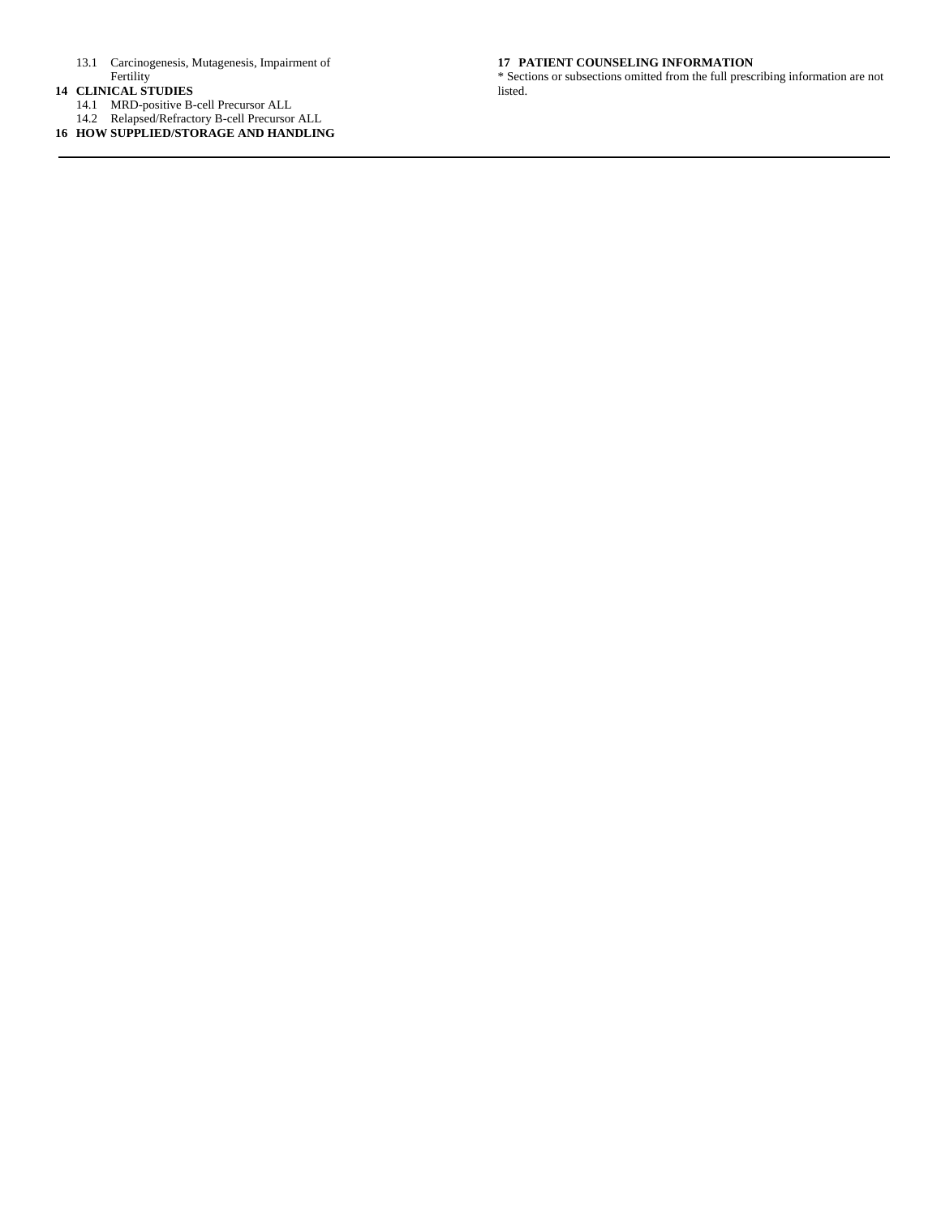- 13.1 Carcinogenesis, Mutagenesis, Impairment of **Fertility**
- **14 CLINICAL STUDIES**
	- 14.1 MRD-positive B-cell Precursor ALL
	- 14.2 Relapsed/Refractory B-cell Precursor ALL

**16 HOW SUPPLIED/STORAGE AND HANDLING**

#### **17 PATIENT COUNSELING INFORMATION**

\* Sections or subsections omitted from the full prescribing information are not listed.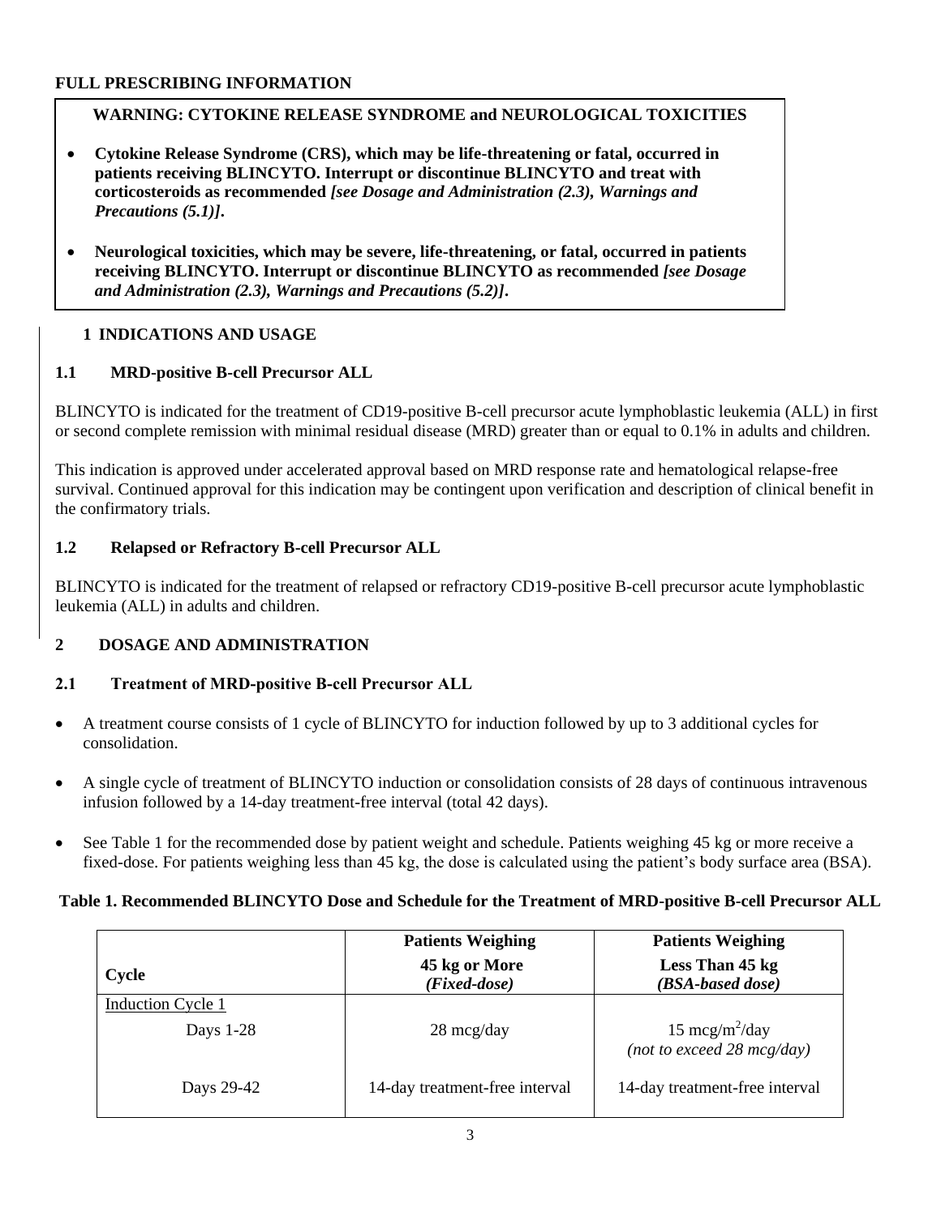# **FULL PRESCRIBING INFORMATION**

# **WARNING: CYTOKINE RELEASE SYNDROME and NEUROLOGICAL TOXICITIES**

- **Cytokine Release Syndrome (CRS), which may be life-threatening or fatal, occurred in patients receiving BLINCYTO. Interrupt or discontinue BLINCYTO and treat with corticosteroids as recommended** *[see Dosage and Administration (2.3), Warnings and Precautions (5.1)]***.**
- **Neurological toxicities, which may be severe, life-threatening, or fatal, occurred in patients receiving BLINCYTO. Interrupt or discontinue BLINCYTO as recommended** *[see Dosage and Administration (2.3), Warnings and Precautions (5.2)]***.**

# **1 INDICATIONS AND USAGE**

# **1.1 MRD-positive B-cell Precursor ALL**

BLINCYTO is indicated for the treatment of CD19-positive B-cell precursor acute lymphoblastic leukemia (ALL) in first or second complete remission with minimal residual disease (MRD) greater than or equal to 0.1% in adults and children.

This indication is approved under accelerated approval based on MRD response rate and hematological relapse-free survival. Continued approval for this indication may be contingent upon verification and description of clinical benefit in the confirmatory trials.

# **1.2 Relapsed or Refractory B-cell Precursor ALL**

BLINCYTO is indicated for the treatment of relapsed or refractory CD19-positive B-cell precursor acute lymphoblastic leukemia (ALL) in adults and children.

# **2 DOSAGE AND ADMINISTRATION**

# **2.1 Treatment of MRD-positive B-cell Precursor ALL**

- A treatment course consists of 1 cycle of BLINCYTO for induction followed by up to 3 additional cycles for consolidation.
- A single cycle of treatment of BLINCYTO induction or consolidation consists of 28 days of continuous intravenous infusion followed by a 14-day treatment-free interval (total 42 days).
- See Table 1 for the recommended dose by patient weight and schedule. Patients weighing 45 kg or more receive a fixed-dose. For patients weighing less than 45 kg, the dose is calculated using the patient's body surface area (BSA).

# **Table 1. Recommended BLINCYTO Dose and Schedule for the Treatment of MRD-positive B-cell Precursor ALL**

|                          | <b>Patients Weighing</b><br><b>Patients Weighing</b> |                                                             |
|--------------------------|------------------------------------------------------|-------------------------------------------------------------|
| Cycle                    | 45 kg or More<br>(Fixed-dose)                        | Less Than 45 kg<br>(BSA-based dose)                         |
| <b>Induction Cycle 1</b> |                                                      |                                                             |
| Days 1-28                | $28 \text{~mag/day}$                                 | 15 mcg/m <sup>2</sup> /day<br>(not to exceed 28 $mcg/day$ ) |
| Days 29-42               | 14-day treatment-free interval                       | 14-day treatment-free interval                              |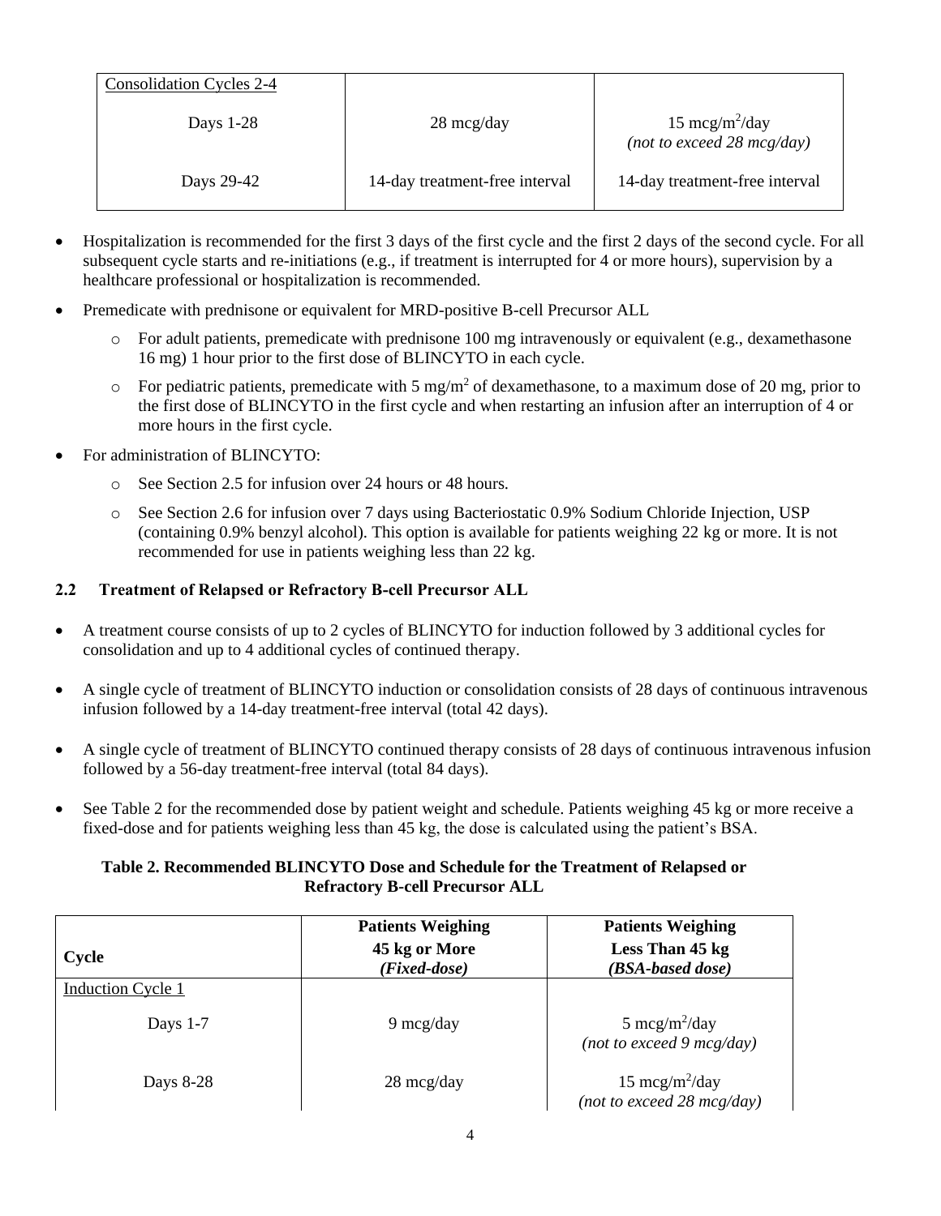| Consolidation Cycles 2-4 |                                |                                                                     |
|--------------------------|--------------------------------|---------------------------------------------------------------------|
| Days $1-28$              | $28 \text{~mag/day}$           | 15 mcg/m <sup>2</sup> /day<br>(not to exceed $28 \text{ mcg/day}$ ) |
| Days 29-42               | 14-day treatment-free interval | 14-day treatment-free interval                                      |

- Hospitalization is recommended for the first 3 days of the first cycle and the first 2 days of the second cycle. For all subsequent cycle starts and re-initiations (e.g., if treatment is interrupted for 4 or more hours), supervision by a healthcare professional or hospitalization is recommended.
- Premedicate with prednisone or equivalent for MRD-positive B-cell Precursor ALL
	- o For adult patients, premedicate with prednisone 100 mg intravenously or equivalent (e.g., dexamethasone 16 mg) 1 hour prior to the first dose of BLINCYTO in each cycle.
	- $\circ$  For pediatric patients, premedicate with 5 mg/m<sup>2</sup> of dexamethasone, to a maximum dose of 20 mg, prior to the first dose of BLINCYTO in the first cycle and when restarting an infusion after an interruption of 4 or more hours in the first cycle.
- For administration of BLINCYTO:
	- o See Section 2.5 for infusion over 24 hours or 48 hours.
	- o See Section 2.6 for infusion over 7 days using Bacteriostatic 0.9% Sodium Chloride Injection, USP (containing 0.9% benzyl alcohol). This option is available for patients weighing 22 kg or more. It is not recommended for use in patients weighing less than 22 kg.

## **2.2 Treatment of Relapsed or Refractory B-cell Precursor ALL**

- A treatment course consists of up to 2 cycles of BLINCYTO for induction followed by 3 additional cycles for consolidation and up to 4 additional cycles of continued therapy.
- A single cycle of treatment of BLINCYTO induction or consolidation consists of 28 days of continuous intravenous infusion followed by a 14-day treatment-free interval (total 42 days).
- A single cycle of treatment of BLINCYTO continued therapy consists of 28 days of continuous intravenous infusion followed by a 56-day treatment-free interval (total 84 days).
- See Table 2 for the recommended dose by patient weight and schedule. Patients weighing 45 kg or more receive a fixed-dose and for patients weighing less than 45 kg, the dose is calculated using the patient's BSA.

## **Table 2. Recommended BLINCYTO Dose and Schedule for the Treatment of Relapsed or Refractory B-cell Precursor ALL**

|                          | <b>Patients Weighing</b>        | <b>Patients Weighing</b>                                          |
|--------------------------|---------------------------------|-------------------------------------------------------------------|
| Cycle                    | 45 kg or More<br>$(Fixed-dose)$ | Less Than 45 kg<br>(BSA-based dose)                               |
| <b>Induction Cycle 1</b> |                                 |                                                                   |
| Days $1-7$               | $9 \text{~mag/day}$             | 5 mcg/m <sup>2</sup> /day<br>(not to exceed $9 \text{ mcg/day}$ ) |
| Days 8-28                | 28 mcg/day                      | 15 mcg/m <sup>2</sup> /day<br>(not to exceed 28 $mcg/day$ )       |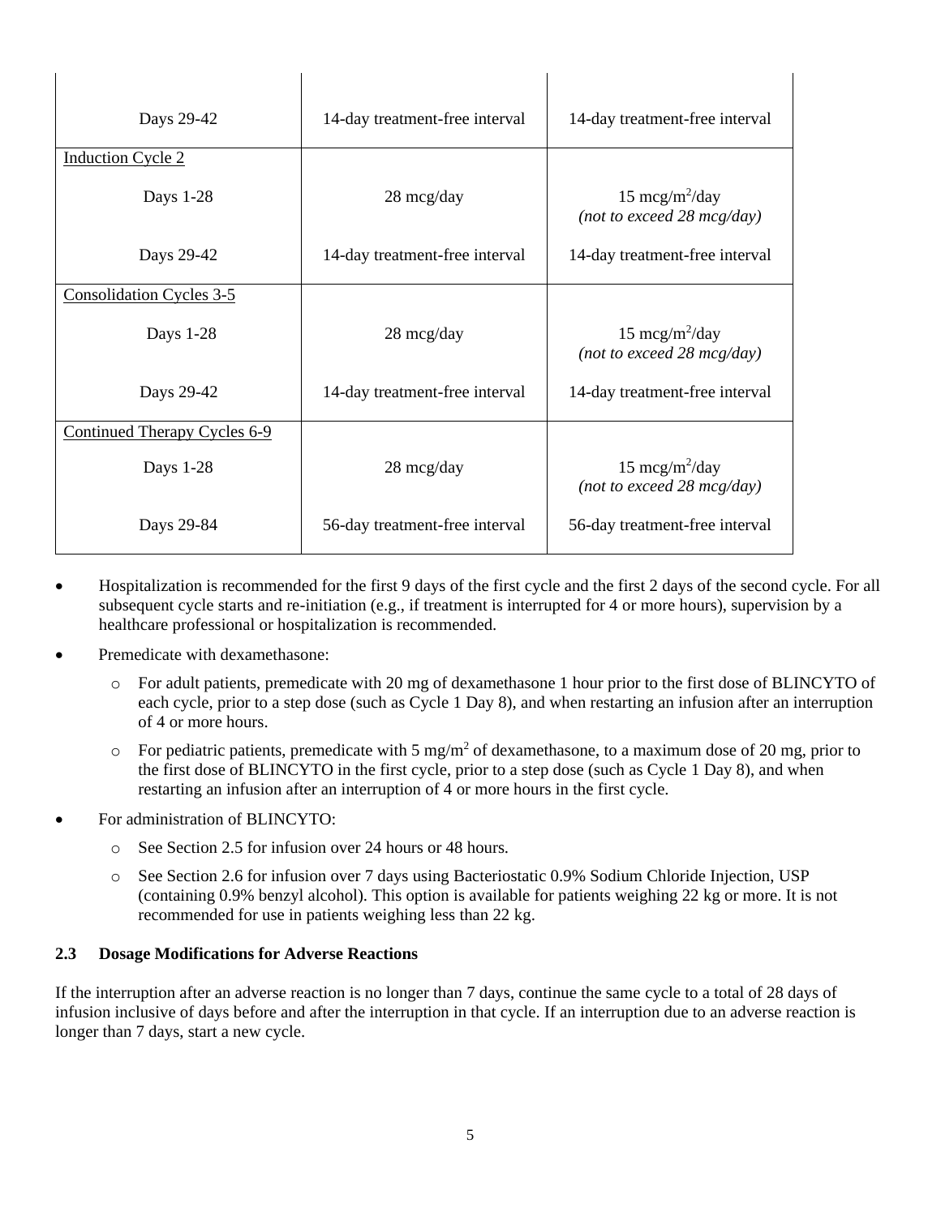| Days 29-42                      | 14-day treatment-free interval | 14-day treatment-free interval                                      |
|---------------------------------|--------------------------------|---------------------------------------------------------------------|
| <b>Induction Cycle 2</b>        |                                |                                                                     |
| Days 1-28                       | 28 mcg/day                     | 15 mcg/m <sup>2</sup> /day<br>(not to exceed $28 \text{ mcg/day}$ ) |
| Days 29-42                      | 14-day treatment-free interval | 14-day treatment-free interval                                      |
| <b>Consolidation Cycles 3-5</b> |                                |                                                                     |
| Days 1-28                       | 28 mcg/day                     | 15 mcg/m <sup>2</sup> /day<br>(not to exceed $28 \text{ mcg/day}$ ) |
| Days 29-42                      | 14-day treatment-free interval | 14-day treatment-free interval                                      |
| Continued Therapy Cycles 6-9    |                                |                                                                     |
| Days 1-28                       | 28 mcg/day                     | 15 mcg/m <sup>2</sup> /day<br>(not to exceed 28 mcg/day)            |
| Days 29-84                      | 56-day treatment-free interval | 56-day treatment-free interval                                      |

 $\mathbf{I}$ 

 $\overline{\phantom{a}}$ 

- Hospitalization is recommended for the first 9 days of the first cycle and the first 2 days of the second cycle. For all subsequent cycle starts and re-initiation (e.g., if treatment is interrupted for 4 or more hours), supervision by a healthcare professional or hospitalization is recommended.
- Premedicate with dexamethasone:

 $\overline{\phantom{a}}$ 

- o For adult patients, premedicate with 20 mg of dexamethasone 1 hour prior to the first dose of BLINCYTO of each cycle, prior to a step dose (such as Cycle 1 Day 8), and when restarting an infusion after an interruption of 4 or more hours.
- $\circ$  For pediatric patients, premedicate with 5 mg/m<sup>2</sup> of dexamethasone, to a maximum dose of 20 mg, prior to the first dose of BLINCYTO in the first cycle, prior to a step dose (such as Cycle 1 Day 8), and when restarting an infusion after an interruption of 4 or more hours in the first cycle.
- For administration of BLINCYTO:
	- o See Section 2.5 for infusion over 24 hours or 48 hours.

 $\overline{\phantom{a}}$ 

o See Section 2.6 for infusion over 7 days using Bacteriostatic 0.9% Sodium Chloride Injection, USP (containing 0.9% benzyl alcohol). This option is available for patients weighing 22 kg or more. It is not recommended for use in patients weighing less than 22 kg.

#### **2.3 Dosage Modifications for Adverse Reactions**

If the interruption after an adverse reaction is no longer than 7 days, continue the same cycle to a total of 28 days of infusion inclusive of days before and after the interruption in that cycle. If an interruption due to an adverse reaction is longer than 7 days, start a new cycle.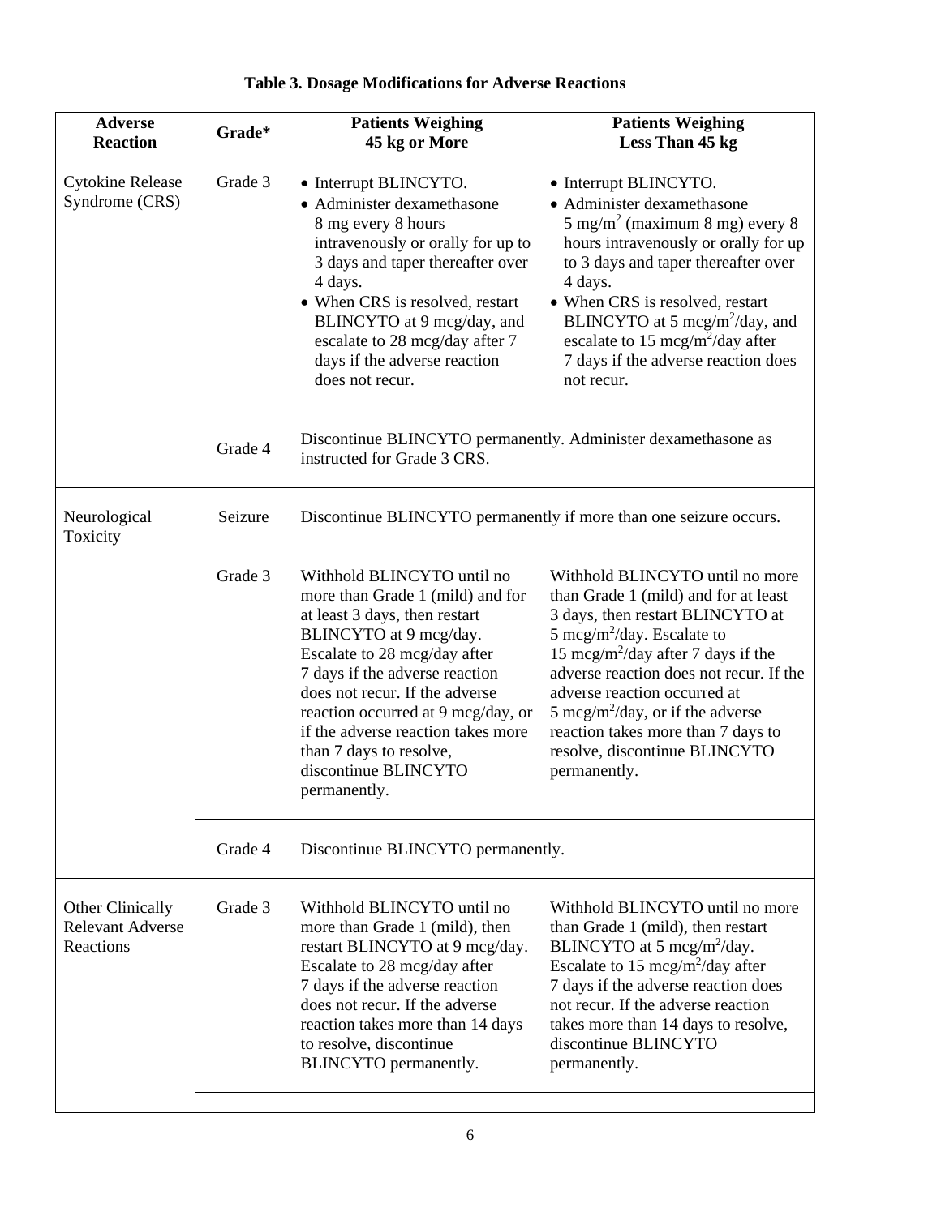| <b>Adverse</b><br><b>Reaction</b>                        | Grade*  | <b>Patients Weighing</b><br>45 kg or More                                                                                                                                                                                                                                                                                                                                    | <b>Patients Weighing</b><br>Less Than 45 kg                                                                                                                                                                                                                                                                                                                                                                               |  |
|----------------------------------------------------------|---------|------------------------------------------------------------------------------------------------------------------------------------------------------------------------------------------------------------------------------------------------------------------------------------------------------------------------------------------------------------------------------|---------------------------------------------------------------------------------------------------------------------------------------------------------------------------------------------------------------------------------------------------------------------------------------------------------------------------------------------------------------------------------------------------------------------------|--|
| <b>Cytokine Release</b><br>Syndrome (CRS)                | Grade 3 | • Interrupt BLINCYTO.<br>• Administer dexamethasone<br>8 mg every 8 hours<br>intravenously or orally for up to<br>3 days and taper thereafter over<br>4 days.<br>• When CRS is resolved, restart<br>BLINCYTO at 9 mcg/day, and<br>escalate to 28 mcg/day after 7<br>days if the adverse reaction<br>does not recur.                                                          | • Interrupt BLINCYTO.<br>• Administer dexamethasone<br>$5 \text{ mg/m}^2$ (maximum 8 mg) every 8<br>hours intravenously or orally for up<br>to 3 days and taper thereafter over<br>4 days.<br>• When CRS is resolved, restart<br>BLINCYTO at 5 mcg/m <sup>2</sup> /day, and<br>escalate to 15 mcg/m <sup>2</sup> /day after<br>7 days if the adverse reaction does<br>not recur.                                          |  |
|                                                          | Grade 4 | Discontinue BLINCYTO permanently. Administer dexamethasone as<br>instructed for Grade 3 CRS.                                                                                                                                                                                                                                                                                 |                                                                                                                                                                                                                                                                                                                                                                                                                           |  |
| Neurological<br>Toxicity                                 | Seizure | Discontinue BLINCYTO permanently if more than one seizure occurs.                                                                                                                                                                                                                                                                                                            |                                                                                                                                                                                                                                                                                                                                                                                                                           |  |
|                                                          | Grade 3 | Withhold BLINCYTO until no<br>more than Grade 1 (mild) and for<br>at least 3 days, then restart<br>BLINCYTO at 9 mcg/day.<br>Escalate to 28 mcg/day after<br>7 days if the adverse reaction<br>does not recur. If the adverse<br>reaction occurred at 9 mcg/day, or<br>if the adverse reaction takes more<br>than 7 days to resolve,<br>discontinue BLINCYTO<br>permanently. | Withhold BLINCYTO until no more<br>than Grade 1 (mild) and for at least<br>3 days, then restart BLINCYTO at<br>5 mcg/m <sup>2</sup> /day. Escalate to<br>15 mcg/m <sup>2</sup> /day after 7 days if the<br>adverse reaction does not recur. If the<br>adverse reaction occurred at<br>5 mcg/m <sup>2</sup> /day, or if the adverse<br>reaction takes more than 7 days to<br>resolve, discontinue BLINCYTO<br>permanently. |  |
|                                                          | Grade 4 | Discontinue BLINCYTO permanently.                                                                                                                                                                                                                                                                                                                                            |                                                                                                                                                                                                                                                                                                                                                                                                                           |  |
| Other Clinically<br><b>Relevant Adverse</b><br>Reactions | Grade 3 | Withhold BLINCYTO until no<br>more than Grade 1 (mild), then<br>restart BLINCYTO at 9 mcg/day.<br>Escalate to 28 mcg/day after<br>7 days if the adverse reaction<br>does not recur. If the adverse<br>reaction takes more than 14 days<br>to resolve, discontinue<br>BLINCYTO permanently.                                                                                   | Withhold BLINCYTO until no more<br>than Grade 1 (mild), then restart<br>BLINCYTO at 5 mcg/m <sup>2</sup> /day.<br>Escalate to 15 mcg/m <sup>2</sup> /day after<br>7 days if the adverse reaction does<br>not recur. If the adverse reaction<br>takes more than 14 days to resolve,<br>discontinue BLINCYTO<br>permanently.                                                                                                |  |

# **Table 3. Dosage Modifications for Adverse Reactions**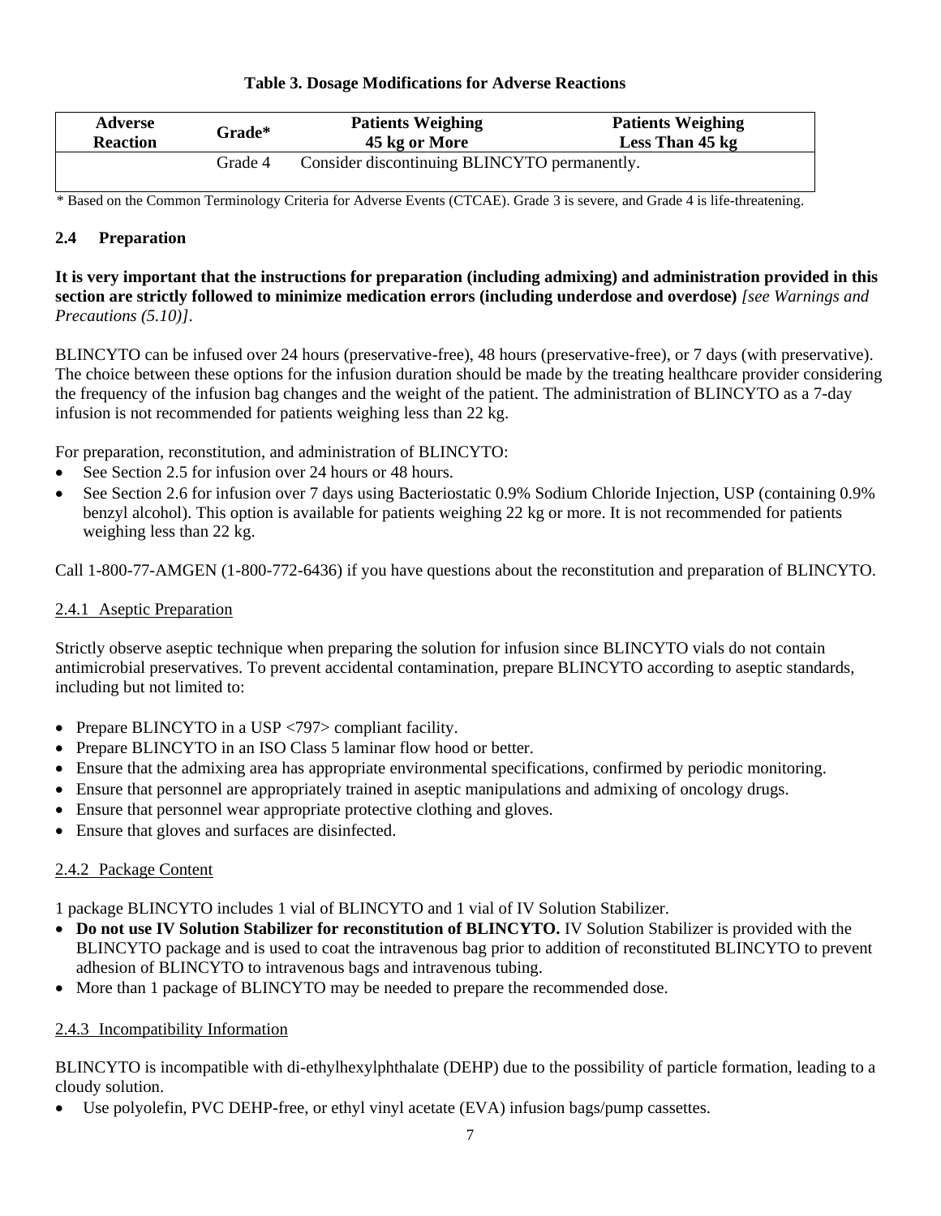#### **Table 3. Dosage Modifications for Adverse Reactions**

| <b>Adverse</b>  | Grade*  | <b>Patients Weighing</b>                     | <b>Patients Weighing</b> |
|-----------------|---------|----------------------------------------------|--------------------------|
| <b>Reaction</b> |         | 45 kg or More                                | Less Than 45 kg          |
|                 | Grade 4 | Consider discontinuing BLINCYTO permanently. |                          |

\* Based on the Common Terminology Criteria for Adverse Events (CTCAE). Grade 3 is severe, and Grade 4 is life-threatening.

# **2.4 Preparation**

**It is very important that the instructions for preparation (including admixing) and administration provided in this section are strictly followed to minimize medication errors (including underdose and overdose)** *[see Warnings and Precautions (5.10)]*.

BLINCYTO can be infused over 24 hours (preservative-free), 48 hours (preservative-free), or 7 days (with preservative). The choice between these options for the infusion duration should be made by the treating healthcare provider considering the frequency of the infusion bag changes and the weight of the patient. The administration of BLINCYTO as a 7-day infusion is not recommended for patients weighing less than 22 kg.

For preparation, reconstitution, and administration of BLINCYTO:

- See Section 2.5 for infusion over 24 hours or 48 hours.
- See Section 2.6 for infusion over 7 days using Bacteriostatic 0.9% Sodium Chloride Injection, USP (containing 0.9%) benzyl alcohol). This option is available for patients weighing 22 kg or more. It is not recommended for patients weighing less than 22 kg.

Call 1-800-77-AMGEN (1-800-772-6436) if you have questions about the reconstitution and preparation of BLINCYTO.

# 2.4.1 Aseptic Preparation

Strictly observe aseptic technique when preparing the solution for infusion since BLINCYTO vials do not contain antimicrobial preservatives. To prevent accidental contamination, prepare BLINCYTO according to aseptic standards, including but not limited to:

- Prepare BLINCYTO in a USP <797> compliant facility.
- Prepare BLINCYTO in an ISO Class 5 laminar flow hood or better.
- Ensure that the admixing area has appropriate environmental specifications, confirmed by periodic monitoring.
- Ensure that personnel are appropriately trained in aseptic manipulations and admixing of oncology drugs.
- Ensure that personnel wear appropriate protective clothing and gloves.
- Ensure that gloves and surfaces are disinfected.

# 2.4.2 Package Content

1 package BLINCYTO includes 1 vial of BLINCYTO and 1 vial of IV Solution Stabilizer.

- **Do not use IV Solution Stabilizer for reconstitution of BLINCYTO.** IV Solution Stabilizer is provided with the BLINCYTO package and is used to coat the intravenous bag prior to addition of reconstituted BLINCYTO to prevent adhesion of BLINCYTO to intravenous bags and intravenous tubing.
- More than 1 package of BLINCYTO may be needed to prepare the recommended dose.

#### 2.4.3 Incompatibility Information

BLINCYTO is incompatible with di-ethylhexylphthalate (DEHP) due to the possibility of particle formation, leading to a cloudy solution.

• Use polyolefin, PVC DEHP-free, or ethyl vinyl acetate (EVA) infusion bags/pump cassettes.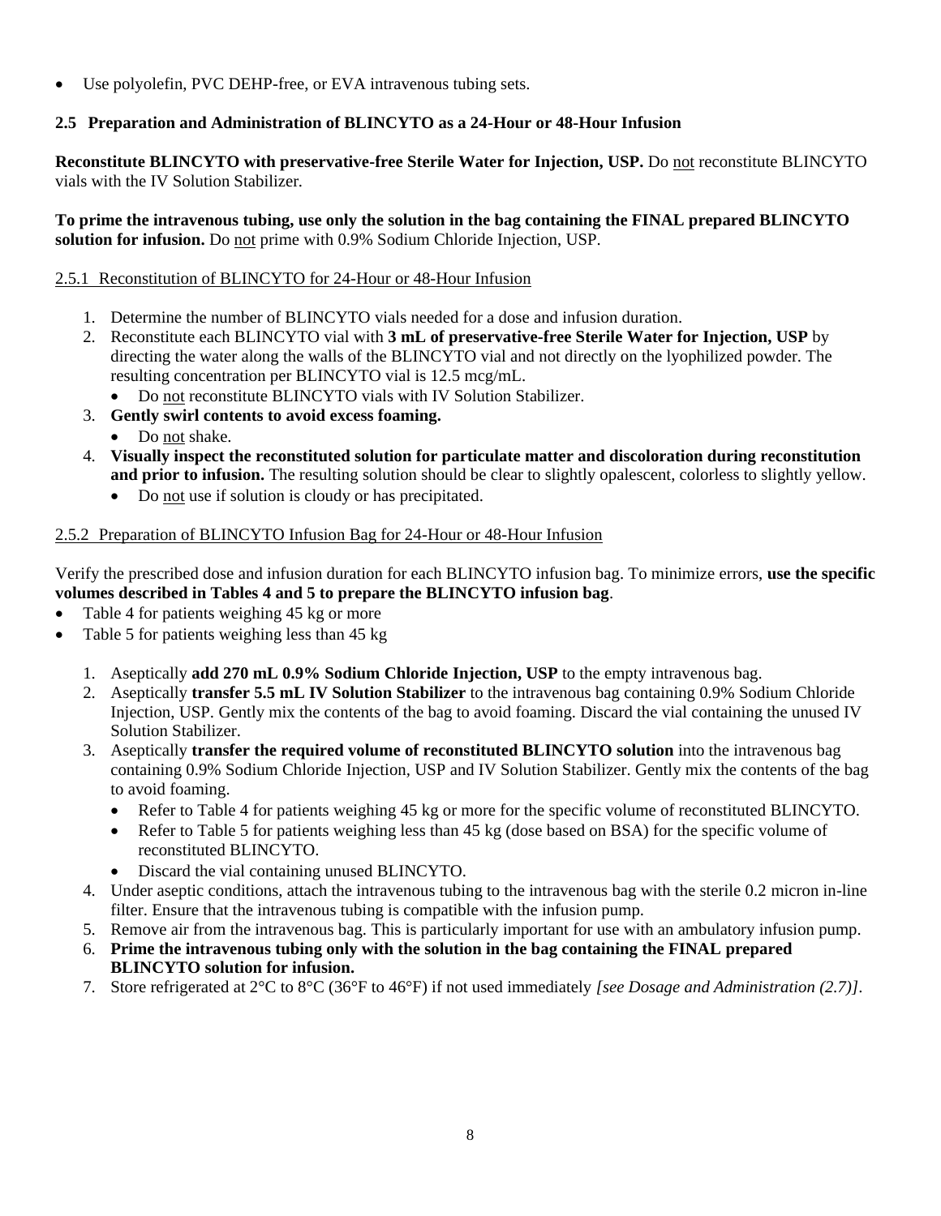• Use polyolefin, PVC DEHP-free, or EVA intravenous tubing sets.

# **2.5 Preparation and Administration of BLINCYTO as a 24-Hour or 48-Hour Infusion**

**Reconstitute BLINCYTO with preservative-free Sterile Water for Injection, USP.** Do not reconstitute BLINCYTO vials with the IV Solution Stabilizer*.*

**To prime the intravenous tubing, use only the solution in the bag containing the FINAL prepared BLINCYTO solution for infusion.** Do not prime with 0.9% Sodium Chloride Injection, USP.

# 2.5.1 Reconstitution of BLINCYTO for 24-Hour or 48-Hour Infusion

- 1. Determine the number of BLINCYTO vials needed for a dose and infusion duration.
- 2. Reconstitute each BLINCYTO vial with **3 mL of preservative-free Sterile Water for Injection, USP** by directing the water along the walls of the BLINCYTO vial and not directly on the lyophilized powder. The resulting concentration per BLINCYTO vial is 12.5 mcg/mL.
	- Do not reconstitute BLINCYTO vials with IV Solution Stabilizer.
- 3. **Gently swirl contents to avoid excess foaming.**
	- Do not shake.
- 4. **Visually inspect the reconstituted solution for particulate matter and discoloration during reconstitution and prior to infusion.** The resulting solution should be clear to slightly opalescent, colorless to slightly yellow.
	- Do not use if solution is cloudy or has precipitated.

#### 2.5.2 Preparation of BLINCYTO Infusion Bag for 24-Hour or 48-Hour Infusion

Verify the prescribed dose and infusion duration for each BLINCYTO infusion bag. To minimize errors, **use the specific volumes described in Tables 4 and 5 to prepare the BLINCYTO infusion bag**.

- Table 4 for patients weighing 45 kg or more
- Table 5 for patients weighing less than 45 kg
	- 1. Aseptically **add 270 mL 0.9% Sodium Chloride Injection, USP** to the empty intravenous bag.
	- 2. Aseptically **transfer 5.5 mL IV Solution Stabilizer** to the intravenous bag containing 0.9% Sodium Chloride Injection, USP. Gently mix the contents of the bag to avoid foaming. Discard the vial containing the unused IV Solution Stabilizer.
	- 3. Aseptically **transfer the required volume of reconstituted BLINCYTO solution** into the intravenous bag containing 0.9% Sodium Chloride Injection*,* USP and IV Solution Stabilizer. Gently mix the contents of the bag to avoid foaming.
		- Refer to Table 4 for patients weighing 45 kg or more for the specific volume of reconstituted BLINCYTO.
		- Refer to Table 5 for patients weighing less than 45 kg (dose based on BSA) for the specific volume of reconstituted BLINCYTO.
		- Discard the vial containing unused BLINCYTO.
	- 4. Under aseptic conditions, attach the intravenous tubing to the intravenous bag with the sterile 0.2 micron in-line filter. Ensure that the intravenous tubing is compatible with the infusion pump.
	- 5. Remove air from the intravenous bag. This is particularly important for use with an ambulatory infusion pump.
	- 6. **Prime the intravenous tubing only with the solution in the bag containing the FINAL prepared BLINCYTO solution for infusion.**
	- 7. Store refrigerated at 2°C to 8°C (36°F to 46°F) if not used immediately *[see Dosage and Administration (2.7)]*.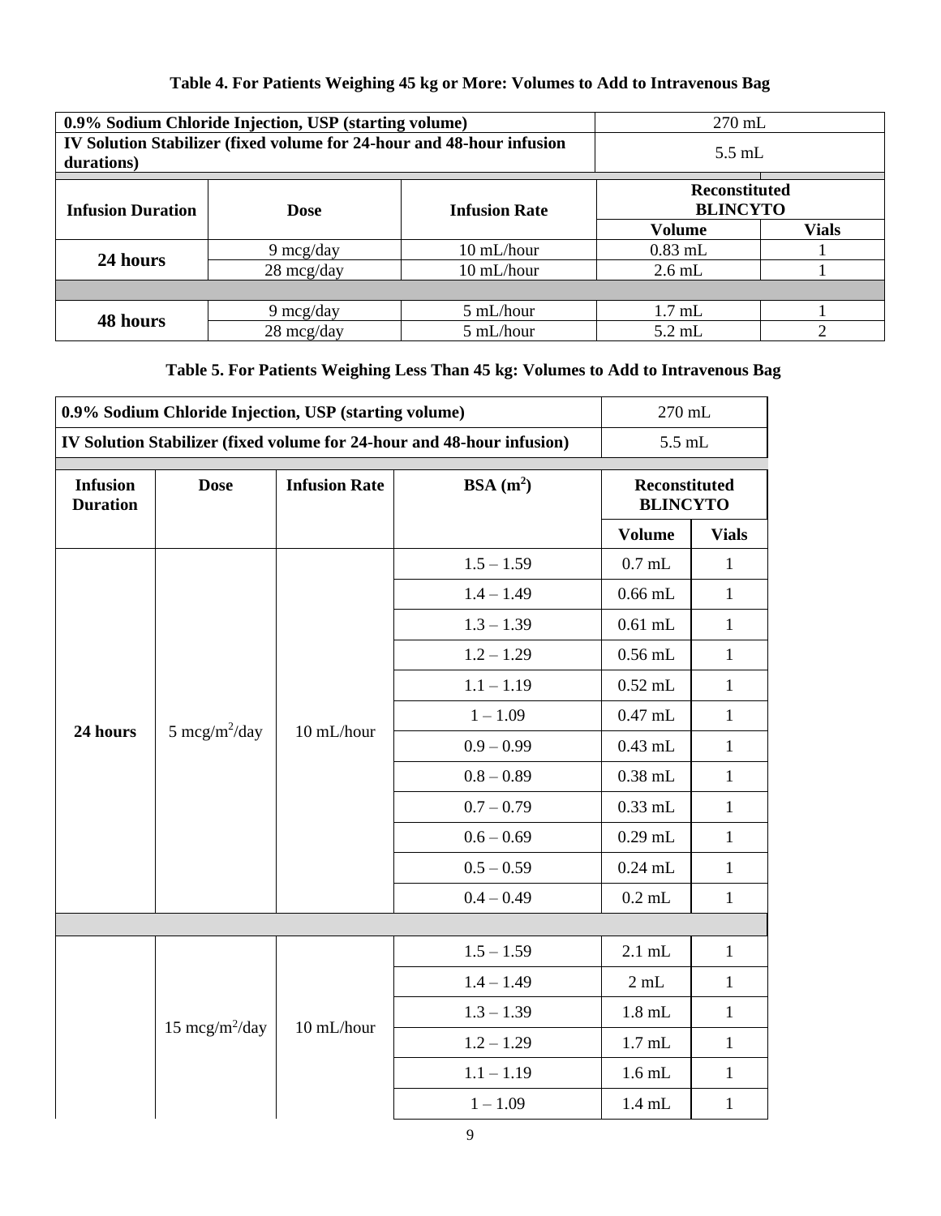# **Table 4. For Patients Weighing 45 kg or More: Volumes to Add to Intravenous Bag**

|                                                                 | 0.9% Sodium Chloride Injection, USP (starting volume)                 | $270$ mL   |                                         |              |  |
|-----------------------------------------------------------------|-----------------------------------------------------------------------|------------|-----------------------------------------|--------------|--|
| durations)                                                      | IV Solution Stabilizer (fixed volume for 24-hour and 48-hour infusion | $5.5$ mL   |                                         |              |  |
| <b>Infusion Duration</b><br><b>Infusion Rate</b><br><b>Dose</b> |                                                                       |            | <b>Reconstituted</b><br><b>BLINCYTO</b> |              |  |
|                                                                 |                                                                       |            | <b>Volume</b>                           | <b>Vials</b> |  |
| 24 hours                                                        | $9 \text{~mcg/day}$                                                   | 10 mL/hour | $0.83$ mL                               |              |  |
|                                                                 | $28 \text{~mag/day}$                                                  | 10 mL/hour | $2.6$ mL                                |              |  |
|                                                                 |                                                                       |            |                                         |              |  |
| 48 hours                                                        | $9 \text{~mcg/day}$                                                   | 5 mL/hour  | $1.7$ mL                                |              |  |
|                                                                 | 28 mcg/day                                                            | 5 mL/hour  | $5.2$ mL                                | ↑            |  |

# **Table 5. For Patients Weighing Less Than 45 kg: Volumes to Add to Intravenous Bag**

| 0.9% Sodium Chloride Injection, USP (starting volume) |                           |                      | 270 mL                                                                 |                                  |              |
|-------------------------------------------------------|---------------------------|----------------------|------------------------------------------------------------------------|----------------------------------|--------------|
|                                                       |                           |                      | IV Solution Stabilizer (fixed volume for 24-hour and 48-hour infusion) | $5.5\;\rm mL$                    |              |
| <b>Infusion</b><br><b>Duration</b>                    | <b>Dose</b>               | <b>Infusion Rate</b> | BSA $(m^2)$                                                            | Reconstituted<br><b>BLINCYTO</b> |              |
|                                                       |                           |                      |                                                                        | <b>Volume</b>                    | <b>Vials</b> |
|                                                       |                           |                      | $1.5 - 1.59$                                                           | $0.7$ mL                         | 1            |
|                                                       |                           |                      | $1.4 - 1.49$                                                           | $0.66$ mL                        | $\mathbf{1}$ |
|                                                       |                           |                      | $1.3 - 1.39$                                                           | $0.61$ mL                        | $\mathbf{1}$ |
|                                                       |                           |                      | $1.2 - 1.29$                                                           | $0.56$ mL                        | $\mathbf{1}$ |
|                                                       |                           | 10 mL/hour           | $1.1 - 1.19$                                                           | $0.52$ mL                        | $\mathbf{1}$ |
| 24 hours                                              | 5 mcg/m <sup>2</sup> /day |                      | $1 - 1.09$                                                             | $0.47$ mL                        | $\mathbf{1}$ |
|                                                       |                           |                      | $0.9 - 0.99$                                                           | $0.43$ mL                        | $\mathbf{1}$ |
|                                                       |                           |                      | $0.8 - 0.89$                                                           | $0.38$ mL                        | $\mathbf{1}$ |
|                                                       |                           |                      | $0.7 - 0.79$                                                           | $0.33$ mL                        | $\mathbf{1}$ |
|                                                       |                           |                      | $0.6 - 0.69$                                                           | $0.29$ mL                        | $\mathbf{1}$ |
|                                                       |                           |                      | $0.5 - 0.59$                                                           | $0.24$ mL                        | $\mathbf{1}$ |
|                                                       |                           |                      | $0.4 - 0.49$                                                           | $0.2$ mL                         | $\mathbf{1}$ |
|                                                       |                           |                      |                                                                        |                                  |              |
|                                                       |                           |                      | $1.5 - 1.59$                                                           | $2.1$ mL                         | $\mathbf{1}$ |
|                                                       |                           |                      | $1.4 - 1.49$                                                           | 2 mL                             | $\mathbf{1}$ |
|                                                       | $15 \text{~mcg/m}^2$ /day | 10 mL/hour           | $1.3 - 1.39$                                                           | $1.8$ mL                         | $\mathbf{1}$ |
|                                                       |                           |                      | $1.2 - 1.29$                                                           | $1.7$ mL                         | $\mathbf{1}$ |
|                                                       |                           |                      | $1.1 - 1.19$                                                           | $1.6$ mL                         | $\mathbf{1}$ |
|                                                       |                           |                      | $1 - 1.09$                                                             | $1.4$ mL                         | $\mathbf{1}$ |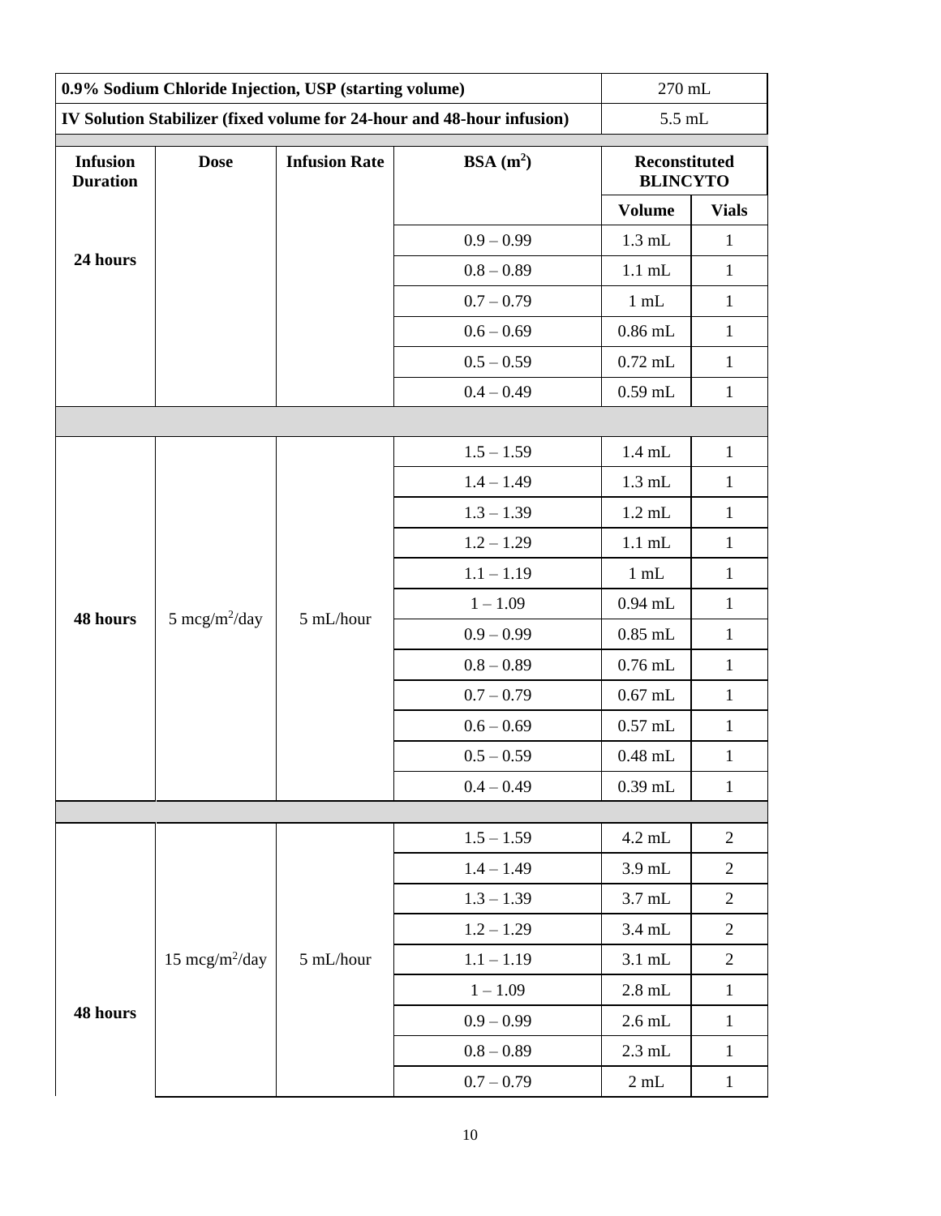| 0.9% Sodium Chloride Injection, USP (starting volume) |                                                             |           | 270 mL                                                                 |                                  |                |  |
|-------------------------------------------------------|-------------------------------------------------------------|-----------|------------------------------------------------------------------------|----------------------------------|----------------|--|
|                                                       |                                                             |           | IV Solution Stabilizer (fixed volume for 24-hour and 48-hour infusion) |                                  | 5.5 mL         |  |
| <b>Infusion</b><br><b>Duration</b>                    | BSA(m <sup>2</sup> )<br><b>Dose</b><br><b>Infusion Rate</b> |           |                                                                        | Reconstituted<br><b>BLINCYTO</b> |                |  |
|                                                       |                                                             |           |                                                                        | <b>Volume</b>                    | <b>Vials</b>   |  |
|                                                       |                                                             |           | $0.9 - 0.99$                                                           | $1.3$ mL                         | $\mathbf{1}$   |  |
| 24 hours                                              |                                                             |           | $0.8 - 0.89$                                                           | $1.1$ mL                         | $\mathbf{1}$   |  |
|                                                       |                                                             |           | $0.7 - 0.79$                                                           | $1$ mL                           | $\mathbf{1}$   |  |
|                                                       |                                                             |           | $0.6 - 0.69$                                                           | $0.86$ mL                        | $\mathbf{1}$   |  |
|                                                       |                                                             |           | $0.5 - 0.59$                                                           | $0.72$ mL                        | $\mathbf{1}$   |  |
|                                                       |                                                             |           | $0.4 - 0.49$                                                           | $0.59$ mL                        | $\mathbf{1}$   |  |
|                                                       |                                                             |           |                                                                        |                                  |                |  |
|                                                       |                                                             |           | $1.5 - 1.59$                                                           | $1.4$ mL                         | $\mathbf{1}$   |  |
|                                                       |                                                             |           | $1.4 - 1.49$                                                           | $1.3$ mL                         | $\mathbf{1}$   |  |
|                                                       |                                                             |           | $1.3 - 1.39$                                                           | $1.2$ mL                         | $\mathbf{1}$   |  |
|                                                       |                                                             |           | $1.2 - 1.29$                                                           | $1.1$ mL                         | $\mathbf{1}$   |  |
|                                                       |                                                             |           | $1.1 - 1.19$                                                           | $1$ mL                           | $\mathbf{1}$   |  |
| 48 hours                                              | 5 mcg/m <sup>2</sup> /day                                   | 5 mL/hour | $1 - 1.09$                                                             | $0.94$ mL                        | $\mathbf{1}$   |  |
|                                                       |                                                             |           | $0.9 - 0.99$                                                           | $0.85$ mL                        | $\mathbf{1}$   |  |
|                                                       |                                                             |           | $0.8 - 0.89$                                                           | $0.76$ mL                        | $\mathbf{1}$   |  |
|                                                       |                                                             |           | $0.7 - 0.79$                                                           | $0.67$ mL                        | $\mathbf{1}$   |  |
|                                                       |                                                             |           | $0.6 - 0.69$                                                           | $0.57$ mL                        | $\mathbf{1}$   |  |
|                                                       |                                                             |           | $0.5 - 0.59$                                                           | $0.48$ mL                        | $\mathbf{1}$   |  |
|                                                       |                                                             |           | $0.4 - 0.49$                                                           | $0.39$ mL                        | $\mathbf{1}$   |  |
|                                                       |                                                             |           |                                                                        |                                  |                |  |
|                                                       |                                                             |           | $1.5 - 1.59$                                                           | 4.2 mL                           | $\overline{c}$ |  |
|                                                       |                                                             |           | $1.4 - 1.49$                                                           | 3.9 mL                           | $\overline{c}$ |  |
|                                                       |                                                             |           | $1.3 - 1.39$                                                           | $3.7$ mL                         | $\overline{c}$ |  |
|                                                       |                                                             |           | $1.2 - 1.29$                                                           | 3.4 mL                           | $\overline{c}$ |  |
|                                                       | 15 $mcg/m^2/day$                                            | 5 mL/hour | $1.1 - 1.19$                                                           | $3.1$ mL                         | $\overline{2}$ |  |
| 48 hours                                              |                                                             |           | $1 - 1.09$                                                             | $2.8$ mL                         | $\mathbf{1}$   |  |
|                                                       |                                                             |           | $0.9 - 0.99$                                                           | $2.6$ mL                         | $\mathbf{1}$   |  |
|                                                       |                                                             |           | $0.8 - 0.89$                                                           | $2.3$ mL                         | $\mathbf{1}$   |  |
|                                                       |                                                             |           | $0.7 - 0.79$                                                           | $2\:\rm{mL}$                     | $\mathbf{1}$   |  |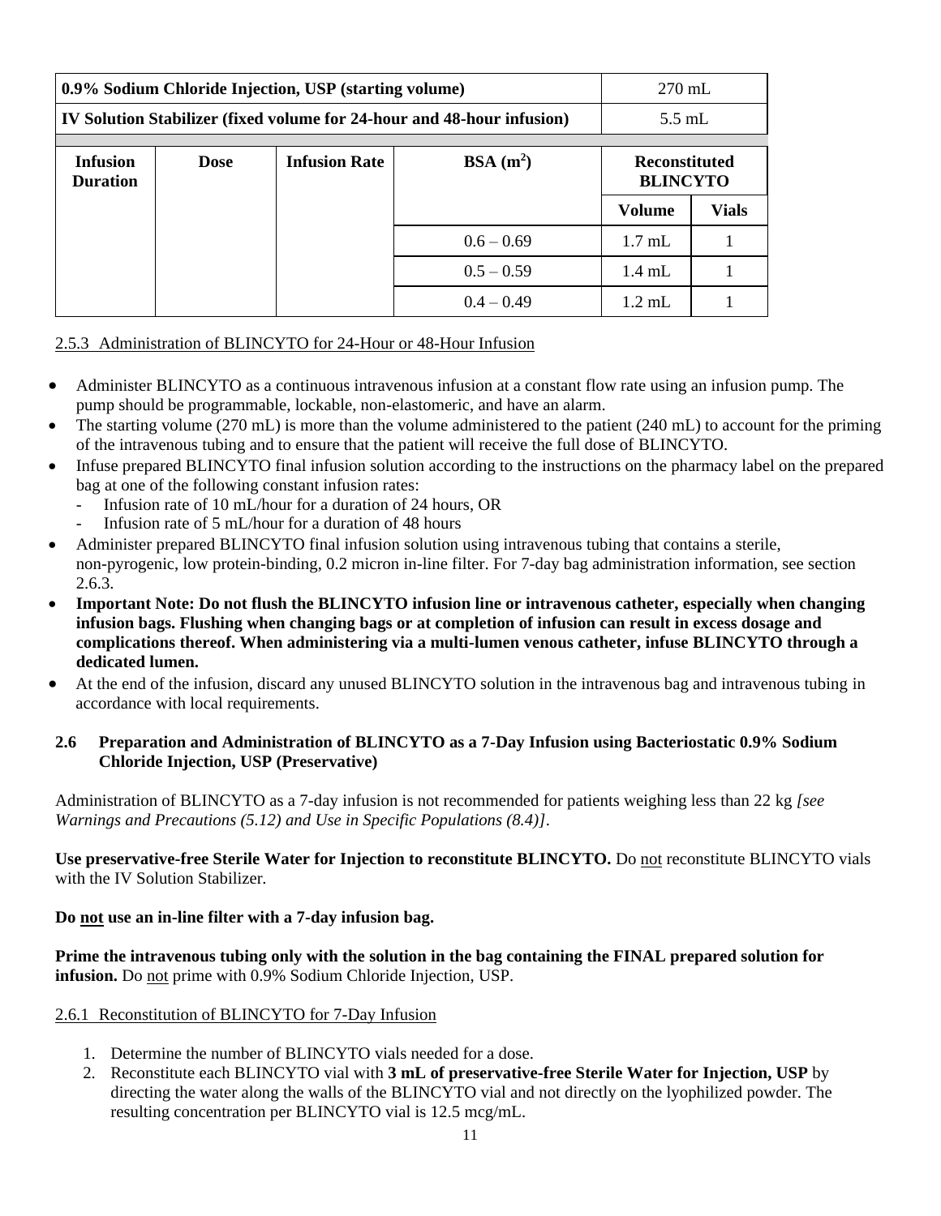| 0.9% Sodium Chloride Injection, USP (starting volume)                  |             |                                              |              | $270$ mL             |                 |
|------------------------------------------------------------------------|-------------|----------------------------------------------|--------------|----------------------|-----------------|
| IV Solution Stabilizer (fixed volume for 24-hour and 48-hour infusion) |             |                                              |              | $5.5$ mL             |                 |
|                                                                        |             |                                              |              | <b>Reconstituted</b> |                 |
| <b>Infusion</b><br><b>Duration</b>                                     | <b>Dose</b> | BSA(m <sup>2</sup> )<br><b>Infusion Rate</b> |              |                      | <b>BLINCYTO</b> |
|                                                                        |             |                                              |              | Volume               | <b>Vials</b>    |
|                                                                        |             |                                              | $0.6 - 0.69$ | $1.7 \text{ mL}$     |                 |
|                                                                        |             |                                              | $0.5 - 0.59$ | $1.4$ mL             |                 |
|                                                                        |             |                                              | $0.4 - 0.49$ | $1.2 \text{ mL}$     |                 |

# 2.5.3 Administration of BLINCYTO for 24-Hour or 48-Hour Infusion

- Administer BLINCYTO as a continuous intravenous infusion at a constant flow rate using an infusion pump. The pump should be programmable, lockable, non-elastomeric, and have an alarm.
- The starting volume (270 mL) is more than the volume administered to the patient (240 mL) to account for the priming of the intravenous tubing and to ensure that the patient will receive the full dose of BLINCYTO.
- Infuse prepared BLINCYTO final infusion solution according to the instructions on the pharmacy label on the prepared bag at one of the following constant infusion rates:
	- Infusion rate of 10 mL/hour for a duration of 24 hours, OR
	- Infusion rate of 5 mL/hour for a duration of 48 hours
- Administer prepared BLINCYTO final infusion solution using intravenous tubing that contains a sterile, non-pyrogenic, low protein-binding, 0.2 micron in-line filter. For 7-day bag administration information, see section 2.6.3.
- **Important Note: Do not flush the BLINCYTO infusion line or intravenous catheter, especially when changing infusion bags. Flushing when changing bags or at completion of infusion can result in excess dosage and complications thereof. When administering via a multi***-***lumen venous catheter, infuse BLINCYTO through a dedicated lumen.**
- At the end of the infusion, discard any unused BLINCYTO solution in the intravenous bag and intravenous tubing in accordance with local requirements.

## **2.6 Preparation and Administration of BLINCYTO as a 7-Day Infusion using Bacteriostatic 0.9% Sodium Chloride Injection, USP (Preservative)**

Administration of BLINCYTO as a 7-day infusion is not recommended for patients weighing less than 22 kg *[see Warnings and Precautions (5.12) and Use in Specific Populations (8.4)]*.

**Use preservative-free Sterile Water for Injection to reconstitute BLINCYTO.** Do not reconstitute BLINCYTO vials with the IV Solution Stabilizer*.*

# **Do not use an in-line filter with a 7-day infusion bag.**

**Prime the intravenous tubing only with the solution in the bag containing the FINAL prepared solution for infusion.** Do not prime with 0.9% Sodium Chloride Injection, USP.

# 2.6.1 Reconstitution of BLINCYTO for 7-Day Infusion

- 1. Determine the number of BLINCYTO vials needed for a dose.
- 2. Reconstitute each BLINCYTO vial with **3 mL of preservative-free Sterile Water for Injection, USP** by directing the water along the walls of the BLINCYTO vial and not directly on the lyophilized powder. The resulting concentration per BLINCYTO vial is 12.5 mcg/mL.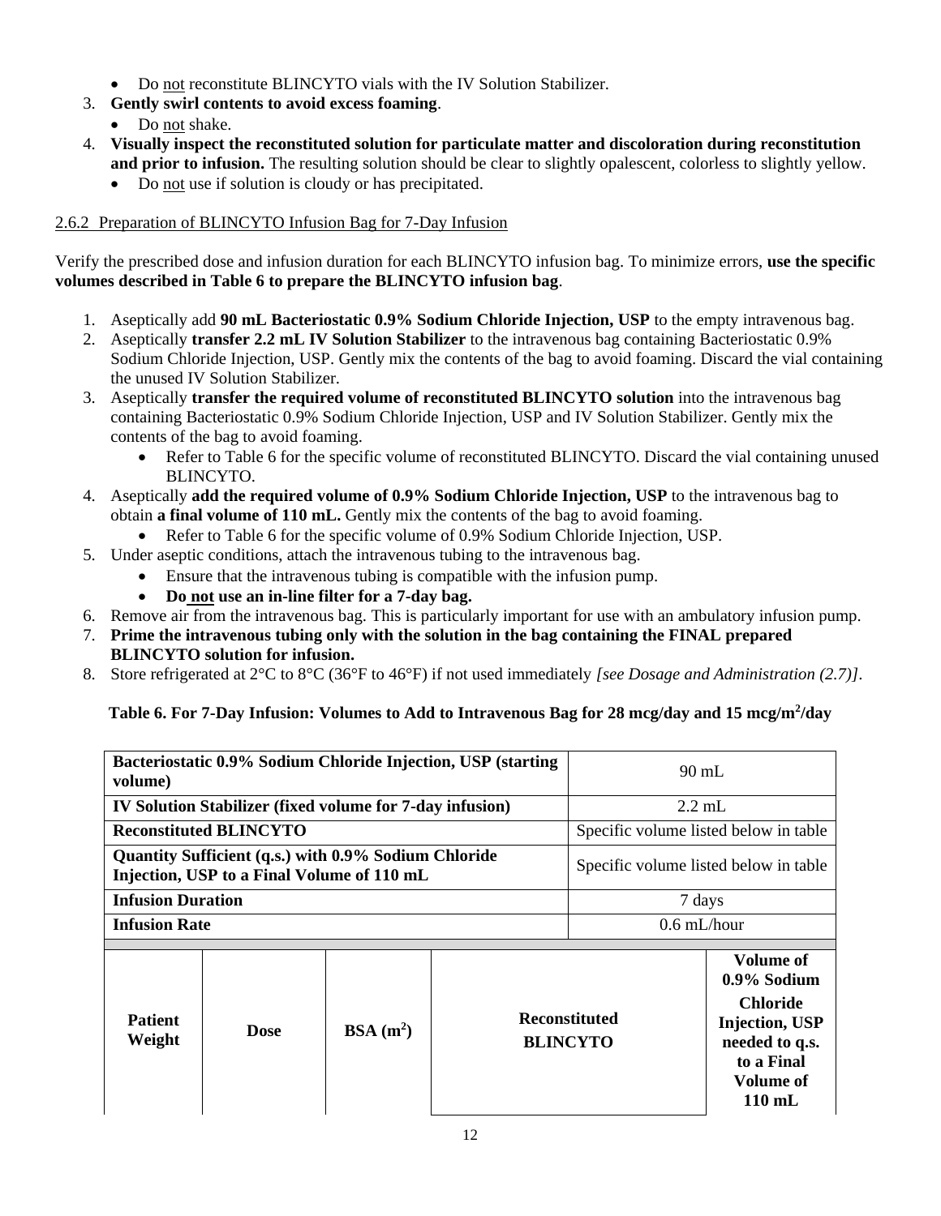- Do not reconstitute BLINCYTO vials with the IV Solution Stabilizer.
- 3. **Gently swirl contents to avoid excess foaming**.
	- Do not shake.
- 4. **Visually inspect the reconstituted solution for particulate matter and discoloration during reconstitution and prior to infusion.** The resulting solution should be clear to slightly opalescent, colorless to slightly yellow.
	- Do not use if solution is cloudy or has precipitated.

# 2.6.2 Preparation of BLINCYTO Infusion Bag for 7-Day Infusion

Verify the prescribed dose and infusion duration for each BLINCYTO infusion bag. To minimize errors, **use the specific volumes described in Table 6 to prepare the BLINCYTO infusion bag**.

- 1. Aseptically add **90 mL Bacteriostatic 0.9% Sodium Chloride Injection, USP** to the empty intravenous bag.
- 2. Aseptically **transfer 2.2 mL IV Solution Stabilizer** to the intravenous bag containing Bacteriostatic 0.9% Sodium Chloride Injection, USP. Gently mix the contents of the bag to avoid foaming. Discard the vial containing the unused IV Solution Stabilizer.
- 3. Aseptically **transfer the required volume of reconstituted BLINCYTO solution** into the intravenous bag containing Bacteriostatic 0.9% Sodium Chloride Injection, USP and IV Solution Stabilizer. Gently mix the contents of the bag to avoid foaming.
	- Refer to Table 6 for the specific volume of reconstituted BLINCYTO. Discard the vial containing unused BLINCYTO.
- 4. Aseptically **add the required volume of 0.9% Sodium Chloride Injection, USP** to the intravenous bag to obtain **a final volume of 110 mL.** Gently mix the contents of the bag to avoid foaming.
	- Refer to Table 6 for the specific volume of 0.9% Sodium Chloride Injection, USP.
- 5. Under aseptic conditions, attach the intravenous tubing to the intravenous bag.
	- Ensure that the intravenous tubing is compatible with the infusion pump.
	- **Do not use an in-line filter for a 7-day bag.**
- 6. Remove air from the intravenous bag. This is particularly important for use with an ambulatory infusion pump.
- 7. **Prime the intravenous tubing only with the solution in the bag containing the FINAL prepared BLINCYTO solution for infusion.**
- 8. Store refrigerated at 2°C to 8°C (36°F to 46°F) if not used immediately *[see Dosage and Administration (2.7)]*.

# **Table 6. For 7-Day Infusion: Volumes to Add to Intravenous Bag for 28 mcg/day and 15 mcg/m<sup>2</sup> /day**

| Bacteriostatic 0.9% Sodium Chloride Injection, USP (starting<br>volume)                            |                                                                 |                      | $90 \text{ mL}$                       |                                         |                                                                                                                                              |
|----------------------------------------------------------------------------------------------------|-----------------------------------------------------------------|----------------------|---------------------------------------|-----------------------------------------|----------------------------------------------------------------------------------------------------------------------------------------------|
|                                                                                                    | <b>IV Solution Stabilizer (fixed volume for 7-day infusion)</b> |                      |                                       | $2.2 \text{ mL}$                        |                                                                                                                                              |
|                                                                                                    | <b>Reconstituted BLINCYTO</b>                                   |                      |                                       | Specific volume listed below in table   |                                                                                                                                              |
| Quantity Sufficient (q.s.) with 0.9% Sodium Chloride<br>Injection, USP to a Final Volume of 110 mL |                                                                 |                      | Specific volume listed below in table |                                         |                                                                                                                                              |
| <b>Infusion Duration</b>                                                                           |                                                                 |                      | 7 days                                |                                         |                                                                                                                                              |
| <b>Infusion Rate</b>                                                                               |                                                                 |                      |                                       | $0.6 \text{ mL/hour}$                   |                                                                                                                                              |
| <b>Patient</b><br>Weight                                                                           | Dose                                                            | BSA(m <sup>2</sup> ) |                                       | <b>Reconstituted</b><br><b>BLINCYTO</b> | <b>Volume of</b><br>0.9% Sodium<br><b>Chloride</b><br><b>Injection, USP</b><br>needed to q.s.<br>to a Final<br>Volume of<br>$110 \text{ mL}$ |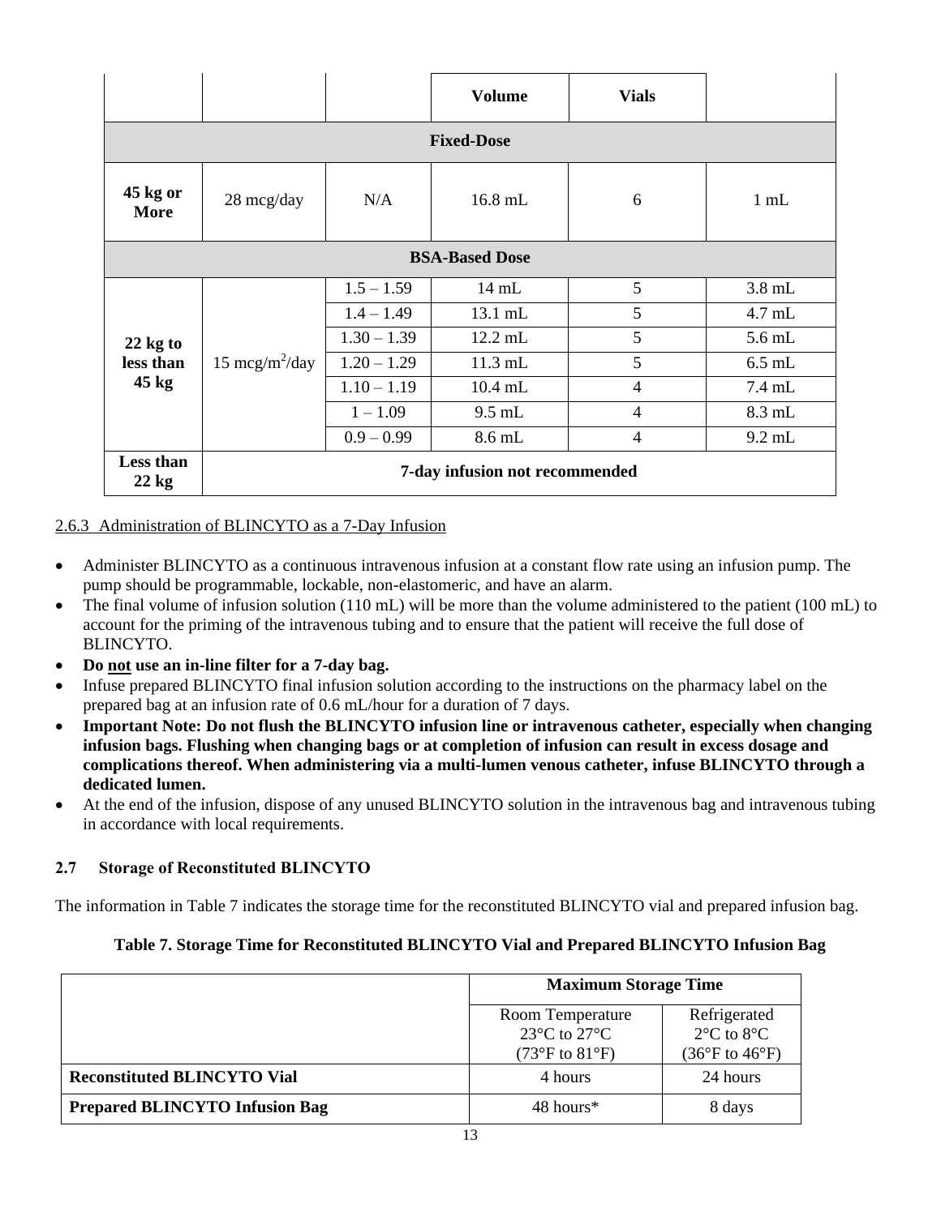|                         |                                |               | <b>Volume</b>   | <b>Vials</b>   |          |  |
|-------------------------|--------------------------------|---------------|-----------------|----------------|----------|--|
| <b>Fixed-Dose</b>       |                                |               |                 |                |          |  |
| 45 kg or<br><b>More</b> | 28 mcg/day                     | N/A           | 16.8 mL         | 6              | $1$ mL   |  |
| <b>BSA-Based Dose</b>   |                                |               |                 |                |          |  |
|                         |                                | $1.5 - 1.59$  | $14 \text{ mL}$ | 5              | $3.8$ mL |  |
|                         | 15 mcg/m <sup>2</sup> /day     | $1.4 - 1.49$  | 13.1 mL         | 5              | $4.7$ mL |  |
| $22$ kg to              |                                | $1.30 - 1.39$ | 12.2 mL         | 5              | $5.6$ mL |  |
| less than               |                                | $1.20 - 1.29$ | $11.3$ mL       | 5              | $6.5$ mL |  |
| $45$ kg                 |                                | $1.10 - 1.19$ | 10.4 mL         | $\overline{4}$ | 7.4 mL   |  |
|                         |                                | $1 - 1.09$    | $9.5$ mL        | $\overline{4}$ | 8.3 mL   |  |
|                         |                                | $0.9 - 0.99$  | 8.6 mL          | $\overline{4}$ | $9.2$ mL |  |
| Less than<br>$22$ kg    | 7-day infusion not recommended |               |                 |                |          |  |

# 2.6.3 Administration of BLINCYTO as a 7-Day Infusion

- Administer BLINCYTO as a continuous intravenous infusion at a constant flow rate using an infusion pump. The pump should be programmable, lockable, non-elastomeric, and have an alarm.
- The final volume of infusion solution (110 mL) will be more than the volume administered to the patient (100 mL) to account for the priming of the intravenous tubing and to ensure that the patient will receive the full dose of BLINCYTO.
- **Do not use an in-line filter for a 7-day bag.**
- Infuse prepared BLINCYTO final infusion solution according to the instructions on the pharmacy label on the prepared bag at an infusion rate of 0.6 mL/hour for a duration of 7 days.
- **Important Note: Do not flush the BLINCYTO infusion line or intravenous catheter, especially when changing infusion bags. Flushing when changing bags or at completion of infusion can result in excess dosage and complications thereof. When administering via a multi***-***lumen venous catheter, infuse BLINCYTO through a dedicated lumen.**
- At the end of the infusion, dispose of any unused BLINCYTO solution in the intravenous bag and intravenous tubing in accordance with local requirements.

# **2.7 Storage of Reconstituted BLINCYTO**

The information in Table 7 indicates the storage time for the reconstituted BLINCYTO vial and prepared infusion bag.

#### **Table 7. Storage Time for Reconstituted BLINCYTO Vial and Prepared BLINCYTO Infusion Bag**

|                                       | <b>Maximum Storage Time</b>                                                                                       |                                                                                           |
|---------------------------------------|-------------------------------------------------------------------------------------------------------------------|-------------------------------------------------------------------------------------------|
|                                       | Room Temperature<br>23 $\mathrm{^{\circ}C}$ to 27 $\mathrm{^{\circ}C}$<br>$(73^{\circ}F \text{ to } 81^{\circ}F)$ | Refrigerated<br>$2^{\circ}$ C to $8^{\circ}$ C<br>$(36^{\circ}F \text{ to } 46^{\circ}F)$ |
| <b>Reconstituted BLINCYTO Vial</b>    | 4 hours                                                                                                           | 24 hours                                                                                  |
| <b>Prepared BLINCYTO Infusion Bag</b> | 48 hours*                                                                                                         | 8 days                                                                                    |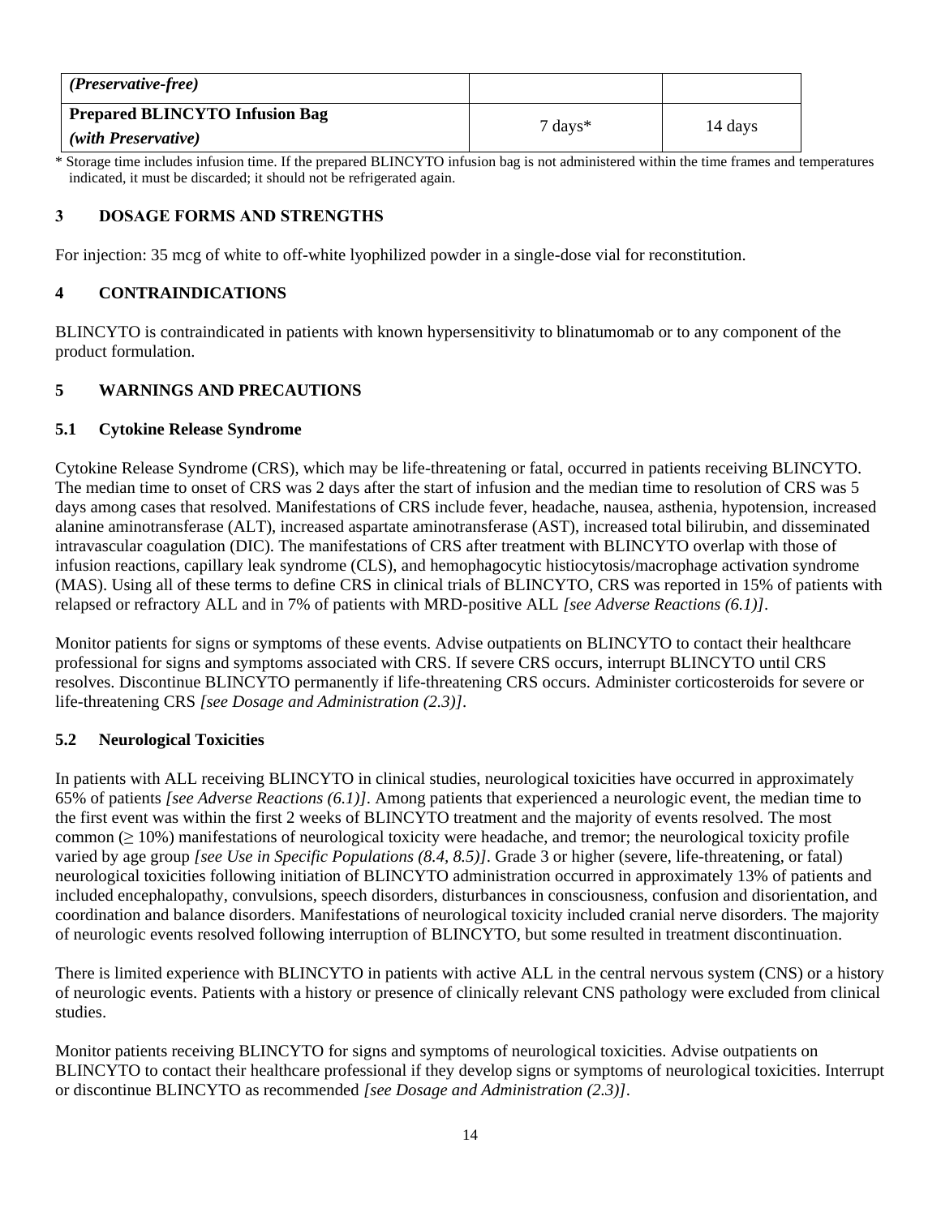| (Preservative-free)                   |                    |         |
|---------------------------------------|--------------------|---------|
| <b>Prepared BLINCYTO Infusion Bag</b> | $7 \text{ days}^*$ | 14 days |
| (with Preservative)                   |                    |         |

\* Storage time includes infusion time. If the prepared BLINCYTO infusion bag is not administered within the time frames and temperatures indicated, it must be discarded; it should not be refrigerated again.

# **3 DOSAGE FORMS AND STRENGTHS**

For injection: 35 mcg of white to off-white lyophilized powder in a single-dose vial for reconstitution.

# **4 CONTRAINDICATIONS**

BLINCYTO is contraindicated in patients with known hypersensitivity to blinatumomab or to any component of the product formulation.

## **5 WARNINGS AND PRECAUTIONS**

#### **5.1 Cytokine Release Syndrome**

Cytokine Release Syndrome (CRS), which may be life-threatening or fatal, occurred in patients receiving BLINCYTO. The median time to onset of CRS was 2 days after the start of infusion and the median time to resolution of CRS was 5 days among cases that resolved. Manifestations of CRS include fever, headache, nausea, asthenia, hypotension, increased alanine aminotransferase (ALT), increased aspartate aminotransferase (AST), increased total bilirubin, and disseminated intravascular coagulation (DIC). The manifestations of CRS after treatment with BLINCYTO overlap with those of infusion reactions, capillary leak syndrome (CLS), and hemophagocytic histiocytosis/macrophage activation syndrome (MAS). Using all of these terms to define CRS in clinical trials of BLINCYTO, CRS was reported in 15% of patients with relapsed or refractory ALL and in 7% of patients with MRD-positive ALL *[see Adverse Reactions (6.1)]*.

Monitor patients for signs or symptoms of these events. Advise outpatients on BLINCYTO to contact their healthcare professional for signs and symptoms associated with CRS. If severe CRS occurs, interrupt BLINCYTO until CRS resolves. Discontinue BLINCYTO permanently if life-threatening CRS occurs. Administer corticosteroids for severe or life-threatening CRS *[see Dosage and Administration (2.3)]*.

#### **5.2 Neurological Toxicities**

In patients with ALL receiving BLINCYTO in clinical studies, neurological toxicities have occurred in approximately 65% of patients *[see Adverse Reactions (6.1)]*. Among patients that experienced a neurologic event, the median time to the first event was within the first 2 weeks of BLINCYTO treatment and the majority of events resolved. The most common  $(\geq 10\%)$  manifestations of neurological toxicity were headache, and tremor; the neurological toxicity profile varied by age group *[see Use in Specific Populations (8.4, 8.5)]*. Grade 3 or higher (severe, life-threatening, or fatal) neurological toxicities following initiation of BLINCYTO administration occurred in approximately 13% of patients and included encephalopathy, convulsions, speech disorders, disturbances in consciousness, confusion and disorientation, and coordination and balance disorders. Manifestations of neurological toxicity included cranial nerve disorders. The majority of neurologic events resolved following interruption of BLINCYTO, but some resulted in treatment discontinuation.

There is limited experience with BLINCYTO in patients with active ALL in the central nervous system (CNS) or a history of neurologic events. Patients with a history or presence of clinically relevant CNS pathology were excluded from clinical studies.

Monitor patients receiving BLINCYTO for signs and symptoms of neurological toxicities. Advise outpatients on BLINCYTO to contact their healthcare professional if they develop signs or symptoms of neurological toxicities. Interrupt or discontinue BLINCYTO as recommended *[see Dosage and Administration (2.3)]*.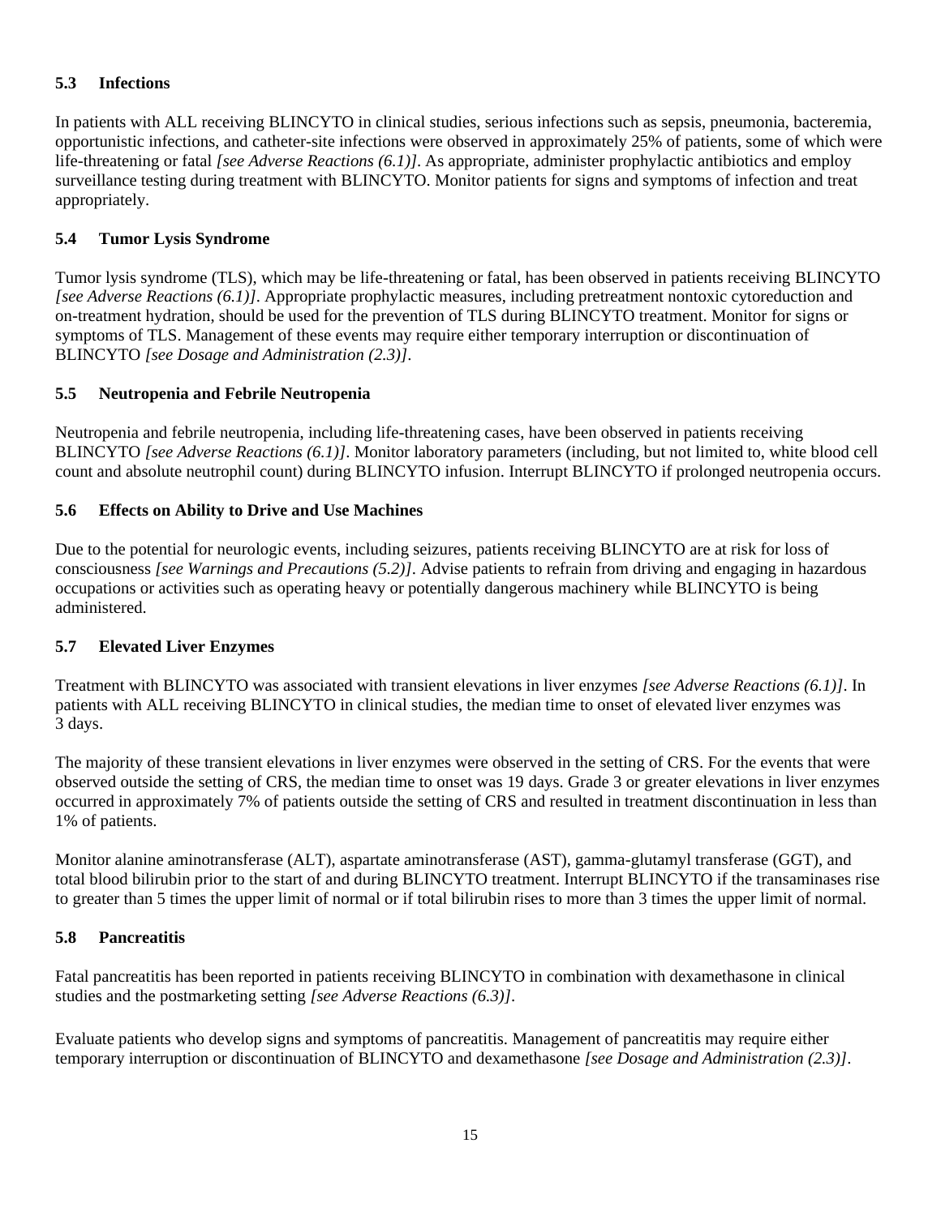# **5.3 Infections**

In patients with ALL receiving BLINCYTO in clinical studies, serious infections such as sepsis, pneumonia, bacteremia, opportunistic infections, and catheter-site infections were observed in approximately 25% of patients, some of which were life-threatening or fatal *[see Adverse Reactions (6.1)]*. As appropriate, administer prophylactic antibiotics and employ surveillance testing during treatment with BLINCYTO. Monitor patients for signs and symptoms of infection and treat appropriately.

# **5.4 Tumor Lysis Syndrome**

Tumor lysis syndrome (TLS), which may be life-threatening or fatal, has been observed in patients receiving BLINCYTO *[see Adverse Reactions (6.1)]*. Appropriate prophylactic measures, including pretreatment nontoxic cytoreduction and on-treatment hydration, should be used for the prevention of TLS during BLINCYTO treatment. Monitor for signs or symptoms of TLS. Management of these events may require either temporary interruption or discontinuation of BLINCYTO *[see Dosage and Administration (2.3)]*.

# **5.5 Neutropenia and Febrile Neutropenia**

Neutropenia and febrile neutropenia, including life-threatening cases, have been observed in patients receiving BLINCYTO *[see Adverse Reactions (6.1)]*. Monitor laboratory parameters (including, but not limited to, white blood cell count and absolute neutrophil count) during BLINCYTO infusion. Interrupt BLINCYTO if prolonged neutropenia occurs.

# **5.6 Effects on Ability to Drive and Use Machines**

Due to the potential for neurologic events, including seizures, patients receiving BLINCYTO are at risk for loss of consciousness *[see Warnings and Precautions (5.2)]*. Advise patients to refrain from driving and engaging in hazardous occupations or activities such as operating heavy or potentially dangerous machinery while BLINCYTO is being administered.

# **5.7 Elevated Liver Enzymes**

Treatment with BLINCYTO was associated with transient elevations in liver enzymes *[see Adverse Reactions (6.1)]*. In patients with ALL receiving BLINCYTO in clinical studies, the median time to onset of elevated liver enzymes was 3 days.

The majority of these transient elevations in liver enzymes were observed in the setting of CRS. For the events that were observed outside the setting of CRS, the median time to onset was 19 days. Grade 3 or greater elevations in liver enzymes occurred in approximately 7% of patients outside the setting of CRS and resulted in treatment discontinuation in less than 1% of patients.

Monitor alanine aminotransferase (ALT), aspartate aminotransferase (AST), gamma-glutamyl transferase (GGT), and total blood bilirubin prior to the start of and during BLINCYTO treatment. Interrupt BLINCYTO if the transaminases rise to greater than 5 times the upper limit of normal or if total bilirubin rises to more than 3 times the upper limit of normal*.*

# **5.8 Pancreatitis**

Fatal pancreatitis has been reported in patients receiving BLINCYTO in combination with dexamethasone in clinical studies and the postmarketing setting *[see Adverse Reactions (6.3)]*.

Evaluate patients who develop signs and symptoms of pancreatitis. Management of pancreatitis may require either temporary interruption or discontinuation of BLINCYTO and dexamethasone *[see Dosage and Administration (2.3)]*.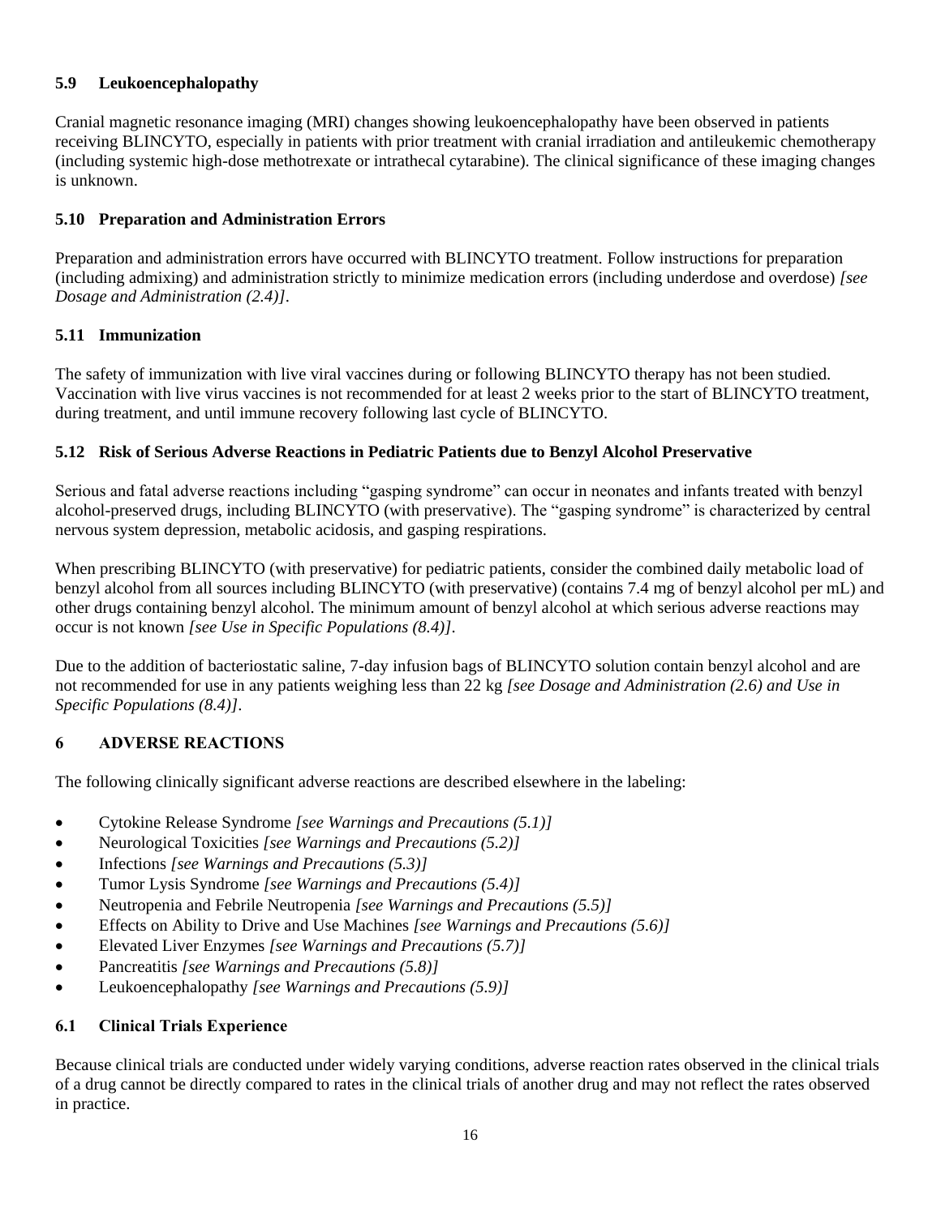# **5.9 Leukoencephalopathy**

Cranial magnetic resonance imaging (MRI) changes showing leukoencephalopathy have been observed in patients receiving BLINCYTO, especially in patients with prior treatment with cranial irradiation and antileukemic chemotherapy (including systemic high-dose methotrexate or intrathecal cytarabine). The clinical significance of these imaging changes is unknown.

# **5.10 Preparation and Administration Errors**

Preparation and administration errors have occurred with BLINCYTO treatment. Follow instructions for preparation (including admixing) and administration strictly to minimize medication errors (including underdose and overdose) *[see Dosage and Administration (2.4)]*.

# **5.11 Immunization**

The safety of immunization with live viral vaccines during or following BLINCYTO therapy has not been studied. Vaccination with live virus vaccines is not recommended for at least 2 weeks prior to the start of BLINCYTO treatment, during treatment, and until immune recovery following last cycle of BLINCYTO.

# **5.12 Risk of Serious Adverse Reactions in Pediatric Patients due to Benzyl Alcohol Preservative**

Serious and fatal adverse reactions including "gasping syndrome" can occur in neonates and infants treated with benzyl alcohol-preserved drugs, including BLINCYTO (with preservative). The "gasping syndrome" is characterized by central nervous system depression, metabolic acidosis, and gasping respirations.

When prescribing BLINCYTO (with preservative) for pediatric patients, consider the combined daily metabolic load of benzyl alcohol from all sources including BLINCYTO (with preservative) (contains 7.4 mg of benzyl alcohol per mL) and other drugs containing benzyl alcohol. The minimum amount of benzyl alcohol at which serious adverse reactions may occur is not known *[see Use in Specific Populations (8.4)]*.

Due to the addition of bacteriostatic saline, 7-day infusion bags of BLINCYTO solution contain benzyl alcohol and are not recommended for use in any patients weighing less than 22 kg *[see Dosage and Administration (2.6) and Use in Specific Populations (8.4)]*.

# **6 ADVERSE REACTIONS**

The following clinically significant adverse reactions are described elsewhere in the labeling:

- Cytokine Release Syndrome *[see Warnings and Precautions (5.1)]*
- Neurological Toxicities *[see Warnings and Precautions (5.2)]*
- Infections *[see Warnings and Precautions (5.3)]*
- Tumor Lysis Syndrome *[see Warnings and Precautions (5.4)]*
- Neutropenia and Febrile Neutropenia *[see Warnings and Precautions (5.5)]*
- Effects on Ability to Drive and Use Machines *[see Warnings and Precautions (5.6)]*
- Elevated Liver Enzymes *[see Warnings and Precautions (5.7)]*
- Pancreatitis *[see Warnings and Precautions (5.8)]*
- Leukoencephalopathy *[see Warnings and Precautions (5.9)]*

# **6.1 Clinical Trials Experience**

Because clinical trials are conducted under widely varying conditions, adverse reaction rates observed in the clinical trials of a drug cannot be directly compared to rates in the clinical trials of another drug and may not reflect the rates observed in practice.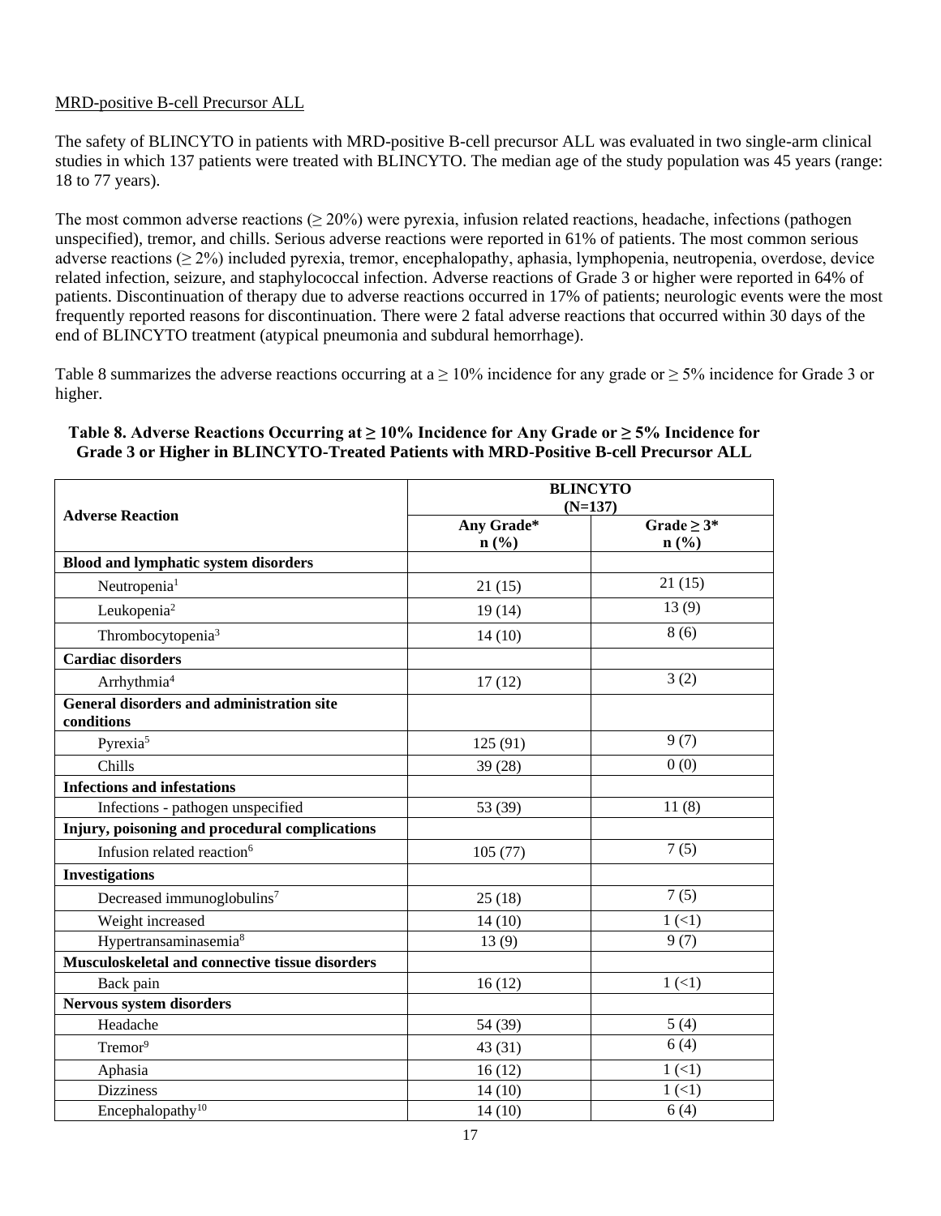## MRD-positive B-cell Precursor ALL

The safety of BLINCYTO in patients with MRD-positive B-cell precursor ALL was evaluated in two single-arm clinical studies in which 137 patients were treated with BLINCYTO. The median age of the study population was 45 years (range: 18 to 77 years).

The most common adverse reactions ( $\geq 20\%$ ) were pyrexia, infusion related reactions, headache, infections (pathogen unspecified), tremor, and chills. Serious adverse reactions were reported in 61% of patients. The most common serious adverse reactions ( $\geq 2\%$ ) included pyrexia, tremor, encephalopathy, aphasia, lymphopenia, neutropenia, overdose, device related infection, seizure, and staphylococcal infection. Adverse reactions of Grade 3 or higher were reported in 64% of patients. Discontinuation of therapy due to adverse reactions occurred in 17% of patients; neurologic events were the most frequently reported reasons for discontinuation. There were 2 fatal adverse reactions that occurred within 30 days of the end of BLINCYTO treatment (atypical pneumonia and subdural hemorrhage).

Table 8 summarizes the adverse reactions occurring at a  $\geq 10\%$  incidence for any grade or  $\geq 5\%$  incidence for Grade 3 or higher.

#### **Adverse Reaction BLINCYTO (N=137) Any Grade\* n (%) Grade ≥ 3\* n (%) Blood and lymphatic system disorders** Neutropenia<sup>1</sup> 21 (15) 21 (15) 21 (15) Leukopenia<sup>2</sup> 19 (14) 13 (9) Thrombocytopenia<sup>3</sup> 8 (6) **Cardiac disorders** Arrhythmia<sup>4</sup> 3 (2) **General disorders and administration site conditions** Pyrexia<sup>5</sup> 9(7) 9(7) Chills  $39 (28)$  0 (0) **Infections and infestations** Infections - pathogen unspecified 53 (39) 11 (8) **Injury, poisoning and procedural complications** Infusion related reaction<sup>6</sup> 105 (77)  $\sqrt{7(5)}$ **Investigations** Decreased immunoglobulins<sup>7</sup> 25 (18)  $25 (18)$  7 (5) Weight increased  $14 (10)$   $1 (<1)$ Hypertransaminasemia<sup>8</sup> 13 (9) 9 (7) **Musculoskeletal and connective tissue disorders** Back pain  $16 (12)$   $1 (11)$ **Nervous system disorders** Headache  $54 (39)$  5(4) Tremor<sup>9</sup> 6(4) Aphasia  $16 (12)$   $1 (<1)$ Dizziness  $14 (10)$   $1 (<1)$ Encephalopathy<sup>10</sup> 6(4) 6(4)

#### **Table 8. Adverse Reactions Occurring at ≥ 10% Incidence for Any Grade or ≥ 5% Incidence for Grade 3 or Higher in BLINCYTO-Treated Patients with MRD-Positive B-cell Precursor ALL**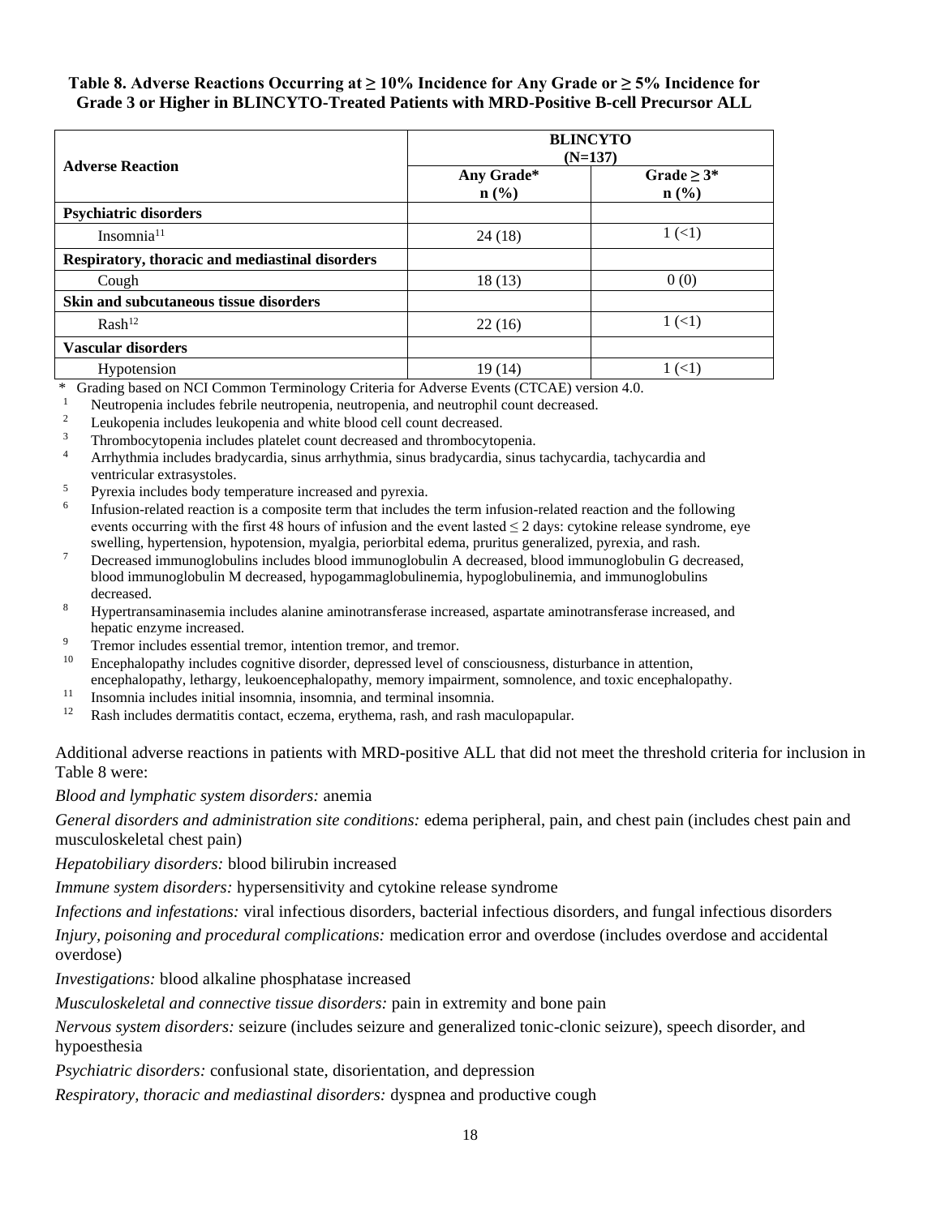#### **Table 8. Adverse Reactions Occurring at ≥ 10% Incidence for Any Grade or ≥ 5% Incidence for Grade 3 or Higher in BLINCYTO-Treated Patients with MRD-Positive B-cell Precursor ALL**

|                                                 | <b>BLINCYTO</b><br>$(N=137)$              |                             |
|-------------------------------------------------|-------------------------------------------|-----------------------------|
| <b>Adverse Reaction</b>                         | Any Grade*<br>$n\left(\frac{0}{0}\right)$ | Grade $\geq 3^*$<br>$n$ (%) |
| <b>Psychiatric disorders</b>                    |                                           |                             |
| Insomnia <sup>11</sup>                          | 24 (18)                                   | 1(1)                        |
| Respiratory, thoracic and mediastinal disorders |                                           |                             |
| Cough                                           | 18(13)                                    | 0(0)                        |
| Skin and subcutaneous tissue disorders          |                                           |                             |
| $Rash^{12}$                                     | 22(16)                                    | $1 \left( 1 \right)$        |
| <b>Vascular disorders</b>                       |                                           |                             |
| Hypotension                                     | 19(14)                                    | 1(1)                        |

\* Grading based on NCI Common Terminology Criteria for Adverse Events (CTCAE) version 4.0.

- <sup>1</sup> Neutropenia includes febrile neutropenia, neutropenia, and neutrophil count decreased.<br><sup>2</sup> Leukopenia includes leukopenia and white blood cell count decreased.
- <sup>2</sup><br>Leukopenia includes leukopenia and white blood cell count decreased.<br> $\frac{3}{2}$  Thrombosutononic includes platelet count decreased and thrombosuton
- <sup>3</sup> Thrombocytopenia includes platelet count decreased and thrombocytopenia.<br><sup>4</sup> Arrhythmia includes bradycardia sinus arrhythmia sinus bradycardia sinus
- <sup>4</sup> Arrhythmia includes bradycardia, sinus arrhythmia, sinus bradycardia, sinus tachycardia, tachycardia and ventricular extrasystoles.
- <sup>5</sup> Pyrexia includes body temperature increased and pyrexia.
- 6 Infusion-related reaction is a composite term that includes the term infusion-related reaction and the following events occurring with the first 48 hours of infusion and the event lasted  $\leq 2$  days: cytokine release syndrome, eye swelling, hypertension, hypotension, myalgia, periorbital edema, pruritus generalized, pyrexia, and rash.
- <sup>7</sup> Decreased immunoglobulins includes blood immunoglobulin A decreased, blood immunoglobulin G decreased, blood immunoglobulin M decreased, hypogammaglobulinemia, hypoglobulinemia, and immunoglobulins decreased.
- <sup>8</sup> Hypertransaminasemia includes alanine aminotransferase increased, aspartate aminotransferase increased, and hepatic enzyme increased.
- <sup>9</sup> Tremor includes essential tremor, intention tremor, and tremor.<br><sup>10</sup> Enconhelopathy includes cognitive disorder, depressed layel of
- <sup>10</sup> Encephalopathy includes cognitive disorder, depressed level of consciousness, disturbance in attention, encephalopathy, lethargy, leukoencephalopathy, memory impairment, somnolence, and toxic encephalopathy.
- <sup>11</sup> Insomnia includes initial insomnia, insomnia, and terminal insomnia.
- <sup>12</sup> Rash includes dermatitis contact, eczema, erythema, rash, and rash maculopapular.

Additional adverse reactions in patients with MRD-positive ALL that did not meet the threshold criteria for inclusion in Table 8 were:

*Blood and lymphatic system disorders:* anemia

*General disorders and administration site conditions:* edema peripheral, pain, and chest pain (includes chest pain and musculoskeletal chest pain)

*Hepatobiliary disorders:* blood bilirubin increased

*Immune system disorders:* hypersensitivity and cytokine release syndrome

*Infections and infestations:* viral infectious disorders, bacterial infectious disorders, and fungal infectious disorders

*Injury, poisoning and procedural complications:* medication error and overdose (includes overdose and accidental overdose)

*Investigations:* blood alkaline phosphatase increased

*Musculoskeletal and connective tissue disorders:* pain in extremity and bone pain

*Nervous system disorders:* seizure (includes seizure and generalized tonic-clonic seizure), speech disorder, and hypoesthesia

*Psychiatric disorders:* confusional state, disorientation, and depression

*Respiratory, thoracic and mediastinal disorders:* dyspnea and productive cough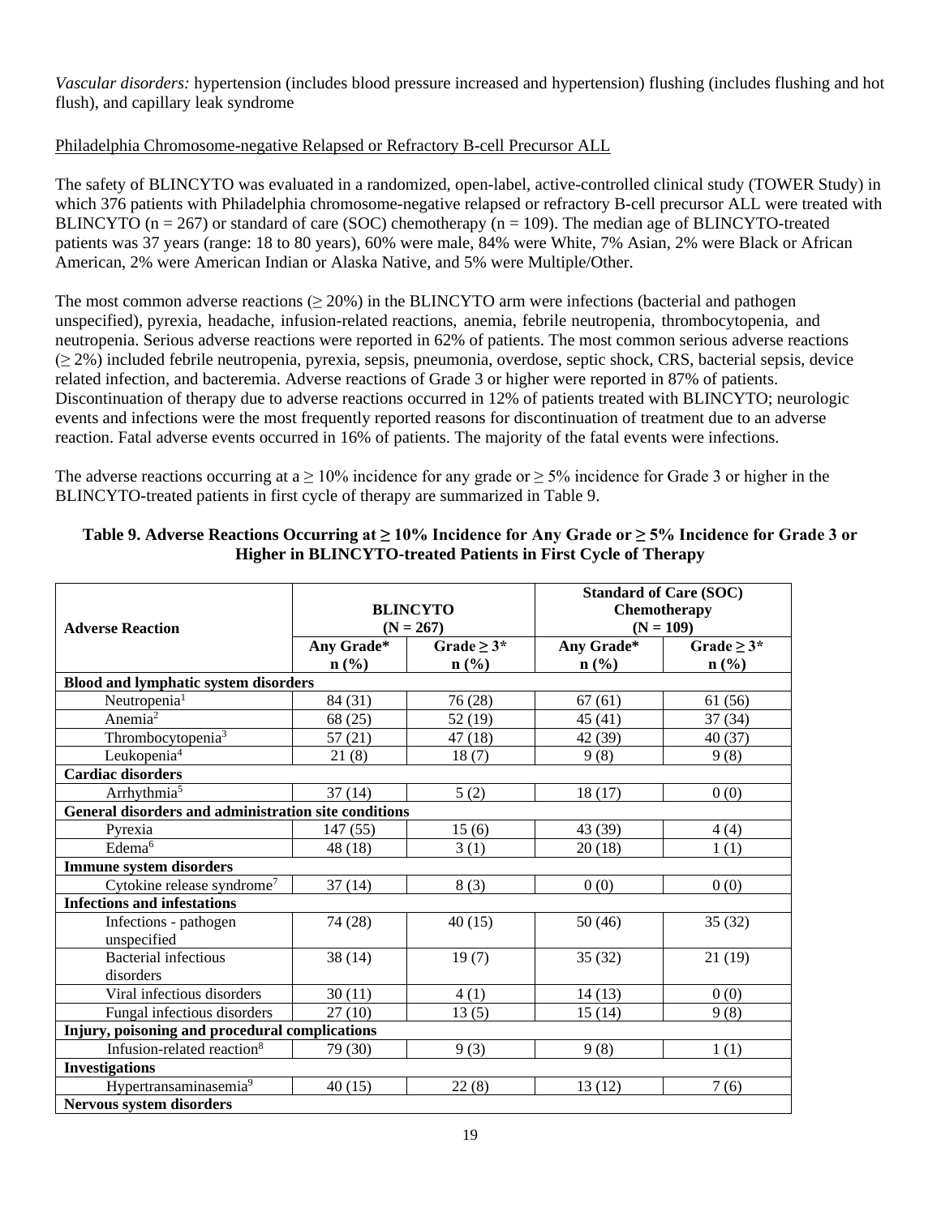*Vascular disorders:* hypertension (includes blood pressure increased and hypertension) flushing (includes flushing and hot flush), and capillary leak syndrome

## Philadelphia Chromosome-negative Relapsed or Refractory B-cell Precursor ALL

The safety of BLINCYTO was evaluated in a randomized, open-label, active-controlled clinical study (TOWER Study) in which 376 patients with Philadelphia chromosome-negative relapsed or refractory B-cell precursor ALL were treated with BLINCYTO ( $n = 267$ ) or standard of care (SOC) chemotherapy ( $n = 109$ ). The median age of BLINCYTO-treated patients was 37 years (range: 18 to 80 years), 60% were male, 84% were White, 7% Asian, 2% were Black or African American, 2% were American Indian or Alaska Native, and 5% were Multiple/Other.

The most common adverse reactions  $(\geq 20\%)$  in the BLINCYTO arm were infections (bacterial and pathogen unspecified), pyrexia, headache, infusion-related reactions, anemia, febrile neutropenia, thrombocytopenia, and neutropenia. Serious adverse reactions were reported in 62% of patients. The most common serious adverse reactions (≥ 2%) included febrile neutropenia, pyrexia, sepsis, pneumonia, overdose, septic shock, CRS, bacterial sepsis, device related infection, and bacteremia. Adverse reactions of Grade 3 or higher were reported in 87% of patients. Discontinuation of therapy due to adverse reactions occurred in 12% of patients treated with BLINCYTO; neurologic events and infections were the most frequently reported reasons for discontinuation of treatment due to an adverse reaction. Fatal adverse events occurred in 16% of patients. The majority of the fatal events were infections.

The adverse reactions occurring at a  $\geq 10\%$  incidence for any grade or  $\geq 5\%$  incidence for Grade 3 or higher in the BLINCYTO-treated patients in first cycle of therapy are summarized in Table 9.

| <b>Adverse Reaction</b>                              | <b>BLINCYTO</b><br>$(N = 267)$ |                  |                             | <b>Standard of Care (SOC)</b><br>Chemotherapy<br>$(N = 109)$ |
|------------------------------------------------------|--------------------------------|------------------|-----------------------------|--------------------------------------------------------------|
|                                                      | Any Grade*                     | Grade $\geq 3^*$ | Any Grade*                  | Grade $\geq 3^*$                                             |
|                                                      | n(%)                           | $n$ (%)          | $n\left(\frac{6}{6}\right)$ | $n\left(\frac{0}{0}\right)$                                  |
| <b>Blood and lymphatic system disorders</b>          |                                |                  |                             |                                                              |
| Neutropenia <sup>1</sup>                             | 84 (31)                        | 76 (28)          | 67(61)                      | 61 (56)                                                      |
| Anemia <sup>2</sup>                                  | 68 (25)                        | 52 (19)          | 45(41)                      | 37(34)                                                       |
| Thrombocytopenia <sup>3</sup>                        | 57(21)                         | 47 (18)          | 42 (39)                     | 40(37)                                                       |
| Leukopenia <sup>4</sup>                              | 21(8)                          | 18(7)            | 9(8)                        | 9(8)                                                         |
| <b>Cardiac disorders</b>                             |                                |                  |                             |                                                              |
| Arrhythmia <sup>5</sup>                              | 37(14)                         | 5(2)             | 18(17)                      | 0(0)                                                         |
| General disorders and administration site conditions |                                |                  |                             |                                                              |
| Pyrexia                                              | 147(55)                        | 15(6)            | 43 (39)                     | 4(4)                                                         |
| Edema <sup>6</sup>                                   | 48 (18)                        | 3(1)             | 20(18)                      | 1(1)                                                         |
| <b>Immune system disorders</b>                       |                                |                  |                             |                                                              |
| Cytokine release syndrome <sup>7</sup>               | 37(14)                         | 8(3)             | 0(0)                        | 0(0)                                                         |
| <b>Infections and infestations</b>                   |                                |                  |                             |                                                              |
| Infections - pathogen                                | 74 (28)                        | 40(15)           | 50(46)                      | 35(32)                                                       |
| unspecified                                          |                                |                  |                             |                                                              |
| <b>Bacterial</b> infectious                          | 38(14)                         | 19(7)            | 35(32)                      | 21(19)                                                       |
| disorders                                            |                                |                  |                             |                                                              |
| Viral infectious disorders                           | 30(11)                         | 4(1)             | 14(13)                      | 0(0)                                                         |
| Fungal infectious disorders                          | 27(10)                         | 13(5)            | 15(14)                      | 9(8)                                                         |
| Injury, poisoning and procedural complications       |                                |                  |                             |                                                              |
| Infusion-related reaction <sup>8</sup>               | 79 (30)                        | 9(3)             | 9(8)                        | 1(1)                                                         |
| <b>Investigations</b>                                |                                |                  |                             |                                                              |
| Hypertransaminasemia <sup>9</sup>                    | 40(15)                         | 22(8)            | 13(12)                      | 7(6)                                                         |
| <b>Nervous system disorders</b>                      |                                |                  |                             |                                                              |

#### **Table 9. Adverse Reactions Occurring at ≥ 10% Incidence for Any Grade or ≥ 5% Incidence for Grade 3 or Higher in BLINCYTO-treated Patients in First Cycle of Therapy**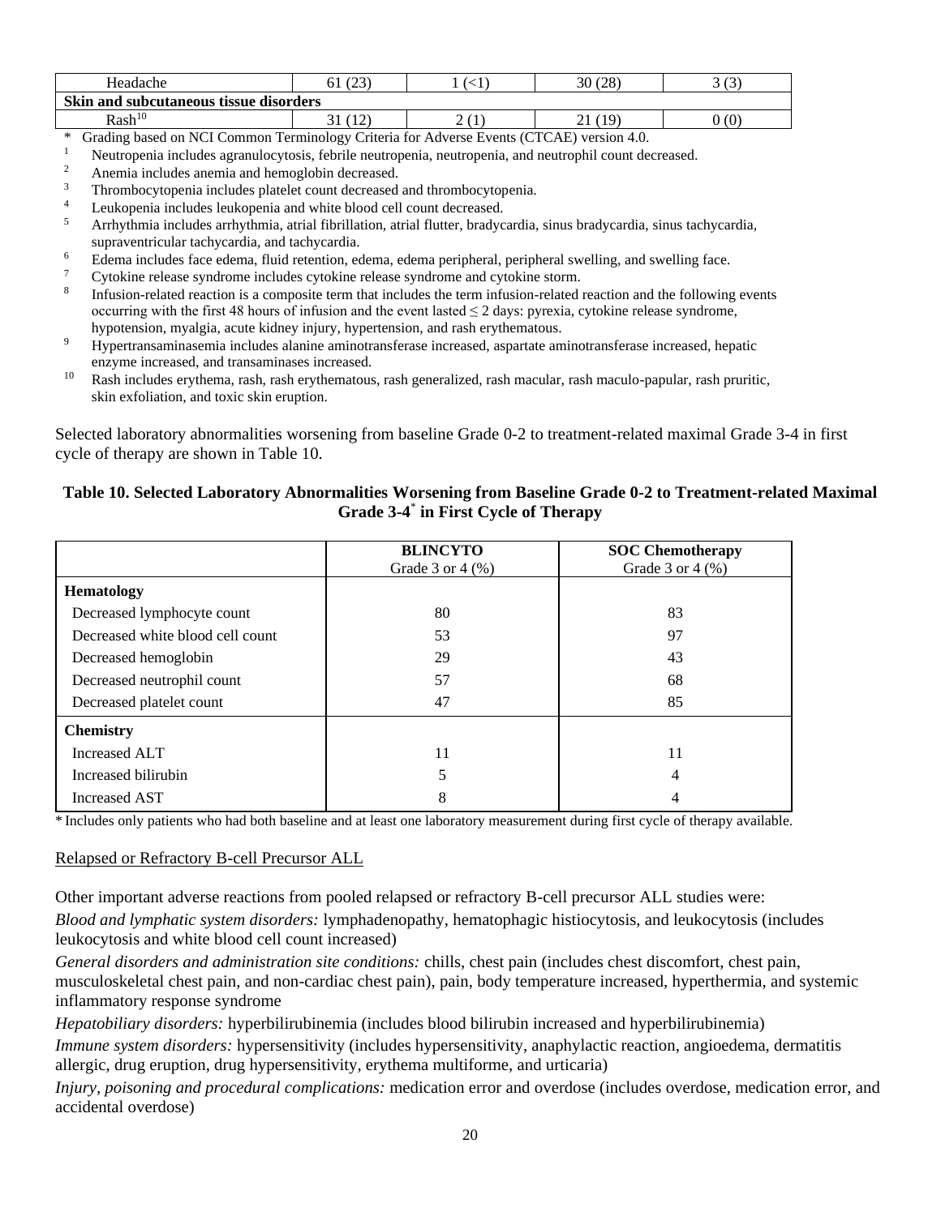| Headache                               | (2)<br>61<br>23 | ╮. | (28)<br>30      | $\sqrt{2}$<br>ت |
|----------------------------------------|-----------------|----|-----------------|-----------------|
| Skin and subcutaneous tissue disorders |                 |    |                 |                 |
| Rash <sup>10</sup>                     | 21<br>ЭΙ<br>┸   | ∸  | 7 Q<br>$\sim$ 1 | 0(0)            |

- \* Grading based on NCI Common Terminology Criteria for Adverse Events (CTCAE) version 4.0.
- <sup>1</sup> Neutropenia includes agranulocytosis, febrile neutropenia, neutropenia, and neutrophil count decreased.<br><sup>2</sup> Anemia includes anemia and hemoglobin decreased
- $\frac{2}{3}$  Anemia includes anemia and hemoglobin decreased.
- <sup>3</sup> Thrombocytopenia includes platelet count decreased and thrombocytopenia.<br><sup>4</sup> Laukopenia includes laukopenia and white blood call count decreased
- <sup>4</sup> Leukopenia includes leukopenia and white blood cell count decreased.<br> $\frac{5}{2}$  Ambatharia includes embatharia strict finillation strict flutter has due
- <sup>5</sup> Arrhythmia includes arrhythmia, atrial fibrillation, atrial flutter, bradycardia, sinus bradycardia, sinus tachycardia, supraventricular tachycardia, and tachycardia.
- $\frac{6}{7}$  Edema includes face edema, fluid retention, edema, edema peripheral, peripheral swelling, and swelling face.
- <sup>7</sup> Cytokine release syndrome includes cytokine release syndrome and cytokine storm.
- 8 Infusion-related reaction is a composite term that includes the term infusion-related reaction and the following events occurring with the first 48 hours of infusion and the event lasted  $\leq 2$  days: pyrexia, cytokine release syndrome, hypotension, myalgia, acute kidney injury, hypertension, and rash erythematous.
- <sup>9</sup> Hypertransaminasemia includes alanine aminotransferase increased, aspartate aminotransferase increased, hepatic enzyme increased, and transaminases increased.
- <sup>10</sup> Rash includes erythema, rash, rash erythematous, rash generalized, rash macular, rash maculo-papular, rash pruritic, skin exfoliation, and toxic skin eruption.

Selected laboratory abnormalities worsening from baseline Grade 0-2 to treatment-related maximal Grade 3-4 in first cycle of therapy are shown in Table 10.

## **Table 10. Selected Laboratory Abnormalities Worsening from Baseline Grade 0-2 to Treatment-related Maximal Grade 3-4** \* **in First Cycle of Therapy**

|                                  | <b>BLINCYTO</b><br>Grade $3$ or $4$ $(\%)$ | <b>SOC Chemotherapy</b><br>Grade $3$ or $4$ (%) |
|----------------------------------|--------------------------------------------|-------------------------------------------------|
| <b>Hematology</b>                |                                            |                                                 |
| Decreased lymphocyte count       | 80                                         | 83                                              |
| Decreased white blood cell count | 53                                         | 97                                              |
| Decreased hemoglobin             | 29                                         | 43                                              |
| Decreased neutrophil count       | 57                                         | 68                                              |
| Decreased platelet count         | 47                                         | 85                                              |
| <b>Chemistry</b>                 |                                            |                                                 |
| Increased ALT                    | 11                                         | 11                                              |
| Increased bilirubin              | 5                                          | 4                                               |
| Increased AST                    | 8                                          |                                                 |

\* Includes only patients who had both baseline and at least one laboratory measurement during first cycle of therapy available.

#### Relapsed or Refractory B-cell Precursor ALL

Other important adverse reactions from pooled relapsed or refractory B-cell precursor ALL studies were: *Blood and lymphatic system disorders:* lymphadenopathy, hematophagic histiocytosis, and leukocytosis (includes leukocytosis and white blood cell count increased)

*General disorders and administration site conditions:* chills, chest pain (includes chest discomfort, chest pain, musculoskeletal chest pain, and non-cardiac chest pain), pain, body temperature increased, hyperthermia, and systemic inflammatory response syndrome

*Hepatobiliary disorders:* hyperbilirubinemia (includes blood bilirubin increased and hyperbilirubinemia)

*Immune system disorders:* hypersensitivity (includes hypersensitivity, anaphylactic reaction, angioedema, dermatitis allergic, drug eruption, drug hypersensitivity, erythema multiforme, and urticaria)

*Injury, poisoning and procedural complications:* medication error and overdose (includes overdose, medication error, and accidental overdose)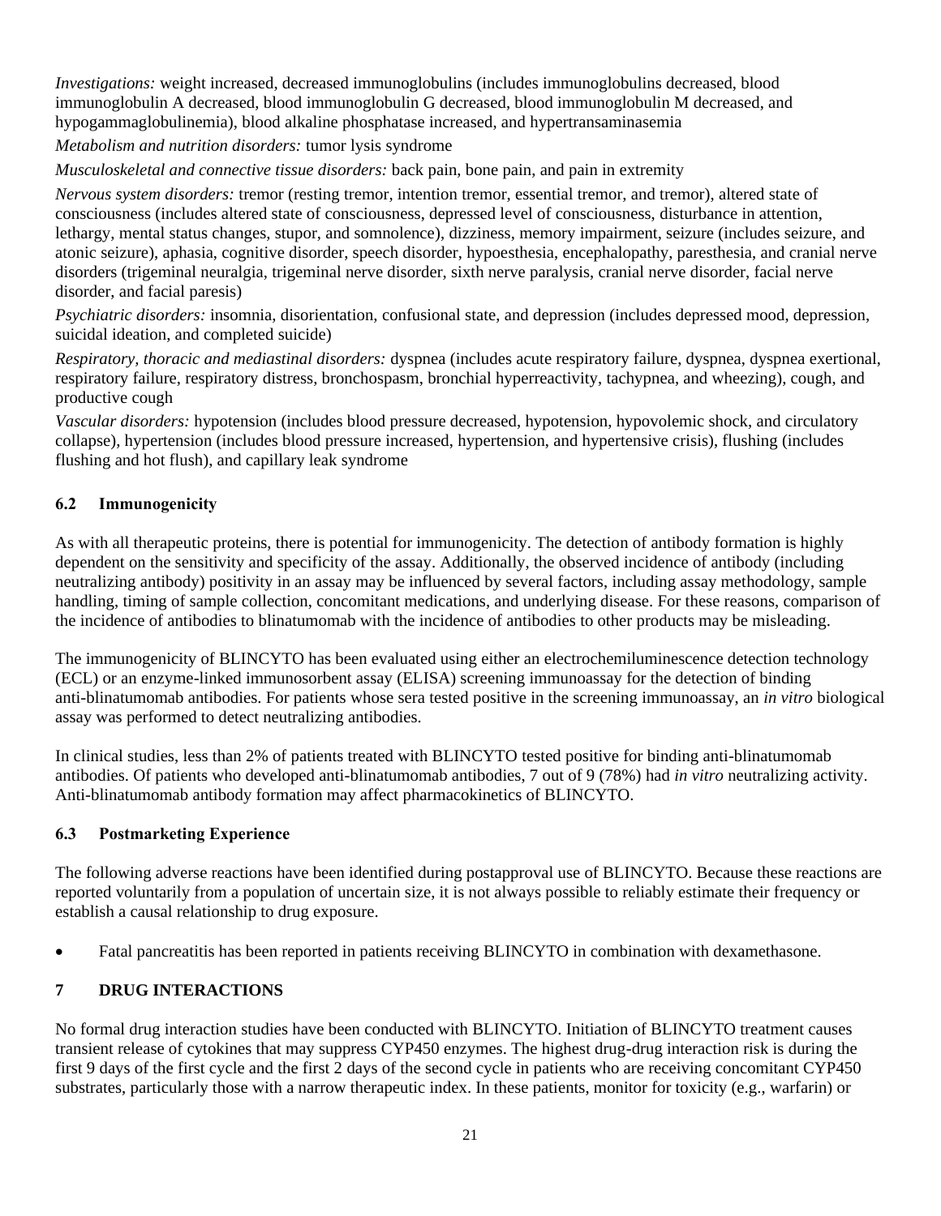*Investigations:* weight increased, decreased immunoglobulins (includes immunoglobulins decreased, blood immunoglobulin A decreased, blood immunoglobulin G decreased, blood immunoglobulin M decreased, and hypogammaglobulinemia), blood alkaline phosphatase increased, and hypertransaminasemia

*Metabolism and nutrition disorders:* tumor lysis syndrome

*Musculoskeletal and connective tissue disorders:* back pain, bone pain, and pain in extremity

*Nervous system disorders:* tremor (resting tremor, intention tremor, essential tremor, and tremor), altered state of consciousness (includes altered state of consciousness, depressed level of consciousness, disturbance in attention, lethargy, mental status changes, stupor, and somnolence), dizziness, memory impairment, seizure (includes seizure, and atonic seizure), aphasia, cognitive disorder, speech disorder, hypoesthesia, encephalopathy, paresthesia, and cranial nerve disorders (trigeminal neuralgia, trigeminal nerve disorder, sixth nerve paralysis, cranial nerve disorder, facial nerve disorder, and facial paresis)

*Psychiatric disorders:* insomnia, disorientation, confusional state, and depression (includes depressed mood, depression, suicidal ideation, and completed suicide)

*Respiratory, thoracic and mediastinal disorders:* dyspnea (includes acute respiratory failure, dyspnea, dyspnea exertional, respiratory failure, respiratory distress, bronchospasm, bronchial hyperreactivity, tachypnea, and wheezing), cough, and productive cough

*Vascular disorders:* hypotension (includes blood pressure decreased, hypotension, hypovolemic shock, and circulatory collapse), hypertension (includes blood pressure increased, hypertension, and hypertensive crisis), flushing (includes flushing and hot flush), and capillary leak syndrome

# **6.2 Immunogenicity**

As with all therapeutic proteins, there is potential for immunogenicity. The detection of antibody formation is highly dependent on the sensitivity and specificity of the assay. Additionally, the observed incidence of antibody (including neutralizing antibody) positivity in an assay may be influenced by several factors, including assay methodology, sample handling, timing of sample collection, concomitant medications, and underlying disease. For these reasons, comparison of the incidence of antibodies to blinatumomab with the incidence of antibodies to other products may be misleading.

The immunogenicity of BLINCYTO has been evaluated using either an electrochemiluminescence detection technology (ECL) or an enzyme-linked immunosorbent assay (ELISA) screening immunoassay for the detection of binding anti-blinatumomab antibodies. For patients whose sera tested positive in the screening immunoassay, an *in vitro* biological assay was performed to detect neutralizing antibodies.

In clinical studies, less than 2% of patients treated with BLINCYTO tested positive for binding anti-blinatumomab antibodies. Of patients who developed anti-blinatumomab antibodies, 7 out of 9 (78%) had *in vitro* neutralizing activity. Anti-blinatumomab antibody formation may affect pharmacokinetics of BLINCYTO.

#### **6.3 Postmarketing Experience**

The following adverse reactions have been identified during postapproval use of BLINCYTO. Because these reactions are reported voluntarily from a population of uncertain size, it is not always possible to reliably estimate their frequency or establish a causal relationship to drug exposure.

• Fatal pancreatitis has been reported in patients receiving BLINCYTO in combination with dexamethasone.

# **7 DRUG INTERACTIONS**

No formal drug interaction studies have been conducted with BLINCYTO. Initiation of BLINCYTO treatment causes transient release of cytokines that may suppress CYP450 enzymes. The highest drug-drug interaction risk is during the first 9 days of the first cycle and the first 2 days of the second cycle in patients who are receiving concomitant CYP450 substrates, particularly those with a narrow therapeutic index. In these patients, monitor for toxicity (e.g., warfarin) or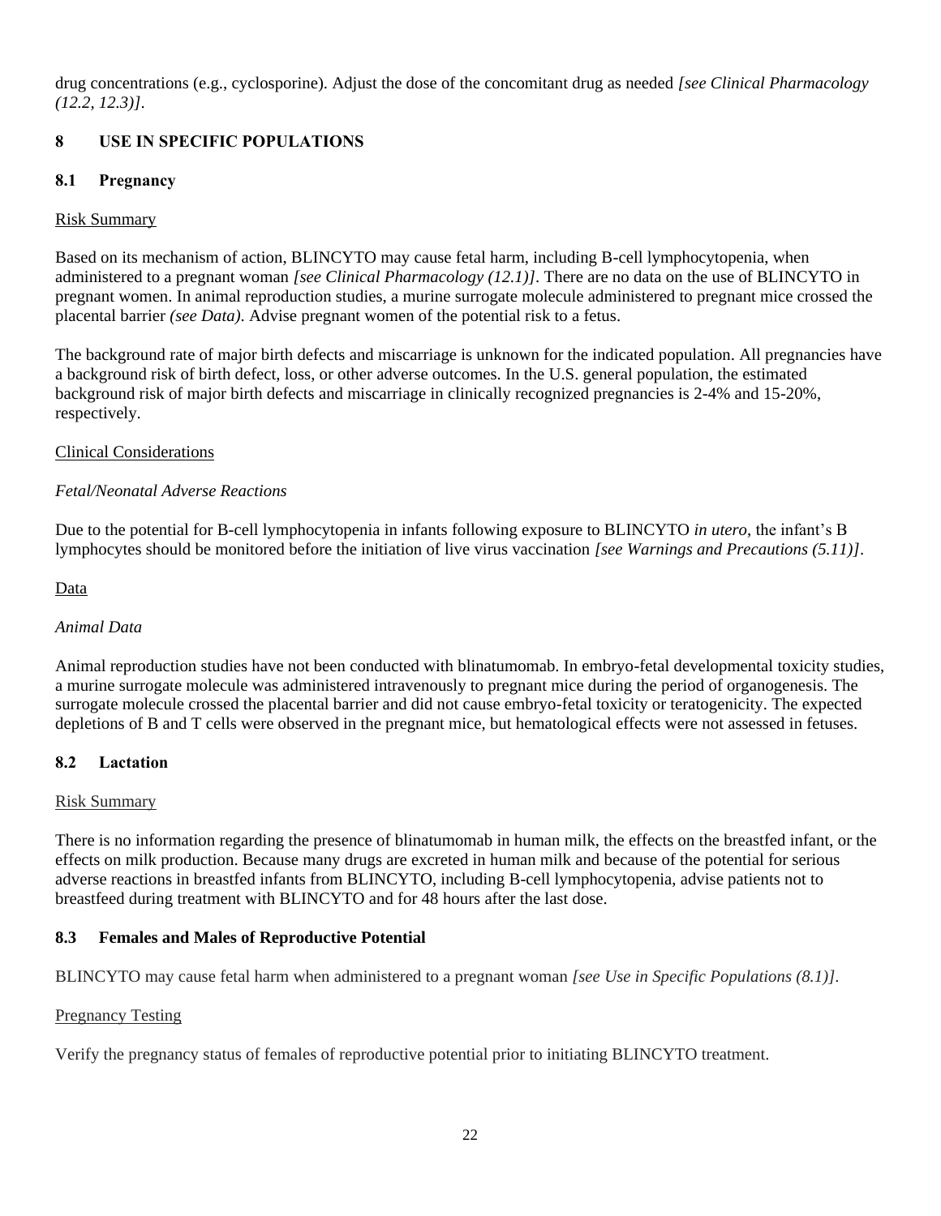drug concentrations (e.g., cyclosporine). Adjust the dose of the concomitant drug as needed *[see Clinical Pharmacology (12.2, 12.3)]*.

# **8 USE IN SPECIFIC POPULATIONS**

## **8.1 Pregnancy**

#### Risk Summary

Based on its mechanism of action, BLINCYTO may cause fetal harm, including B-cell lymphocytopenia, when administered to a pregnant woman *[see Clinical Pharmacology (12.1)]*. There are no data on the use of BLINCYTO in pregnant women. In animal reproduction studies, a murine surrogate molecule administered to pregnant mice crossed the placental barrier *(see Data)*. Advise pregnant women of the potential risk to a fetus.

The background rate of major birth defects and miscarriage is unknown for the indicated population. All pregnancies have a background risk of birth defect, loss, or other adverse outcomes. In the U.S. general population, the estimated background risk of major birth defects and miscarriage in clinically recognized pregnancies is 2-4% and 15-20%, respectively.

#### Clinical Considerations

## *Fetal/Neonatal Adverse Reactions*

Due to the potential for B-cell lymphocytopenia in infants following exposure to BLINCYTO *in utero*, the infant's B lymphocytes should be monitored before the initiation of live virus vaccination *[see Warnings and Precautions (5.11)]*.

#### Data

#### *Animal Data*

Animal reproduction studies have not been conducted with blinatumomab. In embryo-fetal developmental toxicity studies, a murine surrogate molecule was administered intravenously to pregnant mice during the period of organogenesis. The surrogate molecule crossed the placental barrier and did not cause embryo-fetal toxicity or teratogenicity. The expected depletions of B and T cells were observed in the pregnant mice, but hematological effects were not assessed in fetuses.

#### **8.2 Lactation**

#### Risk Summary

There is no information regarding the presence of blinatumomab in human milk, the effects on the breastfed infant, or the effects on milk production. Because many drugs are excreted in human milk and because of the potential for serious adverse reactions in breastfed infants from BLINCYTO, including B-cell lymphocytopenia, advise patients not to breastfeed during treatment with BLINCYTO and for 48 hours after the last dose.

#### **8.3 Females and Males of Reproductive Potential**

BLINCYTO may cause fetal harm when administered to a pregnant woman *[see Use in Specific Populations (8.1)]*.

#### Pregnancy Testing

Verify the pregnancy status of females of reproductive potential prior to initiating BLINCYTO treatment.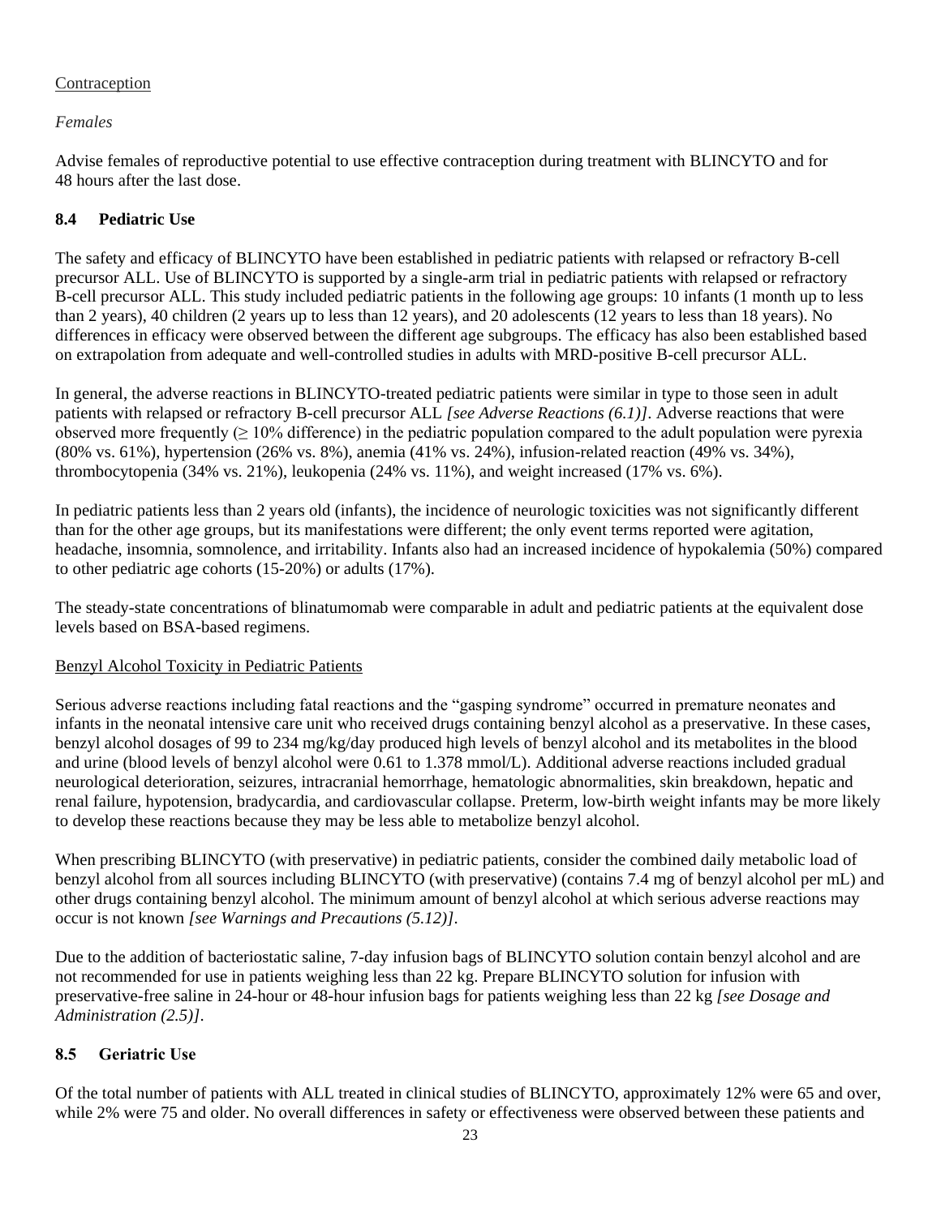# Contraception

# *Females*

Advise females of reproductive potential to use effective contraception during treatment with BLINCYTO and for 48 hours after the last dose.

# **8.4 Pediatric Use**

The safety and efficacy of BLINCYTO have been established in pediatric patients with relapsed or refractory B-cell precursor ALL. Use of BLINCYTO is supported by a single-arm trial in pediatric patients with relapsed or refractory B-cell precursor ALL. This study included pediatric patients in the following age groups: 10 infants (1 month up to less than 2 years), 40 children (2 years up to less than 12 years), and 20 adolescents (12 years to less than 18 years). No differences in efficacy were observed between the different age subgroups. The efficacy has also been established based on extrapolation from adequate and well-controlled studies in adults with MRD-positive B-cell precursor ALL.

In general, the adverse reactions in BLINCYTO-treated pediatric patients were similar in type to those seen in adult patients with relapsed or refractory B-cell precursor ALL *[see Adverse Reactions (6.1)]*. Adverse reactions that were observed more frequently  $(> 10\%$  difference) in the pediatric population compared to the adult population were pyrexia (80% vs. 61%), hypertension (26% vs. 8%), anemia (41% vs. 24%), infusion-related reaction (49% vs. 34%), thrombocytopenia (34% vs. 21%), leukopenia (24% vs. 11%), and weight increased (17% vs. 6%).

In pediatric patients less than 2 years old (infants), the incidence of neurologic toxicities was not significantly different than for the other age groups, but its manifestations were different; the only event terms reported were agitation, headache, insomnia, somnolence, and irritability. Infants also had an increased incidence of hypokalemia (50%) compared to other pediatric age cohorts (15-20%) or adults (17%).

The steady-state concentrations of blinatumomab were comparable in adult and pediatric patients at the equivalent dose levels based on BSA-based regimens.

# Benzyl Alcohol Toxicity in Pediatric Patients

Serious adverse reactions including fatal reactions and the "gasping syndrome" occurred in premature neonates and infants in the neonatal intensive care unit who received drugs containing benzyl alcohol as a preservative. In these cases, benzyl alcohol dosages of 99 to 234 mg/kg/day produced high levels of benzyl alcohol and its metabolites in the blood and urine (blood levels of benzyl alcohol were 0.61 to 1.378 mmol/L). Additional adverse reactions included gradual neurological deterioration, seizures, intracranial hemorrhage, hematologic abnormalities, skin breakdown, hepatic and renal failure, hypotension, bradycardia, and cardiovascular collapse. Preterm, low-birth weight infants may be more likely to develop these reactions because they may be less able to metabolize benzyl alcohol.

When prescribing BLINCYTO (with preservative) in pediatric patients, consider the combined daily metabolic load of benzyl alcohol from all sources including BLINCYTO (with preservative) (contains 7.4 mg of benzyl alcohol per mL) and other drugs containing benzyl alcohol. The minimum amount of benzyl alcohol at which serious adverse reactions may occur is not known *[see Warnings and Precautions (5.12)]*.

Due to the addition of bacteriostatic saline, 7-day infusion bags of BLINCYTO solution contain benzyl alcohol and are not recommended for use in patients weighing less than 22 kg. Prepare BLINCYTO solution for infusion with preservative-free saline in 24-hour or 48-hour infusion bags for patients weighing less than 22 kg *[see Dosage and Administration (2.5)]*.

# **8.5 Geriatric Use**

Of the total number of patients with ALL treated in clinical studies of BLINCYTO, approximately 12% were 65 and over, while 2% were 75 and older. No overall differences in safety or effectiveness were observed between these patients and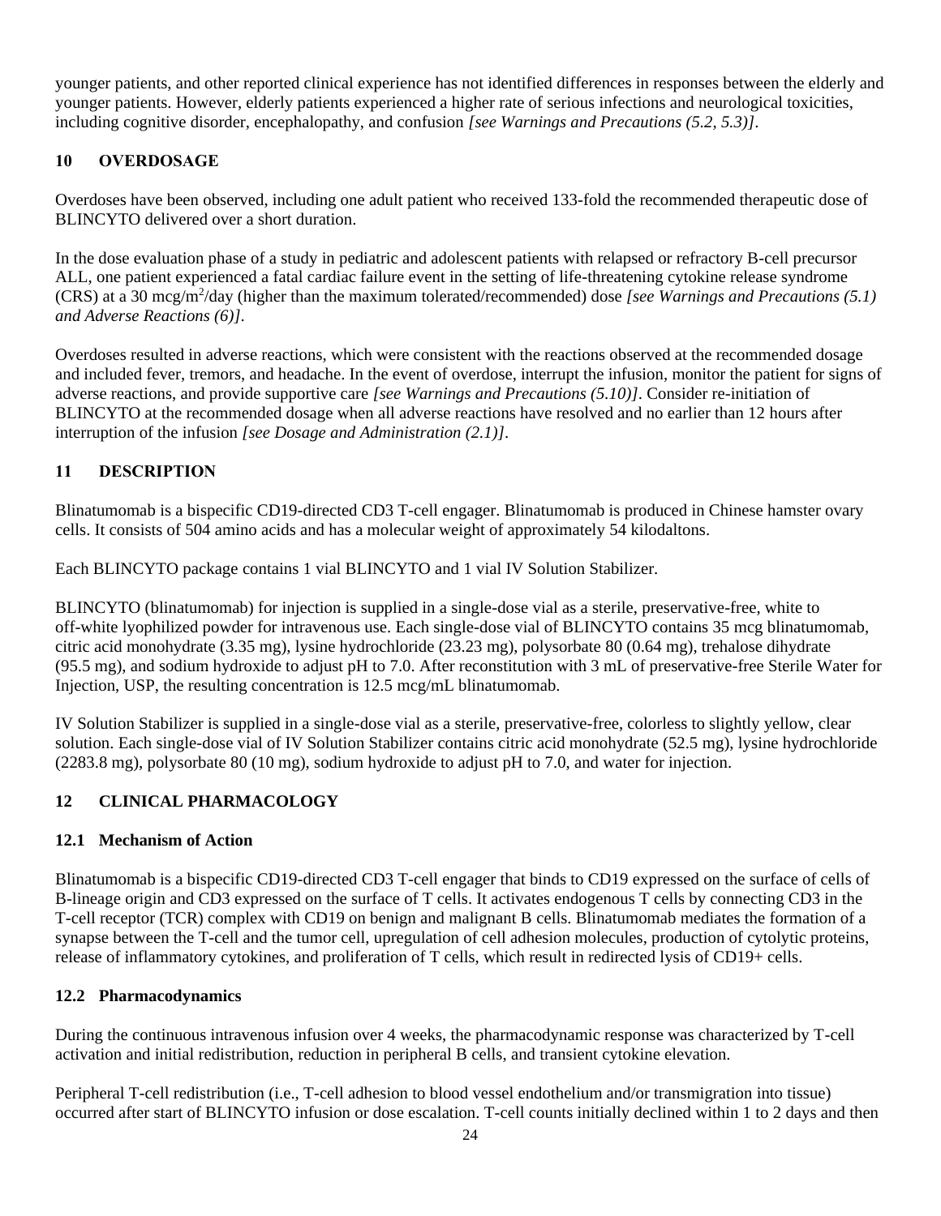younger patients, and other reported clinical experience has not identified differences in responses between the elderly and younger patients. However, elderly patients experienced a higher rate of serious infections and neurological toxicities, including cognitive disorder, encephalopathy, and confusion *[see Warnings and Precautions (5.2, 5.3)]*.

# **10 OVERDOSAGE**

Overdoses have been observed, including one adult patient who received 133-fold the recommended therapeutic dose of BLINCYTO delivered over a short duration.

In the dose evaluation phase of a study in pediatric and adolescent patients with relapsed or refractory B-cell precursor ALL, one patient experienced a fatal cardiac failure event in the setting of life-threatening cytokine release syndrome (CRS) at a 30 mcg/m<sup>2</sup> /day (higher than the maximum tolerated/recommended) dose *[see Warnings and Precautions (5.1) and Adverse Reactions (6)]*.

Overdoses resulted in adverse reactions, which were consistent with the reactions observed at the recommended dosage and included fever, tremors, and headache. In the event of overdose, interrupt the infusion, monitor the patient for signs of adverse reactions, and provide supportive care *[see Warnings and Precautions (5.10)]*. Consider re-initiation of BLINCYTO at the recommended dosage when all adverse reactions have resolved and no earlier than 12 hours after interruption of the infusion *[see Dosage and Administration (2.1)]*.

# **11 DESCRIPTION**

Blinatumomab is a bispecific CD19-directed CD3 T-cell engager. Blinatumomab is produced in Chinese hamster ovary cells. It consists of 504 amino acids and has a molecular weight of approximately 54 kilodaltons.

Each BLINCYTO package contains 1 vial BLINCYTO and 1 vial IV Solution Stabilizer.

BLINCYTO (blinatumomab) for injection is supplied in a single-dose vial as a sterile, preservative-free, white to off-white lyophilized powder for intravenous use. Each single-dose vial of BLINCYTO contains 35 mcg blinatumomab, citric acid monohydrate (3.35 mg), lysine hydrochloride (23.23 mg), polysorbate 80 (0.64 mg), trehalose dihydrate (95.5 mg), and sodium hydroxide to adjust pH to 7.0. After reconstitution with 3 mL of preservative-free Sterile Water for Injection, USP, the resulting concentration is 12.5 mcg/mL blinatumomab.

IV Solution Stabilizer is supplied in a single-dose vial as a sterile, preservative-free, colorless to slightly yellow, clear solution. Each single-dose vial of IV Solution Stabilizer contains citric acid monohydrate (52.5 mg), lysine hydrochloride (2283.8 mg), polysorbate 80 (10 mg), sodium hydroxide to adjust pH to 7.0, and water for injection.

# **12 CLINICAL PHARMACOLOGY**

# **12.1 Mechanism of Action**

Blinatumomab is a bispecific CD19-directed CD3 T-cell engager that binds to CD19 expressed on the surface of cells of B-lineage origin and CD3 expressed on the surface of T cells. It activates endogenous T cells by connecting CD3 in the T-cell receptor (TCR) complex with CD19 on benign and malignant B cells. Blinatumomab mediates the formation of a synapse between the T-cell and the tumor cell, upregulation of cell adhesion molecules, production of cytolytic proteins, release of inflammatory cytokines, and proliferation of T cells, which result in redirected lysis of CD19+ cells.

# **12.2 Pharmacodynamics**

During the continuous intravenous infusion over 4 weeks, the pharmacodynamic response was characterized by T-cell activation and initial redistribution, reduction in peripheral B cells, and transient cytokine elevation.

Peripheral T-cell redistribution (i.e., T-cell adhesion to blood vessel endothelium and/or transmigration into tissue) occurred after start of BLINCYTO infusion or dose escalation. T-cell counts initially declined within 1 to 2 days and then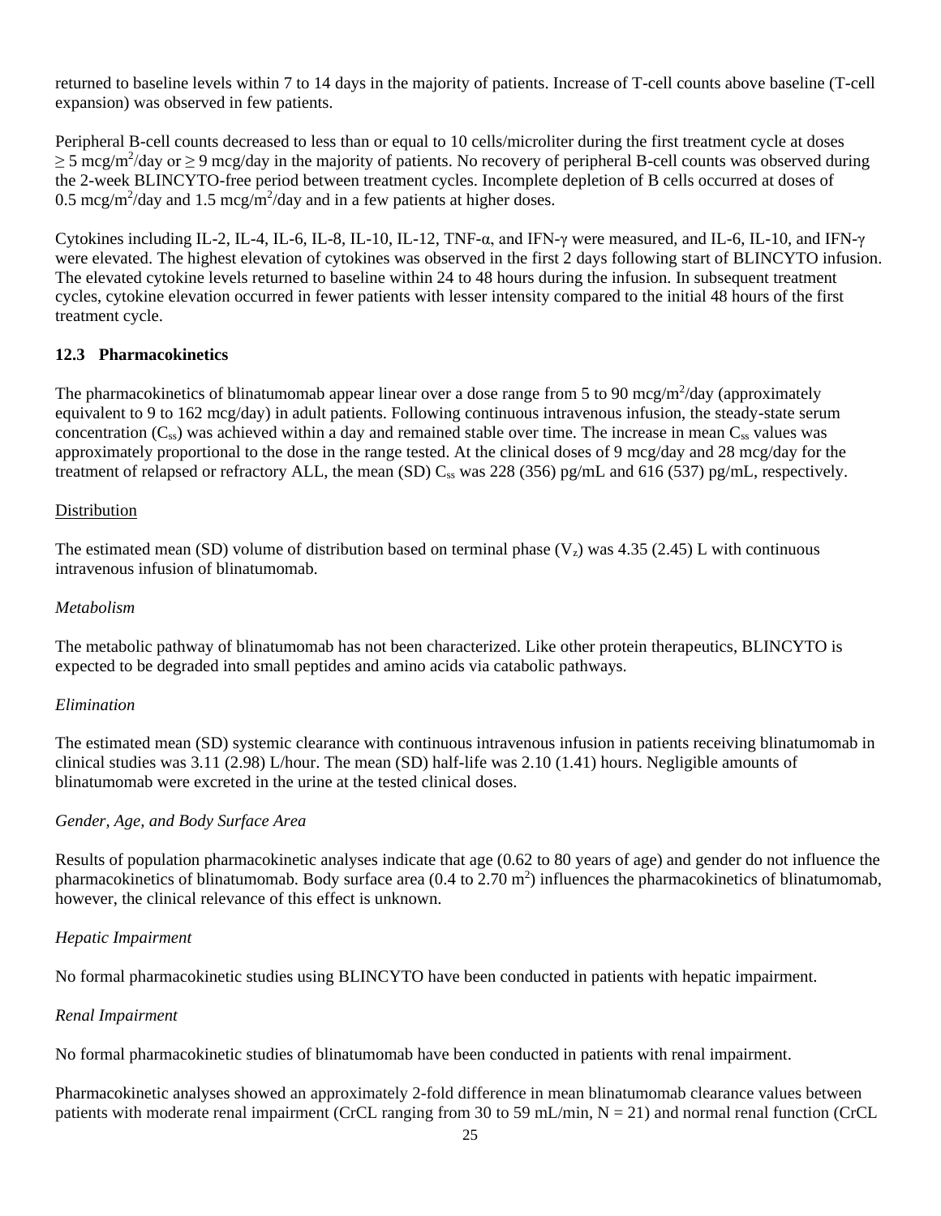returned to baseline levels within 7 to 14 days in the majority of patients. Increase of T-cell counts above baseline (T-cell expansion) was observed in few patients.

Peripheral B-cell counts decreased to less than or equal to 10 cells/microliter during the first treatment cycle at doses  $\geq$  5 mcg/m<sup>2</sup>/day or  $\geq$  9 mcg/day in the majority of patients. No recovery of peripheral B-cell counts was observed during the 2-week BLINCYTO-free period between treatment cycles. Incomplete depletion of B cells occurred at doses of 0.5 mcg/m<sup>2</sup>/day and 1.5 mcg/m<sup>2</sup>/day and in a few patients at higher doses.

Cytokines including IL-2, IL-4, IL-6, IL-8, IL-10, IL-12, TNF-α, and IFN-γ were measured, and IL-6, IL-10, and IFN-γ were elevated. The highest elevation of cytokines was observed in the first 2 days following start of BLINCYTO infusion. The elevated cytokine levels returned to baseline within 24 to 48 hours during the infusion. In subsequent treatment cycles, cytokine elevation occurred in fewer patients with lesser intensity compared to the initial 48 hours of the first treatment cycle.

#### **12.3 Pharmacokinetics**

The pharmacokinetics of blinatumomab appear linear over a dose range from 5 to 90 mcg/m<sup>2</sup>/day (approximately equivalent to 9 to 162 mcg/day) in adult patients. Following continuous intravenous infusion, the steady-state serum concentration  $(C_{ss})$  was achieved within a day and remained stable over time. The increase in mean  $C_{ss}$  values was approximately proportional to the dose in the range tested. At the clinical doses of 9 mcg/day and 28 mcg/day for the treatment of relapsed or refractory ALL, the mean (SD)  $C_{ss}$  was 228 (356) pg/mL and 616 (537) pg/mL, respectively.

#### Distribution

The estimated mean (SD) volume of distribution based on terminal phase  $(V<sub>z</sub>)$  was 4.35 (2.45) L with continuous intravenous infusion of blinatumomab.

#### *Metabolism*

The metabolic pathway of blinatumomab has not been characterized. Like other protein therapeutics, BLINCYTO is expected to be degraded into small peptides and amino acids via catabolic pathways.

#### *Elimination*

The estimated mean (SD) systemic clearance with continuous intravenous infusion in patients receiving blinatumomab in clinical studies was 3.11 (2.98) L/hour. The mean (SD) half-life was 2.10 (1.41) hours. Negligible amounts of blinatumomab were excreted in the urine at the tested clinical doses.

#### *Gender, Age, and Body Surface Area*

Results of population pharmacokinetic analyses indicate that age (0.62 to 80 years of age) and gender do not influence the pharmacokinetics of blinatumomab. Body surface area  $(0.4 \text{ to } 2.70 \text{ m}^2)$  influences the pharmacokinetics of blinatumomab, however, the clinical relevance of this effect is unknown.

#### *Hepatic Impairment*

No formal pharmacokinetic studies using BLINCYTO have been conducted in patients with hepatic impairment.

#### *Renal Impairment*

No formal pharmacokinetic studies of blinatumomab have been conducted in patients with renal impairment.

Pharmacokinetic analyses showed an approximately 2-fold difference in mean blinatumomab clearance values between patients with moderate renal impairment (CrCL ranging from 30 to 59 mL/min,  $N = 21$ ) and normal renal function (CrCL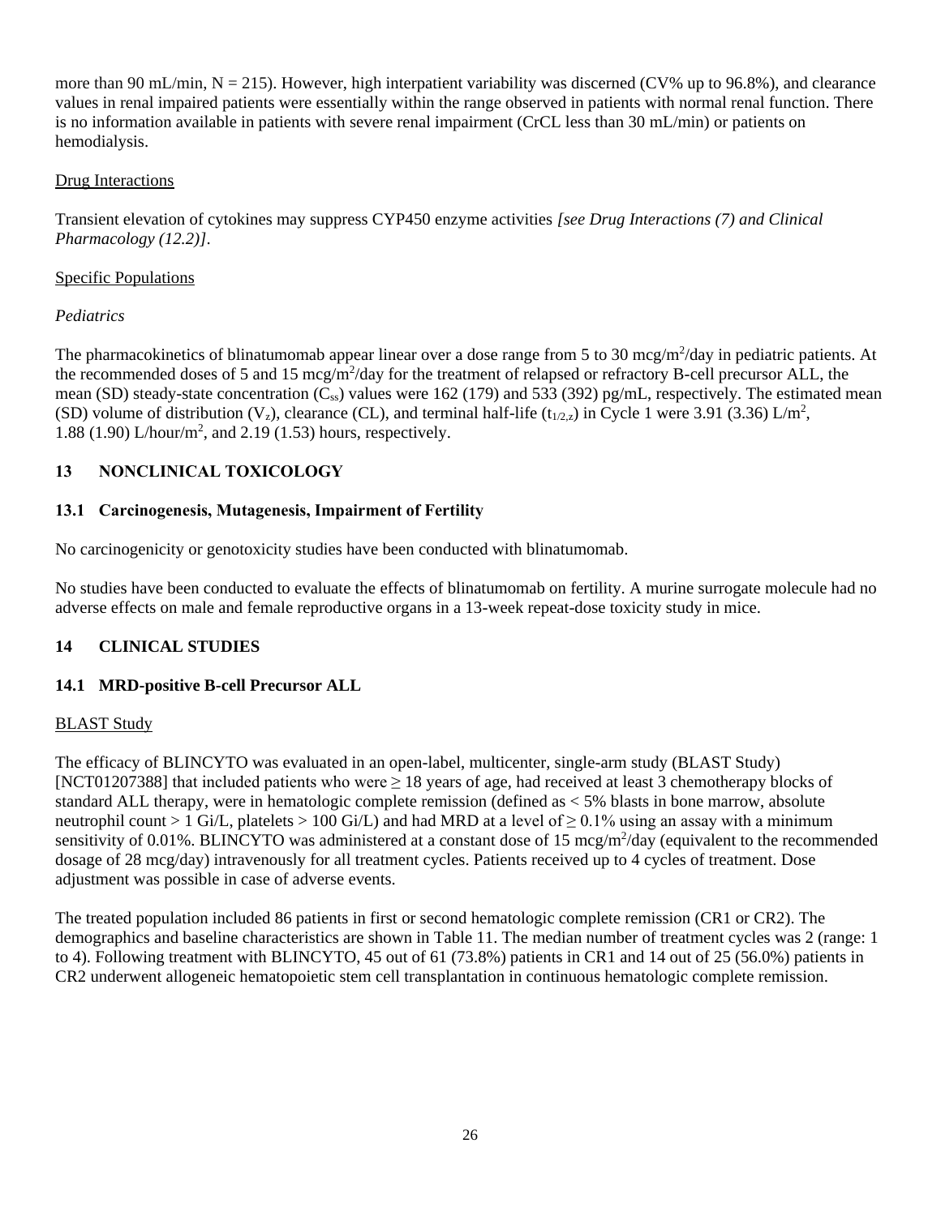more than 90 mL/min,  $N = 215$ ). However, high interpatient variability was discerned (CV% up to 96.8%), and clearance values in renal impaired patients were essentially within the range observed in patients with normal renal function. There is no information available in patients with severe renal impairment (CrCL less than 30 mL/min) or patients on hemodialysis.

# Drug Interactions

Transient elevation of cytokines may suppress CYP450 enzyme activities *[see Drug Interactions (7) and Clinical Pharmacology (12.2)]*.

# Specific Populations

# *Pediatrics*

The pharmacokinetics of blinatumomab appear linear over a dose range from 5 to 30 mcg/m<sup>2</sup>/day in pediatric patients. At the recommended doses of 5 and 15 mcg/m<sup>2</sup>/day for the treatment of relapsed or refractory B-cell precursor ALL, the mean (SD) steady-state concentration ( $C_{ss}$ ) values were 162 (179) and 533 (392) pg/mL, respectively. The estimated mean (SD) volume of distribution (V<sub>z</sub>), clearance (CL), and terminal half-life (t<sub>1/2,z</sub>) in Cycle 1 were 3.91 (3.36) L/m<sup>2</sup>, 1.88 (1.90) L/hour/m<sup>2</sup> , and 2.19 (1.53) hours, respectively.

# **13 NONCLINICAL TOXICOLOGY**

# **13.1 Carcinogenesis, Mutagenesis, Impairment of Fertility**

No carcinogenicity or genotoxicity studies have been conducted with blinatumomab.

No studies have been conducted to evaluate the effects of blinatumomab on fertility. A murine surrogate molecule had no adverse effects on male and female reproductive organs in a 13-week repeat-dose toxicity study in mice.

# **14 CLINICAL STUDIES**

# **14.1 MRD-positive B-cell Precursor ALL**

# BLAST Study

The efficacy of BLINCYTO was evaluated in an open-label, multicenter, single-arm study (BLAST Study) [NCT01207388] that included patients who were  $\geq 18$  years of age, had received at least 3 chemotherapy blocks of standard ALL therapy, were in hematologic complete remission (defined as < 5% blasts in bone marrow, absolute neutrophil count > 1 Gi/L, platelets > 100 Gi/L) and had MRD at a level of  $\geq 0.1\%$  using an assay with a minimum sensitivity of 0.01%. BLINCYTO was administered at a constant dose of 15  $\text{mcg/m}^2/\text{day}$  (equivalent to the recommended dosage of 28 mcg/day) intravenously for all treatment cycles. Patients received up to 4 cycles of treatment. Dose adjustment was possible in case of adverse events.

The treated population included 86 patients in first or second hematologic complete remission (CR1 or CR2). The demographics and baseline characteristics are shown in Table 11. The median number of treatment cycles was 2 (range: 1 to 4). Following treatment with BLINCYTO, 45 out of 61 (73.8%) patients in CR1 and 14 out of 25 (56.0%) patients in CR2 underwent allogeneic hematopoietic stem cell transplantation in continuous hematologic complete remission.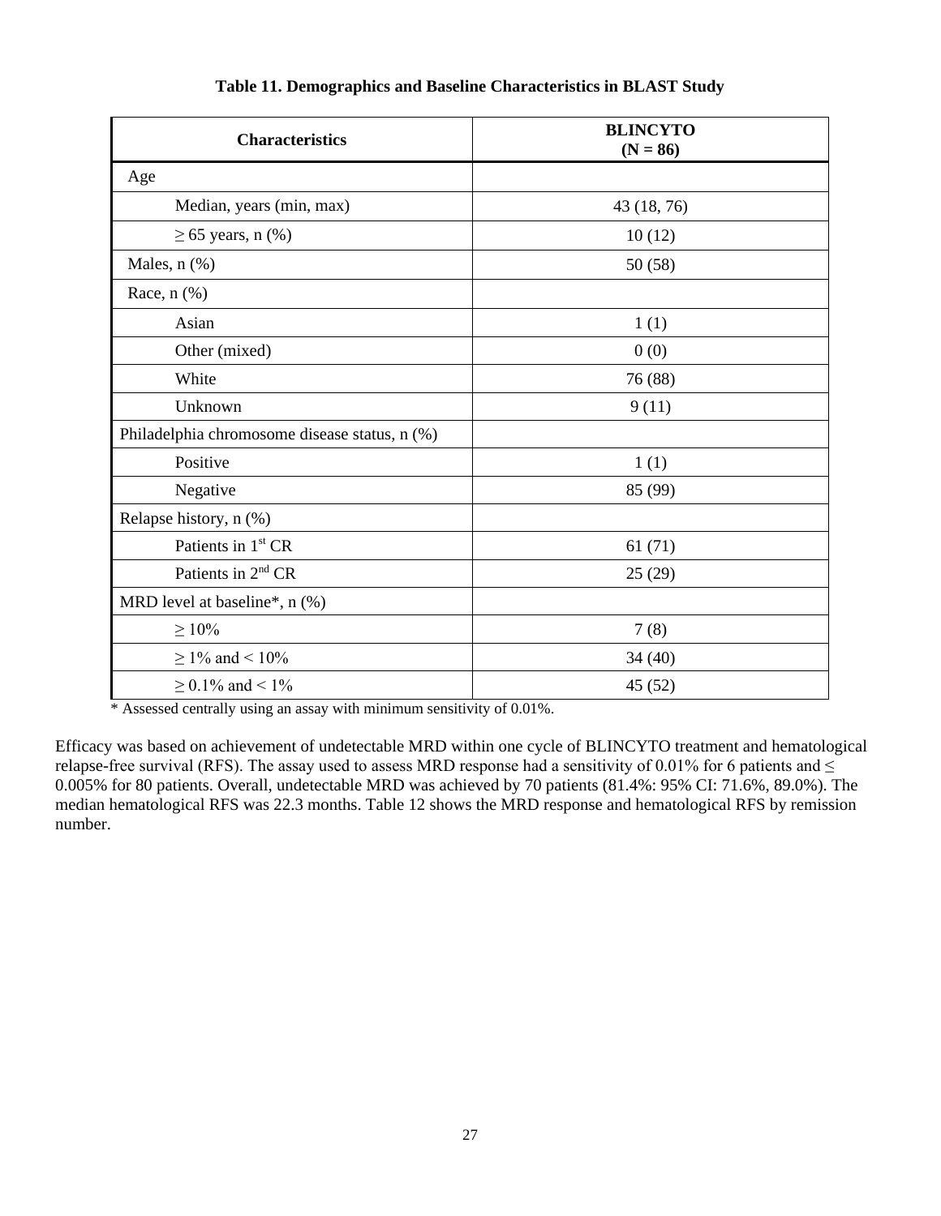| <b>Characteristics</b>                        | <b>BLINCYTO</b><br>$(N = 86)$ |
|-----------------------------------------------|-------------------------------|
| Age                                           |                               |
| Median, years (min, max)                      | 43 (18, 76)                   |
| $\geq 65$ years, n (%)                        | 10(12)                        |
| Males, $n$ $(\%)$                             | 50 (58)                       |
| Race, $n$ $(\%)$                              |                               |
| Asian                                         | 1(1)                          |
| Other (mixed)                                 | 0(0)                          |
| White                                         | 76 (88)                       |
| Unknown                                       | 9(11)                         |
| Philadelphia chromosome disease status, n (%) |                               |
| Positive                                      | 1(1)                          |
| Negative                                      | 85 (99)                       |
| Relapse history, n (%)                        |                               |
| Patients in 1 <sup>st</sup> CR                | 61(71)                        |
| Patients in 2 <sup>nd</sup> CR                | 25(29)                        |
| MRD level at baseline*, $n$ (%)               |                               |
| $\geq 10\%$                                   | 7(8)                          |
| $\geq$ 1% and < 10%                           | 34(40)                        |
| $\geq$ 0.1% and < 1%                          | 45 (52)                       |

#### **Table 11. Demographics and Baseline Characteristics in BLAST Study**

\* Assessed centrally using an assay with minimum sensitivity of 0.01%.

Efficacy was based on achievement of undetectable MRD within one cycle of BLINCYTO treatment and hematological relapse-free survival (RFS). The assay used to assess MRD response had a sensitivity of 0.01% for 6 patients and  $\leq$ 0.005% for 80 patients. Overall, undetectable MRD was achieved by 70 patients (81.4%: 95% CI: 71.6%, 89.0%). The median hematological RFS was 22.3 months. Table 12 shows the MRD response and hematological RFS by remission number.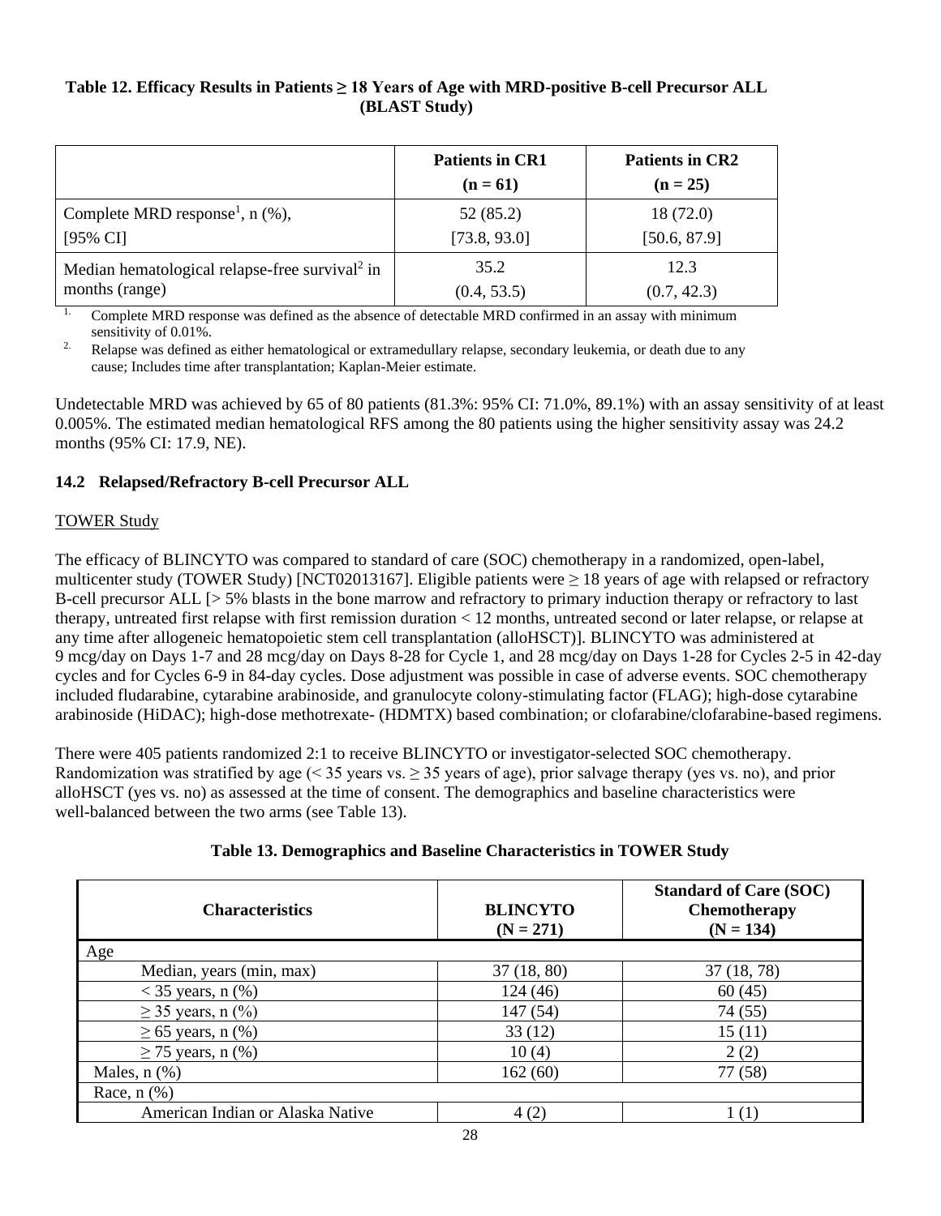# **Table 12. Efficacy Results in Patients ≥ 18 Years of Age with MRD-positive B-cell Precursor ALL (BLAST Study)**

|                                                            | <b>Patients in CR1</b><br>$(n = 61)$ | <b>Patients in CR2</b><br>$(n = 25)$ |
|------------------------------------------------------------|--------------------------------------|--------------------------------------|
| Complete MRD response <sup>1</sup> , $n$ (%),              | 52 (85.2)                            | 18 (72.0)                            |
| $[95\% \text{ CI}]$                                        | [73.8, 93.0]                         | [50.6, 87.9]                         |
| Median hematological relapse-free survival <sup>2</sup> in | 35.2                                 | 12.3                                 |
| months (range)                                             | (0.4, 53.5)                          | (0.7, 42.3)                          |

<sup>1.</sup> Complete MRD response was defined as the absence of detectable MRD confirmed in an assay with minimum sensitivity of 0.01%.

<sup>2.</sup> Relapse was defined as either hematological or extramedullary relapse, secondary leukemia, or death due to any cause; Includes time after transplantation; Kaplan-Meier estimate.

Undetectable MRD was achieved by 65 of 80 patients (81.3%: 95% CI: 71.0%, 89.1%) with an assay sensitivity of at least 0.005%. The estimated median hematological RFS among the 80 patients using the higher sensitivity assay was 24.2 months (95% CI: 17.9, NE).

# **14.2 Relapsed/Refractory B-cell Precursor ALL**

## TOWER Study

The efficacy of BLINCYTO was compared to standard of care (SOC) chemotherapy in a randomized, open-label, multicenter study (TOWER Study) [NCT02013167]. Eligible patients were  $\geq 18$  years of age with relapsed or refractory B-cell precursor ALL [> 5% blasts in the bone marrow and refractory to primary induction therapy or refractory to last therapy, untreated first relapse with first remission duration < 12 months, untreated second or later relapse, or relapse at any time after allogeneic hematopoietic stem cell transplantation (alloHSCT)]. BLINCYTO was administered at 9 mcg/day on Days 1-7 and 28 mcg/day on Days 8-28 for Cycle 1, and 28 mcg/day on Days 1-28 for Cycles 2-5 in 42-day cycles and for Cycles 6-9 in 84-day cycles. Dose adjustment was possible in case of adverse events. SOC chemotherapy included fludarabine, cytarabine arabinoside, and granulocyte colony-stimulating factor (FLAG); high-dose cytarabine arabinoside (HiDAC); high-dose methotrexate- (HDMTX) based combination; or clofarabine/clofarabine-based regimens.

There were 405 patients randomized 2:1 to receive BLINCYTO or investigator-selected SOC chemotherapy. Randomization was stratified by age (< 35 years vs.  $> 35$  years of age), prior salvage therapy (yes vs. no), and prior alloHSCT (yes vs. no) as assessed at the time of consent. The demographics and baseline characteristics were well-balanced between the two arms (see Table 13).

| <b>Characteristics</b>           | <b>BLINCYTO</b><br>$(N = 271)$ | <b>Standard of Care (SOC)</b><br><b>Chemotherapy</b><br>$(N = 134)$ |
|----------------------------------|--------------------------------|---------------------------------------------------------------------|
| Age                              |                                |                                                                     |
| Median, years (min, max)         | 37(18, 80)                     | 37 (18, 78)                                                         |
| $<$ 35 years, n $(\%)$           | 124(46)                        | 60(45)                                                              |
| $\geq$ 35 years, n (%)           | 147 (54)                       | 74 (55)                                                             |
| $\geq 65$ years, n $(\% )$       | 33(12)                         | 15(11)                                                              |
| $\geq$ 75 years, n (%)           | 10(4)                          | 2(2)                                                                |
| Males, $n$ $(\%)$                | 162(60)                        | 77 (58)                                                             |
| Race, $n$ $(\%)$                 |                                |                                                                     |
| American Indian or Alaska Native | 4(2)                           | (1)                                                                 |

#### **Table 13. Demographics and Baseline Characteristics in TOWER Study**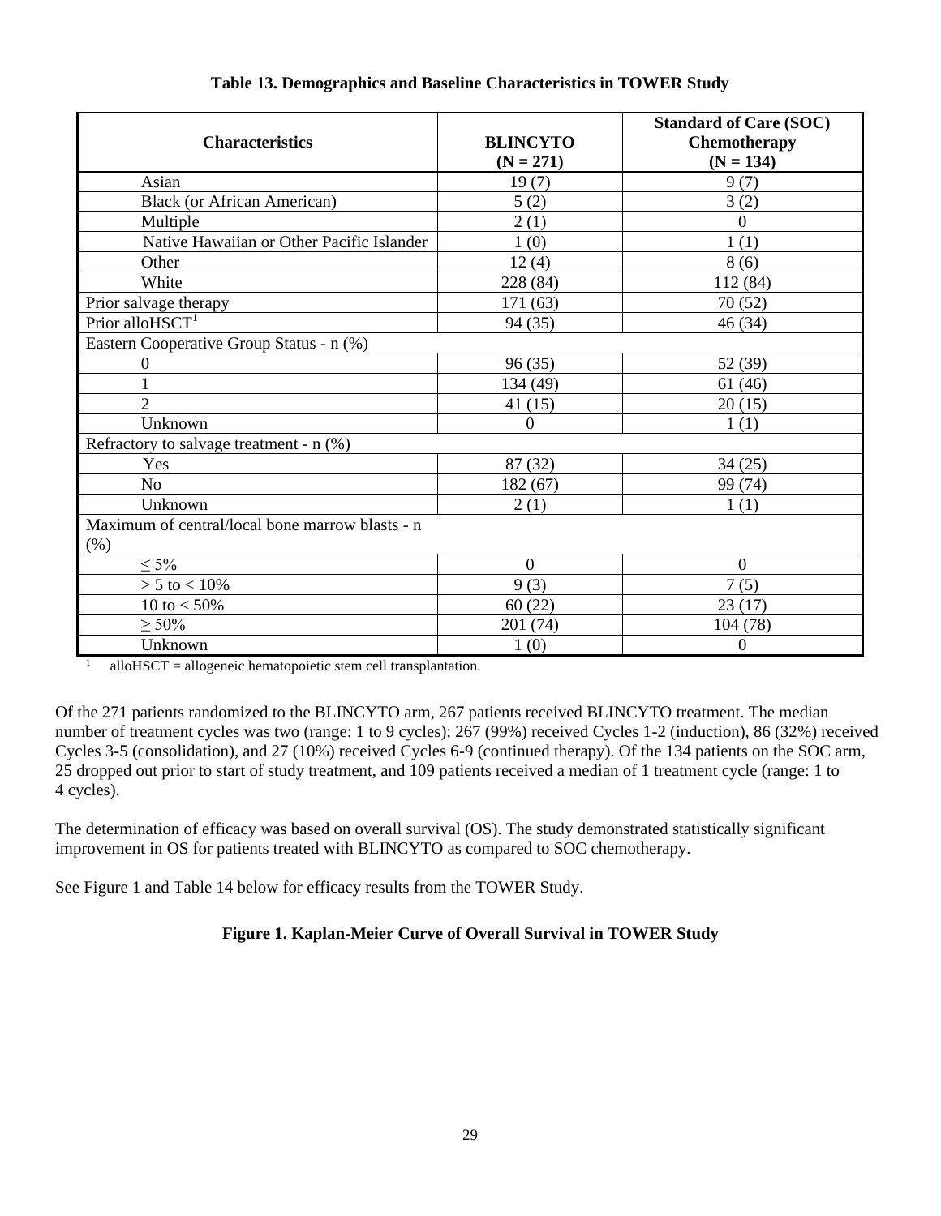| <b>Characteristics</b>                                     | <b>BLINCYTO</b><br>$(N = 271)$ | <b>Standard of Care (SOC)</b><br>Chemotherapy<br>$(N = 134)$ |  |  |
|------------------------------------------------------------|--------------------------------|--------------------------------------------------------------|--|--|
| Asian                                                      | 19(7)                          | 9(7)                                                         |  |  |
| <b>Black</b> (or African American)                         | 5(2)                           | 3(2)                                                         |  |  |
| Multiple                                                   | 2(1)                           | $\Omega$                                                     |  |  |
| Native Hawaiian or Other Pacific Islander                  | 1(0)                           | 1(1)                                                         |  |  |
| Other                                                      | 12(4)                          | 8(6)                                                         |  |  |
| White                                                      | 228 (84)                       | 112 (84)                                                     |  |  |
| Prior salvage therapy                                      | 171 (63)                       | 70(52)                                                       |  |  |
| Prior alloHSCT <sup>1</sup>                                | 94 (35)                        | 46(34)                                                       |  |  |
| Eastern Cooperative Group Status - n (%)                   |                                |                                                              |  |  |
| $\mathbf{0}$                                               | 96(35)                         | 52 (39)                                                      |  |  |
|                                                            | 134 (49)                       | 61(46)                                                       |  |  |
| $\overline{2}$                                             | 41(15)                         | 20(15)                                                       |  |  |
| Unknown                                                    | $\Omega$                       | 1(1)                                                         |  |  |
| Refractory to salvage treatment - n (%)                    |                                |                                                              |  |  |
| Yes                                                        | 87 (32)                        | 34(25)                                                       |  |  |
| N <sub>o</sub>                                             | 182 (67)                       | 99 (74)                                                      |  |  |
| Unknown                                                    | 2(1)                           | 1(1)                                                         |  |  |
| Maximum of central/local bone marrow blasts - n<br>$(\% )$ |                                |                                                              |  |  |
| $\leq 5\%$                                                 | $\overline{0}$                 | $\boldsymbol{0}$                                             |  |  |
| $> 5$ to $< 10\%$                                          | 9(3)                           | 7(5)                                                         |  |  |
| 10 to $< 50\%$                                             | 60(22)                         | 23(17)                                                       |  |  |
| $\geq 50\%$                                                | 201 (74)                       | 104(78)                                                      |  |  |
| Unknown                                                    | 1(0)                           | $\boldsymbol{0}$                                             |  |  |

# **Table 13. Demographics and Baseline Characteristics in TOWER Study**

 $1$  alloHSCT = allogeneic hematopoietic stem cell transplantation.

Of the 271 patients randomized to the BLINCYTO arm, 267 patients received BLINCYTO treatment. The median number of treatment cycles was two (range: 1 to 9 cycles); 267 (99%) received Cycles 1-2 (induction), 86 (32%) received Cycles 3-5 (consolidation), and 27 (10%) received Cycles 6-9 (continued therapy). Of the 134 patients on the SOC arm, 25 dropped out prior to start of study treatment, and 109 patients received a median of 1 treatment cycle (range: 1 to 4 cycles).

The determination of efficacy was based on overall survival (OS). The study demonstrated statistically significant improvement in OS for patients treated with BLINCYTO as compared to SOC chemotherapy.

See Figure 1 and Table 14 below for efficacy results from the TOWER Study.

# **Figure 1. Kaplan-Meier Curve of Overall Survival in TOWER Study**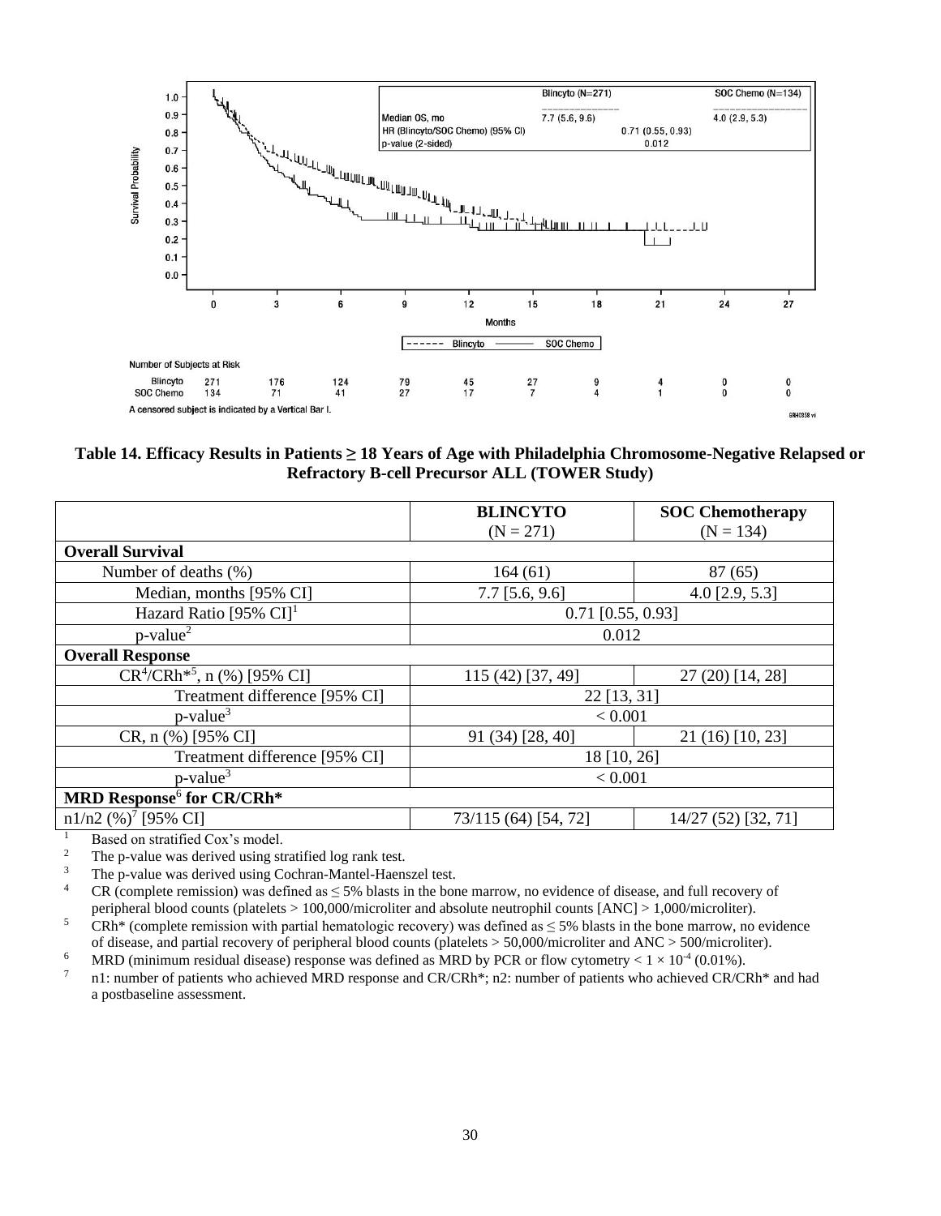

**Table 14. Efficacy Results in Patients ≥ 18 Years of Age with Philadelphia Chromosome-Negative Relapsed or Refractory B-cell Precursor ALL (TOWER Study)**

|                                       | <b>BLINCYTO</b>      | <b>SOC Chemotherapy</b> |  |
|---------------------------------------|----------------------|-------------------------|--|
|                                       | $(N = 271)$          | $(N = 134)$             |  |
| <b>Overall Survival</b>               |                      |                         |  |
| Number of deaths $(\%)$               | 164(61)              | 87(65)                  |  |
| Median, months [95% CI]               | $7.7$ [5.6, 9.6]     | $4.0$ [2.9, 5.3]        |  |
| Hazard Ratio [95% $CI$ ] <sup>1</sup> | $0.71$ [0.55, 0.93]  |                         |  |
| $p$ -value <sup>2</sup>               | 0.012                |                         |  |
| <b>Overall Response</b>               |                      |                         |  |
| $CR^4/CRh^{*5}$ , n (%) [95% CI]      | 115 (42) [37, 49]    | 27 (20) [14, 28]        |  |
| Treatment difference [95% CI]         | 22 [13, 31]          |                         |  |
| $p$ -value <sup>3</sup>               | < 0.001              |                         |  |
| CR, n (%) [95% CI]                    | 91 (34) [28, 40]     | 21 (16) [10, 23]        |  |
| Treatment difference [95% CI]         | 18 [10, 26]          |                         |  |
| $p$ -value <sup>3</sup>               | < 0.001              |                         |  |
| MRD Response <sup>6</sup> for CR/CRh* |                      |                         |  |
| $n1/n2$ (%) <sup>7</sup> [95% CI]     | 73/115 (64) [54, 72] | 14/27 (52) [32, 71]     |  |

<sup>1</sup> Based on stratified Cox's model.<br><sup>2</sup> The p-value was derived using st

<sup>2</sup> The p-value was derived using stratified log rank test.<br><sup>3</sup> The p-value was derived using Cochran-Mantel-Haene

<sup>3</sup> The p-value was derived using Cochran-Mantel-Haenszel test.<br><sup>4</sup> CR (complete remission) was defined as  $\leq$  5% blasts in the bor

CR (complete remission) was defined as  $\leq$  5% blasts in the bone marrow, no evidence of disease, and full recovery of peripheral blood counts (platelets > 100,000/microliter and absolute neutrophil counts [ANC] > 1,000/microliter). <sup>5</sup> CRh<sup>\*</sup> (complete remission with partial hematologic recovery) was defined as  $\leq$  5% blasts in the bone marrow, no evidence

of disease, and partial recovery of peripheral blood counts (platelets > 50,000/microliter and ANC > 500/microliter).

<sup>6</sup> MRD (minimum residual disease) response was defined as MRD by PCR or flow cytometry <  $1 \times 10^{-4}$  (0.01%).

7 n1: number of patients who achieved MRD response and CR/CRh\*; n2: number of patients who achieved CR/CRh\* and had a postbaseline assessment.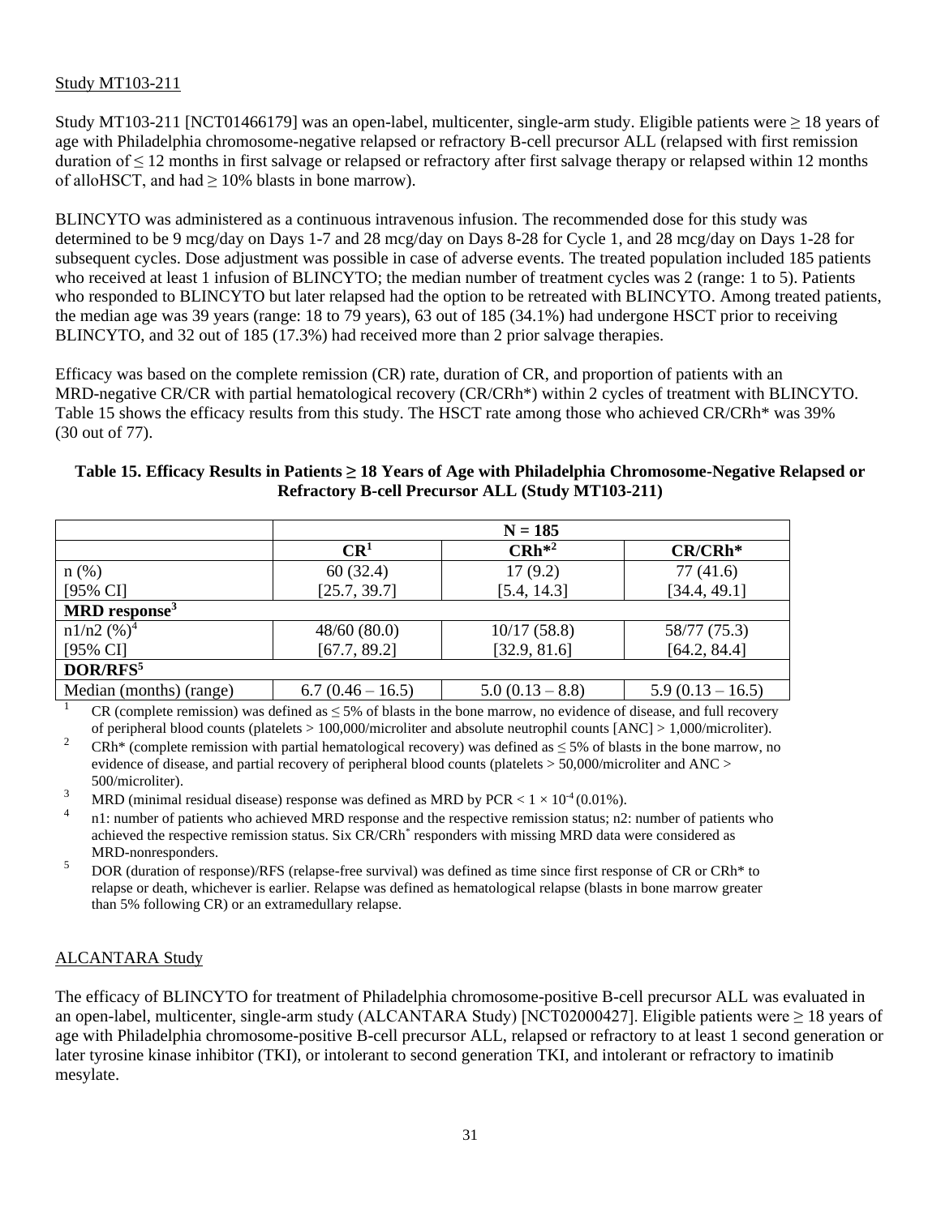## Study MT103-211

Study MT103-211 [NCT01466179] was an open-label, multicenter, single-arm study. Eligible patients were  $\geq 18$  years of age with Philadelphia chromosome-negative relapsed or refractory B-cell precursor ALL (relapsed with first remission duration of  $\leq$  12 months in first salvage or relapsed or refractory after first salvage therapy or relapsed within 12 months of alloHSCT, and had  $\geq 10\%$  blasts in bone marrow).

BLINCYTO was administered as a continuous intravenous infusion. The recommended dose for this study was determined to be 9 mcg/day on Days 1-7 and 28 mcg/day on Days 8-28 for Cycle 1, and 28 mcg/day on Days 1-28 for subsequent cycles. Dose adjustment was possible in case of adverse events. The treated population included 185 patients who received at least 1 infusion of BLINCYTO; the median number of treatment cycles was 2 (range: 1 to 5). Patients who responded to BLINCYTO but later relapsed had the option to be retreated with BLINCYTO. Among treated patients, the median age was 39 years (range: 18 to 79 years), 63 out of 185 (34.1%) had undergone HSCT prior to receiving BLINCYTO, and 32 out of 185 (17.3%) had received more than 2 prior salvage therapies.

Efficacy was based on the complete remission (CR) rate, duration of CR, and proportion of patients with an MRD-negative CR/CR with partial hematological recovery (CR/CRh\*) within 2 cycles of treatment with BLINCYTO. Table 15 shows the efficacy results from this study. The HSCT rate among those who achieved CR/CRh\* was 39% (30 out of 77).

|                                                          | Table 15. Efficacy Results in Patients ≥ 18 Years of Age with Philadelphia Chromosome-Negative Relapsed or |
|----------------------------------------------------------|------------------------------------------------------------------------------------------------------------|
| <b>Refractory B-cell Precursor ALL (Study MT103-211)</b> |                                                                                                            |

|                             | $N = 185$        |                 |                  |
|-----------------------------|------------------|-----------------|------------------|
|                             | CR <sup>1</sup>  | $CRh^{*2}$      | $CR/CRh*$        |
| $n$ (%)                     | 60(32.4)         | 17(9.2)         | 77(41.6)         |
| $[95\% \text{ CI}]$         | [25.7, 39.7]     | [5.4, 14.3]     | [34.4, 49.1]     |
| $MRD$ response <sup>3</sup> |                  |                 |                  |
| $n1/n2$ (%) <sup>4</sup>    | 48/60(80.0)      | 10/17(58.8)     | 58/77 (75.3)     |
| $[95\% \text{ CI}]$         | [67.7, 89.2]     | [32.9, 81.6]    | [64.2, 84.4]     |
| DOR/RFS <sup>5</sup>        |                  |                 |                  |
| Median (months) (range)     | $6.7(0.46-16.5)$ | $5.0(0.13-8.8)$ | $5.9(0.13-16.5)$ |

<sup>1</sup> CR (complete remission) was defined as  $\leq$  5% of blasts in the bone marrow, no evidence of disease, and full recovery of peripheral blood counts (platelets > 100,000/microliter and absolute neutrophil counts [ANC] > 1,000/microliter).

<sup>2</sup> CRh<sup>\*</sup> (complete remission with partial hematological recovery) was defined as  $\leq$  5% of blasts in the bone marrow, no evidence of disease, and partial recovery of peripheral blood counts (platelets > 50,000/microliter and ANC > 500/microliter).

<sup>3</sup> MRD (minimal residual disease) response was defined as MRD by PCR <  $1 \times 10^4$  (0.01%).

4 n1: number of patients who achieved MRD response and the respective remission status; n2: number of patients who achieved the respective remission status. Six CR/CRh<sup>\*</sup> responders with missing MRD data were considered as MRD-nonresponders.

<sup>5</sup> DOR (duration of response)/RFS (relapse-free survival) was defined as time since first response of CR or CRh\* to relapse or death, whichever is earlier. Relapse was defined as hematological relapse (blasts in bone marrow greater than 5% following CR) or an extramedullary relapse.

#### ALCANTARA Study

The efficacy of BLINCYTO for treatment of Philadelphia chromosome-positive B-cell precursor ALL was evaluated in an open-label, multicenter, single-arm study (ALCANTARA Study) [NCT02000427]. Eligible patients were ≥ 18 years of age with Philadelphia chromosome-positive B-cell precursor ALL, relapsed or refractory to at least 1 second generation or later tyrosine kinase inhibitor (TKI), or intolerant to second generation TKI, and intolerant or refractory to imatinib mesylate.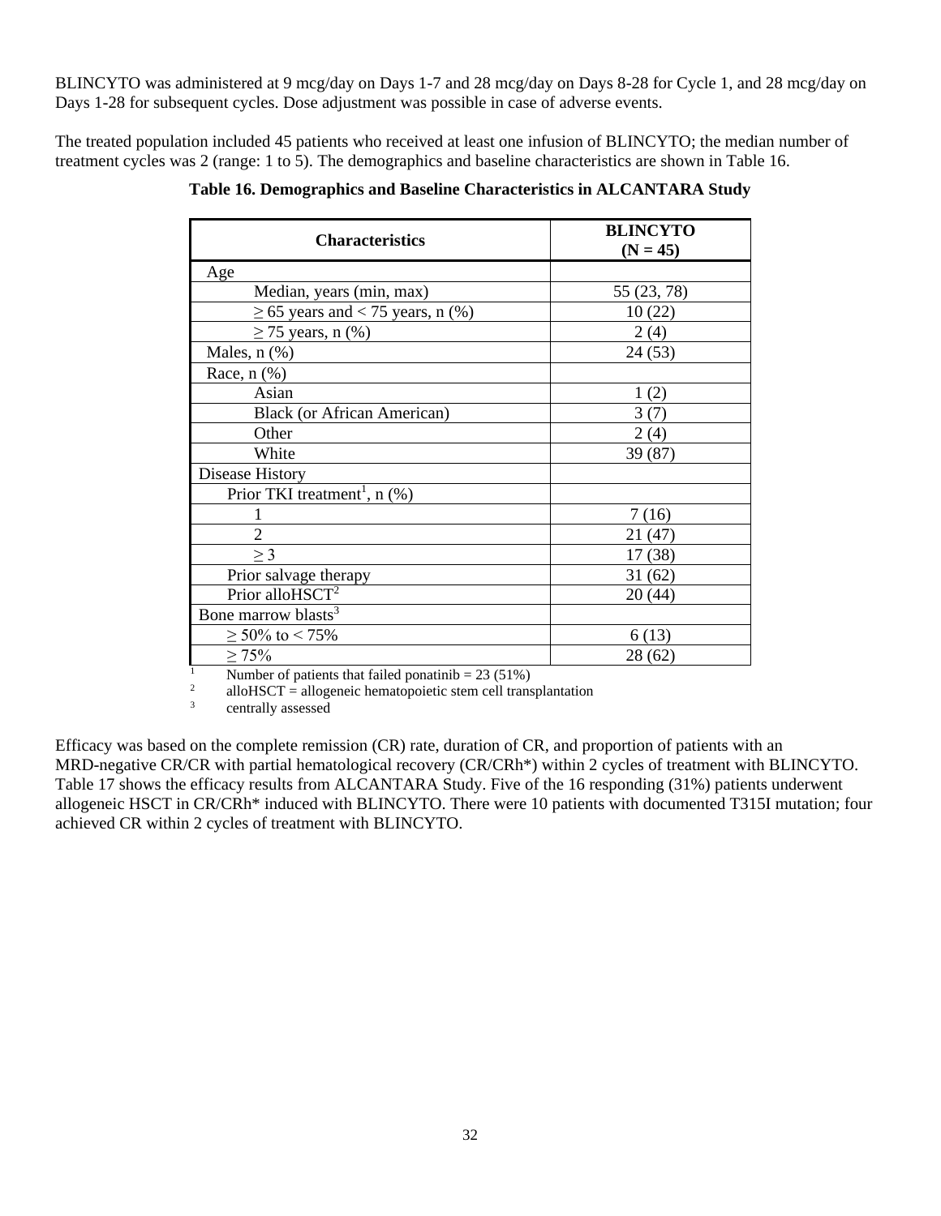BLINCYTO was administered at 9 mcg/day on Days 1-7 and 28 mcg/day on Days 8-28 for Cycle 1, and 28 mcg/day on Days 1-28 for subsequent cycles. Dose adjustment was possible in case of adverse events.

The treated population included 45 patients who received at least one infusion of BLINCYTO; the median number of treatment cycles was 2 (range: 1 to 5). The demographics and baseline characteristics are shown in Table 16.

| <b>Characteristics</b>                     | <b>BLINCYTO</b><br>$(N = 45)$ |  |
|--------------------------------------------|-------------------------------|--|
| Age                                        |                               |  |
| Median, years (min, max)                   | 55 (23, 78)                   |  |
| $\geq$ 65 years and < 75 years, n (%)      | 10(22)                        |  |
| $\geq$ 75 years, n (%)                     | 2(4)                          |  |
| Males, $n$ $(\%)$                          | 24(53)                        |  |
| Race, $n$ $(\%)$                           |                               |  |
| Asian                                      | 1(2)                          |  |
| <b>Black</b> (or African American)         | 3(7)                          |  |
| Other                                      | 2(4)                          |  |
| White                                      | 39 (87)                       |  |
| Disease History                            |                               |  |
| Prior TKI treatment <sup>1</sup> , $n$ (%) |                               |  |
|                                            | 7(16)                         |  |
| $\overline{2}$                             | 21 (47)                       |  |
| $\geq$ 3                                   | 17 (38)                       |  |
| Prior salvage therapy                      | 31(62)                        |  |
| Prior alloHSCT <sup>2</sup>                | 20(44)                        |  |
| Bone marrow blasts <sup>3</sup>            |                               |  |
| $\geq 50\%$ to < 75%                       | 6(13)                         |  |
| $\geq 75\%$                                | 28(62)                        |  |

**Table 16. Demographics and Baseline Characteristics in ALCANTARA Study**

<sup>1</sup> Number of patients that failed ponatinib =  $23(51\%)$ 

2 alloHSCT = allogeneic hematopoietic stem cell transplantation

<sup>3</sup> centrally assessed

Efficacy was based on the complete remission (CR) rate, duration of CR, and proportion of patients with an MRD-negative CR/CR with partial hematological recovery (CR/CRh\*) within 2 cycles of treatment with BLINCYTO. Table 17 shows the efficacy results from ALCANTARA Study. Five of the 16 responding (31%) patients underwent allogeneic HSCT in CR/CRh\* induced with BLINCYTO. There were 10 patients with documented T315I mutation; four achieved CR within 2 cycles of treatment with BLINCYTO.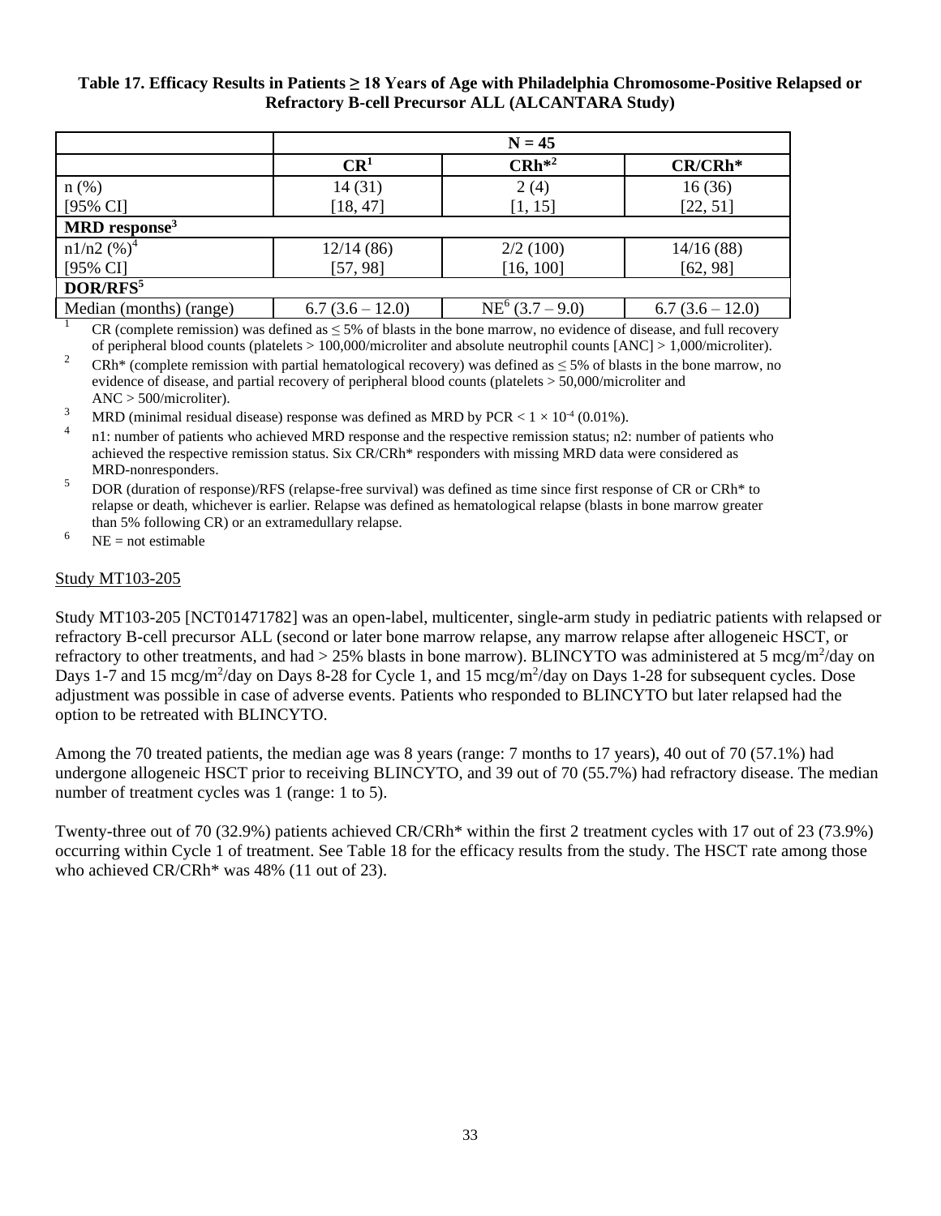#### **Table 17. Efficacy Results in Patients ≥ 18 Years of Age with Philadelphia Chromosome-Positive Relapsed or Refractory B-cell Precursor ALL (ALCANTARA Study)**

|                             | $N = 45$        |                    |                 |
|-----------------------------|-----------------|--------------------|-----------------|
|                             | CR <sup>1</sup> | $CRh^{*2}$         | CR/CRh*         |
| $n$ (%)                     | 14(31)          | 2(4)               | 16(36)          |
| $[95\% \text{ CI}]$         | [18, 47]        | [1, 15]            | [22, 51]        |
| $MRD$ response <sup>3</sup> |                 |                    |                 |
| $n1/n2$ (%) <sup>4</sup>    | 12/14(86)       | 2/2(100)           | 14/16(88)       |
| $[95\% \text{ CI}]$         | [57, 98]        | [16, 100]          | [62, 98]        |
| DOR/RFS <sup>5</sup>        |                 |                    |                 |
| Median (months) (range)     | $6.7(3.6-12.0)$ | $NE^6$ (3.7 – 9.0) | $6.7(3.6-12.0)$ |

<sup>1</sup> CR (complete remission) was defined as  $\leq$  5% of blasts in the bone marrow, no evidence of disease, and full recovery of peripheral blood counts (platelets > 100,000/microliter and absolute neutrophil counts [ANC] > 1,000/microliter).

<sup>2</sup> CRh<sup>\*</sup> (complete remission with partial hematological recovery) was defined as  $\leq$  5% of blasts in the bone marrow, no evidence of disease, and partial recovery of peripheral blood counts (platelets > 50,000/microliter and ANC > 500/microliter).

<sup>3</sup> MRD (minimal residual disease) response was defined as MRD by PCR  $< 1 \times 10^{4}$  (0.01%).

4 n1: number of patients who achieved MRD response and the respective remission status; n2: number of patients who achieved the respective remission status. Six CR/CRh\* responders with missing MRD data were considered as MRD-nonresponders.

<sup>5</sup> DOR (duration of response)/RFS (relapse-free survival) was defined as time since first response of CR or CRh<sup>\*</sup> to relapse or death, whichever is earlier. Relapse was defined as hematological relapse (blasts in bone marrow greater than 5% following CR) or an extramedullary relapse.

 $^{6}$  NE = not estimable

#### Study MT103-205

Study MT103-205 [NCT01471782] was an open-label, multicenter, single-arm study in pediatric patients with relapsed or refractory B-cell precursor ALL (second or later bone marrow relapse, any marrow relapse after allogeneic HSCT, or refractory to other treatments, and had  $> 25\%$  blasts in bone marrow). BLINCYTO was administered at 5 mcg/m<sup>2</sup>/day on Days 1-7 and 15 mcg/m<sup>2</sup>/day on Days 8-28 for Cycle 1, and 15 mcg/m<sup>2</sup>/day on Days 1-28 for subsequent cycles. Dose adjustment was possible in case of adverse events. Patients who responded to BLINCYTO but later relapsed had the option to be retreated with BLINCYTO.

Among the 70 treated patients, the median age was 8 years (range: 7 months to 17 years), 40 out of 70 (57.1%) had undergone allogeneic HSCT prior to receiving BLINCYTO, and 39 out of 70 (55.7%) had refractory disease. The median number of treatment cycles was 1 (range: 1 to 5).

Twenty-three out of 70 (32.9%) patients achieved CR/CRh\* within the first 2 treatment cycles with 17 out of 23 (73.9%) occurring within Cycle 1 of treatment. See Table 18 for the efficacy results from the study. The HSCT rate among those who achieved CR/CRh\* was 48% (11 out of 23).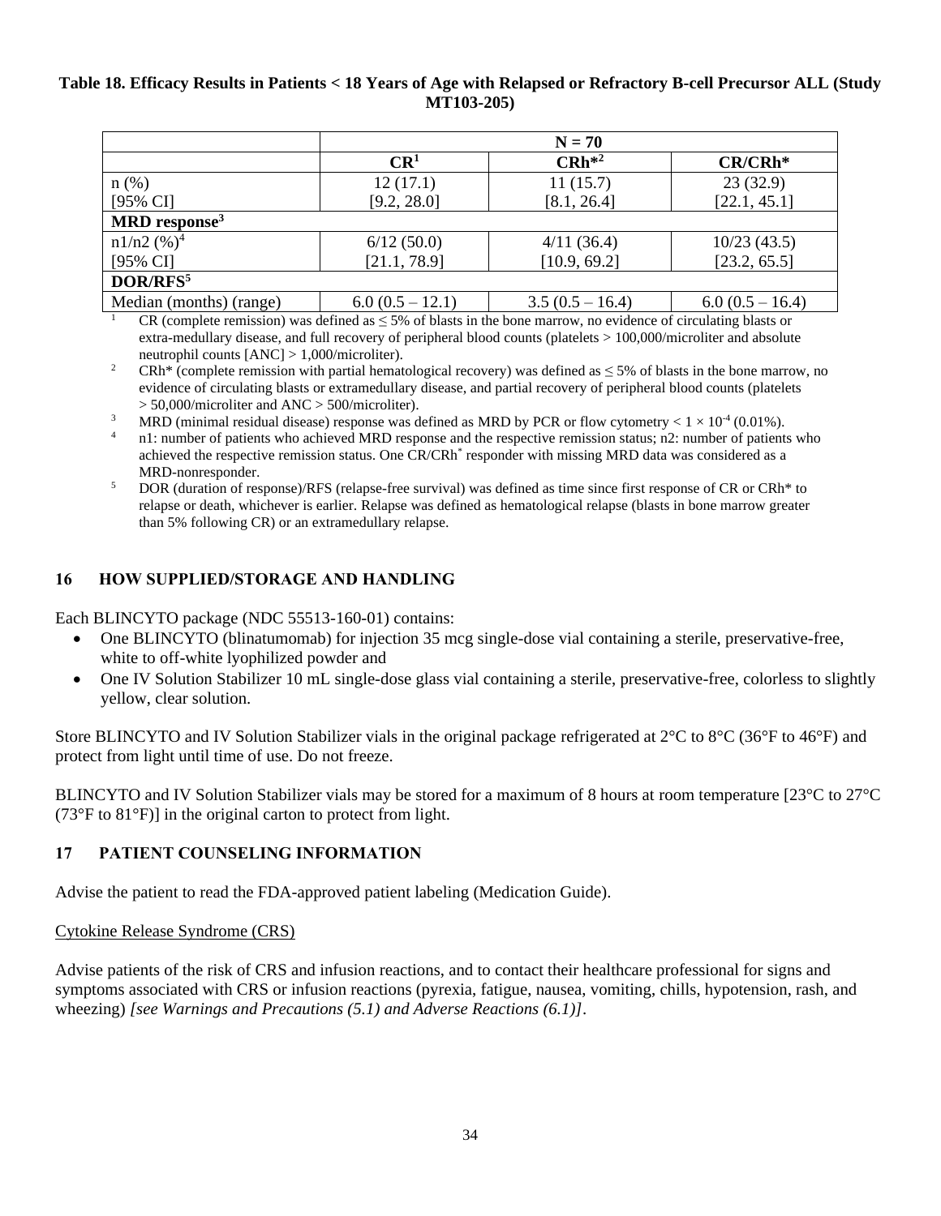#### **Table 18. Efficacy Results in Patients < 18 Years of Age with Relapsed or Refractory B-cell Precursor ALL (Study MT103-205)**

|                             | $N = 70$          |                   |                   |
|-----------------------------|-------------------|-------------------|-------------------|
|                             | CR <sup>1</sup>   | $CRh^{*2}$        | $CR/CRh*$         |
| $n(\%)$                     | 12(17.1)          | 11(15.7)          | 23(32.9)          |
| $[95\% \text{ CI}]$         | [9.2, 28.0]       | [8.1, 26.4]       | [22.1, 45.1]      |
| $MRD$ response <sup>3</sup> |                   |                   |                   |
| $n1/n2$ (%) <sup>4</sup>    | 6/12(50.0)        | 4/11(36.4)        | 10/23(43.5)       |
| $[95\% \text{ CI}]$         | [21.1, 78.9]      | [10.9, 69.2]      | [23.2, 65.5]      |
| DOR/RFS <sup>5</sup>        |                   |                   |                   |
| Median (months) (range)     | $6.0(0.5 - 12.1)$ | $3.5(0.5 - 16.4)$ | $6.0(0.5 - 16.4)$ |

CR (complete remission) was defined as  $\leq$  5% of blasts in the bone marrow, no evidence of circulating blasts or extra-medullary disease, and full recovery of peripheral blood counts (platelets > 100,000/microliter and absolute neutrophil counts [ANC] > 1,000/microliter).

<sup>2</sup> CRh<sup>\*</sup> (complete remission with partial hematological recovery) was defined as  $\leq$  5% of blasts in the bone marrow, no evidence of circulating blasts or extramedullary disease, and partial recovery of peripheral blood counts (platelets > 50,000/microliter and ANC > 500/microliter).

- <sup>3</sup> MRD (minimal residual disease) response was defined as MRD by PCR or flow cytometry <  $1 \times 10^{-4}$  (0.01%).
- n1: number of patients who achieved MRD response and the respective remission status; n2: number of patients who achieved the respective remission status. One CR/CRh<sup>\*</sup> responder with missing MRD data was considered as a MRD-nonresponder.
- <sup>5</sup> DOR (duration of response)/RFS (relapse-free survival) was defined as time since first response of CR or CRh<sup>\*</sup> to relapse or death, whichever is earlier. Relapse was defined as hematological relapse (blasts in bone marrow greater than 5% following CR) or an extramedullary relapse.

# **16 HOW SUPPLIED/STORAGE AND HANDLING**

Each BLINCYTO package (NDC 55513-160-01) contains:

- One BLINCYTO (blinatumomab) for injection 35 mcg single-dose vial containing a sterile, preservative-free, white to off-white lyophilized powder and
- One IV Solution Stabilizer 10 mL single-dose glass vial containing a sterile, preservative-free, colorless to slightly yellow, clear solution.

Store BLINCYTO and IV Solution Stabilizer vials in the original package refrigerated at 2°C to 8°C (36°F to 46°F) and protect from light until time of use. Do not freeze.

BLINCYTO and IV Solution Stabilizer vials may be stored for a maximum of 8 hours at room temperature [23°C to 27°C (73°F to 81°F)] in the original carton to protect from light.

# **17 PATIENT COUNSELING INFORMATION**

Advise the patient to read the FDA-approved patient labeling (Medication Guide).

#### Cytokine Release Syndrome (CRS)

Advise patients of the risk of CRS and infusion reactions, and to contact their healthcare professional for signs and symptoms associated with CRS or infusion reactions (pyrexia, fatigue, nausea, vomiting, chills, hypotension, rash, and wheezing) *[see Warnings and Precautions (5.1) and Adverse Reactions (6.1)]*.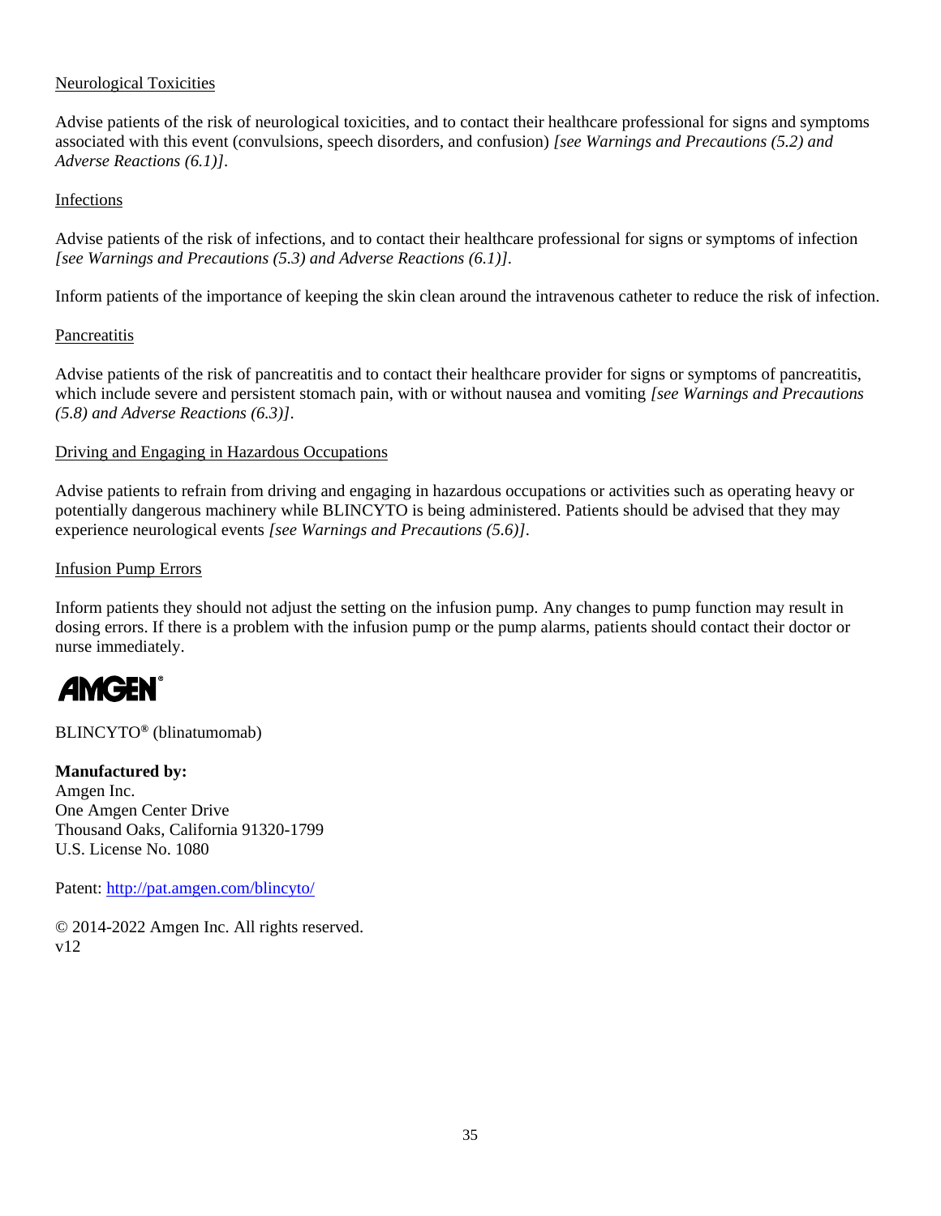## Neurological Toxicities

Advise patients of the risk of neurological toxicities, and to contact their healthcare professional for signs and symptoms associated with this event (convulsions, speech disorders, and confusion) *[see Warnings and Precautions (5.2) and Adverse Reactions (6.1)]*.

#### Infections

Advise patients of the risk of infections, and to contact their healthcare professional for signs or symptoms of infection *[see Warnings and Precautions (5.3) and Adverse Reactions (6.1)]*.

Inform patients of the importance of keeping the skin clean around the intravenous catheter to reduce the risk of infection.

## **Pancreatitis**

Advise patients of the risk of pancreatitis and to contact their healthcare provider for signs or symptoms of pancreatitis, which include severe and persistent stomach pain, with or without nausea and vomiting *[see Warnings and Precautions (5.8) and Adverse Reactions (6.3)]*.

## Driving and Engaging in Hazardous Occupations

Advise patients to refrain from driving and engaging in hazardous occupations or activities such as operating heavy or potentially dangerous machinery while BLINCYTO is being administered. Patients should be advised that they may experience neurological events *[see Warnings and Precautions (5.6)]*.

#### Infusion Pump Errors

Inform patients they should not adjust the setting on the infusion pump. Any changes to pump function may result in dosing errors. If there is a problem with the infusion pump or the pump alarms, patients should contact their doctor or nurse immediately.

# **AMGEN**

BLINCYTO**®** (blinatumomab)

# **Manufactured by:**

Amgen Inc. One Amgen Center Drive Thousand Oaks, California 91320-1799 U.S. License No. 1080

Patent:<http://pat.amgen.com/blincyto/>

© 2014-2022 Amgen Inc. All rights reserved. v12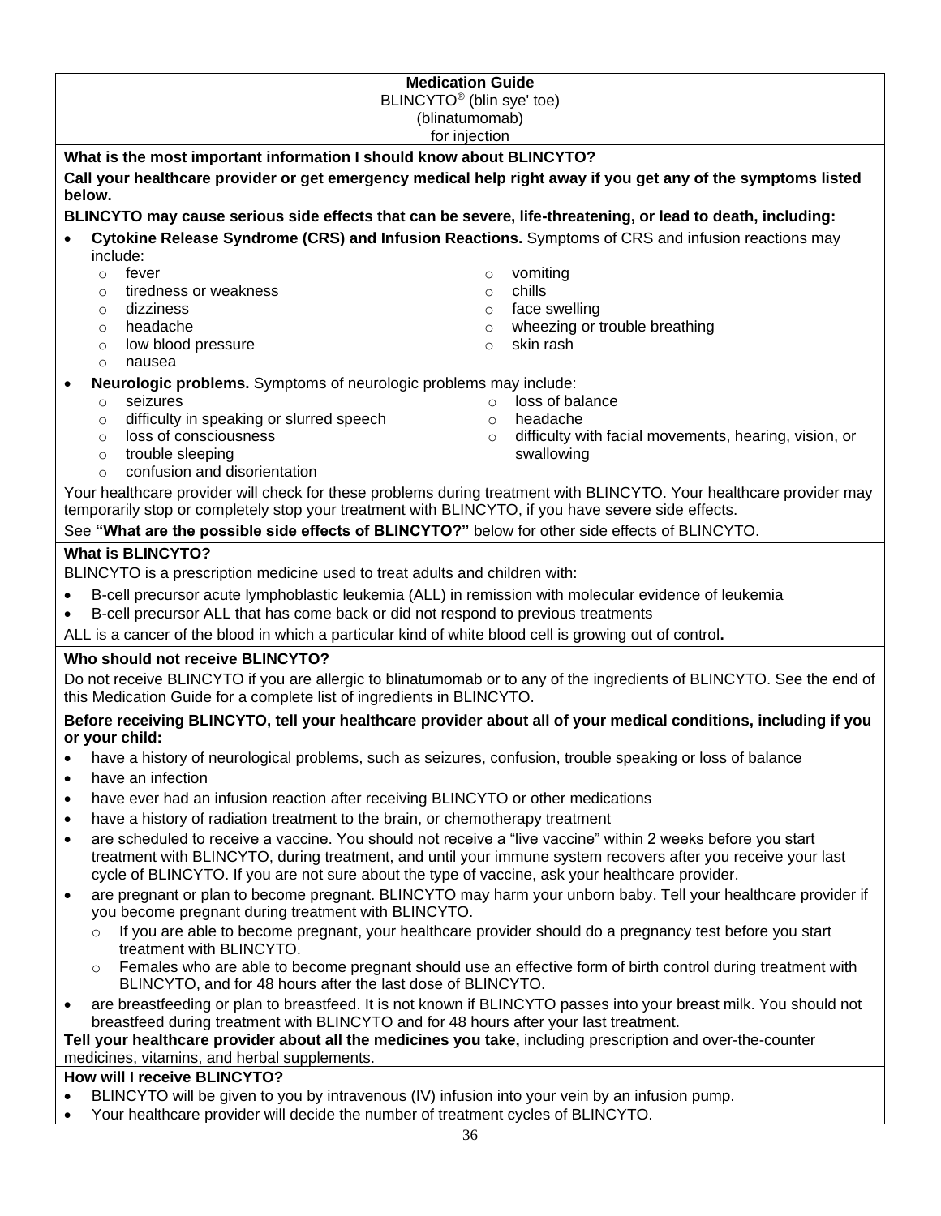| <b>Medication Guide</b>                                                                                                                                                                                         |                                                                                                                      |  |  |  |
|-----------------------------------------------------------------------------------------------------------------------------------------------------------------------------------------------------------------|----------------------------------------------------------------------------------------------------------------------|--|--|--|
| BLINCYTO <sup>®</sup> (blin sye' toe)<br>(blinatumomab)                                                                                                                                                         |                                                                                                                      |  |  |  |
| for injection                                                                                                                                                                                                   |                                                                                                                      |  |  |  |
| What is the most important information I should know about BLINCYTO?                                                                                                                                            |                                                                                                                      |  |  |  |
| below.                                                                                                                                                                                                          | Call your healthcare provider or get emergency medical help right away if you get any of the symptoms listed         |  |  |  |
| BLINCYTO may cause serious side effects that can be severe, life-threatening, or lead to death, including:                                                                                                      |                                                                                                                      |  |  |  |
| include:                                                                                                                                                                                                        | Cytokine Release Syndrome (CRS) and Infusion Reactions. Symptoms of CRS and infusion reactions may                   |  |  |  |
| fever<br>$\circ$                                                                                                                                                                                                | vomiting<br>$\circ$                                                                                                  |  |  |  |
| tiredness or weakness<br>$\circ$                                                                                                                                                                                | chills<br>$\circ$                                                                                                    |  |  |  |
| dizziness<br>$\circ$                                                                                                                                                                                            | face swelling<br>$\circ$                                                                                             |  |  |  |
| headache<br>$\circ$                                                                                                                                                                                             | wheezing or trouble breathing<br>$\circ$                                                                             |  |  |  |
| low blood pressure<br>$\circ$<br>nausea<br>$\circ$                                                                                                                                                              | skin rash<br>$\circ$                                                                                                 |  |  |  |
| Neurologic problems. Symptoms of neurologic problems may include:                                                                                                                                               |                                                                                                                      |  |  |  |
| seizures<br>$\circ$                                                                                                                                                                                             | loss of balance<br>$\circ$                                                                                           |  |  |  |
| difficulty in speaking or slurred speech<br>$\circ$                                                                                                                                                             | headache<br>$\circ$                                                                                                  |  |  |  |
| loss of consciousness<br>$\circ$                                                                                                                                                                                | difficulty with facial movements, hearing, vision, or<br>$\circ$                                                     |  |  |  |
| trouble sleeping<br>$\circ$                                                                                                                                                                                     | swallowing                                                                                                           |  |  |  |
| confusion and disorientation<br>$\Omega$                                                                                                                                                                        |                                                                                                                      |  |  |  |
| temporarily stop or completely stop your treatment with BLINCYTO, if you have severe side effects.                                                                                                              | Your healthcare provider will check for these problems during treatment with BLINCYTO. Your healthcare provider may  |  |  |  |
| See "What are the possible side effects of BLINCYTO?" below for other side effects of BLINCYTO.                                                                                                                 |                                                                                                                      |  |  |  |
|                                                                                                                                                                                                                 |                                                                                                                      |  |  |  |
| <b>What is BLINCYTO?</b><br>BLINCYTO is a prescription medicine used to treat adults and children with:                                                                                                         |                                                                                                                      |  |  |  |
|                                                                                                                                                                                                                 |                                                                                                                      |  |  |  |
| B-cell precursor acute lymphoblastic leukemia (ALL) in remission with molecular evidence of leukemia<br>B-cell precursor ALL that has come back or did not respond to previous treatments                       |                                                                                                                      |  |  |  |
| ALL is a cancer of the blood in which a particular kind of white blood cell is growing out of control.                                                                                                          |                                                                                                                      |  |  |  |
| Who should not receive BLINCYTO?                                                                                                                                                                                |                                                                                                                      |  |  |  |
|                                                                                                                                                                                                                 | Do not receive BLINCYTO if you are allergic to blinatumomab or to any of the ingredients of BLINCYTO. See the end of |  |  |  |
| this Medication Guide for a complete list of ingredients in BLINCYTO.                                                                                                                                           |                                                                                                                      |  |  |  |
| or your child:                                                                                                                                                                                                  | Before receiving BLINCYTO, tell your healthcare provider about all of your medical conditions, including if you      |  |  |  |
| have a history of neurological problems, such as seizures, confusion, trouble speaking or loss of balance<br>$\bullet$                                                                                          |                                                                                                                      |  |  |  |
| have an infection<br>$\bullet$                                                                                                                                                                                  |                                                                                                                      |  |  |  |
| have ever had an infusion reaction after receiving BLINCYTO or other medications<br>$\bullet$                                                                                                                   |                                                                                                                      |  |  |  |
| have a history of radiation treatment to the brain, or chemotherapy treatment<br>٠                                                                                                                              |                                                                                                                      |  |  |  |
| are scheduled to receive a vaccine. You should not receive a "live vaccine" within 2 weeks before you start<br>$\bullet$                                                                                        |                                                                                                                      |  |  |  |
| treatment with BLINCYTO, during treatment, and until your immune system recovers after you receive your last<br>cycle of BLINCYTO. If you are not sure about the type of vaccine, ask your healthcare provider. |                                                                                                                      |  |  |  |
| are pregnant or plan to become pregnant. BLINCYTO may harm your unborn baby. Tell your healthcare provider if                                                                                                   |                                                                                                                      |  |  |  |
| you become pregnant during treatment with BLINCYTO.                                                                                                                                                             |                                                                                                                      |  |  |  |
| If you are able to become pregnant, your healthcare provider should do a pregnancy test before you start<br>$\circ$<br>treatment with BLINCYTO.                                                                 |                                                                                                                      |  |  |  |
| Females who are able to become pregnant should use an effective form of birth control during treatment with<br>$\circ$<br>BLINCYTO, and for 48 hours after the last dose of BLINCYTO.                           |                                                                                                                      |  |  |  |
| are breastfeeding or plan to breastfeed. It is not known if BLINCYTO passes into your breast milk. You should not<br>٠                                                                                          |                                                                                                                      |  |  |  |
| breastfeed during treatment with BLINCYTO and for 48 hours after your last treatment.<br>Tell your healthcare provider about all the medicines you take, including prescription and over-the-counter            |                                                                                                                      |  |  |  |
| medicines, vitamins, and herbal supplements.                                                                                                                                                                    |                                                                                                                      |  |  |  |

# **How will I receive BLINCYTO?**

- BLINCYTO will be given to you by intravenous (IV) infusion into your vein by an infusion pump.
- Your healthcare provider will decide the number of treatment cycles of BLINCYTO.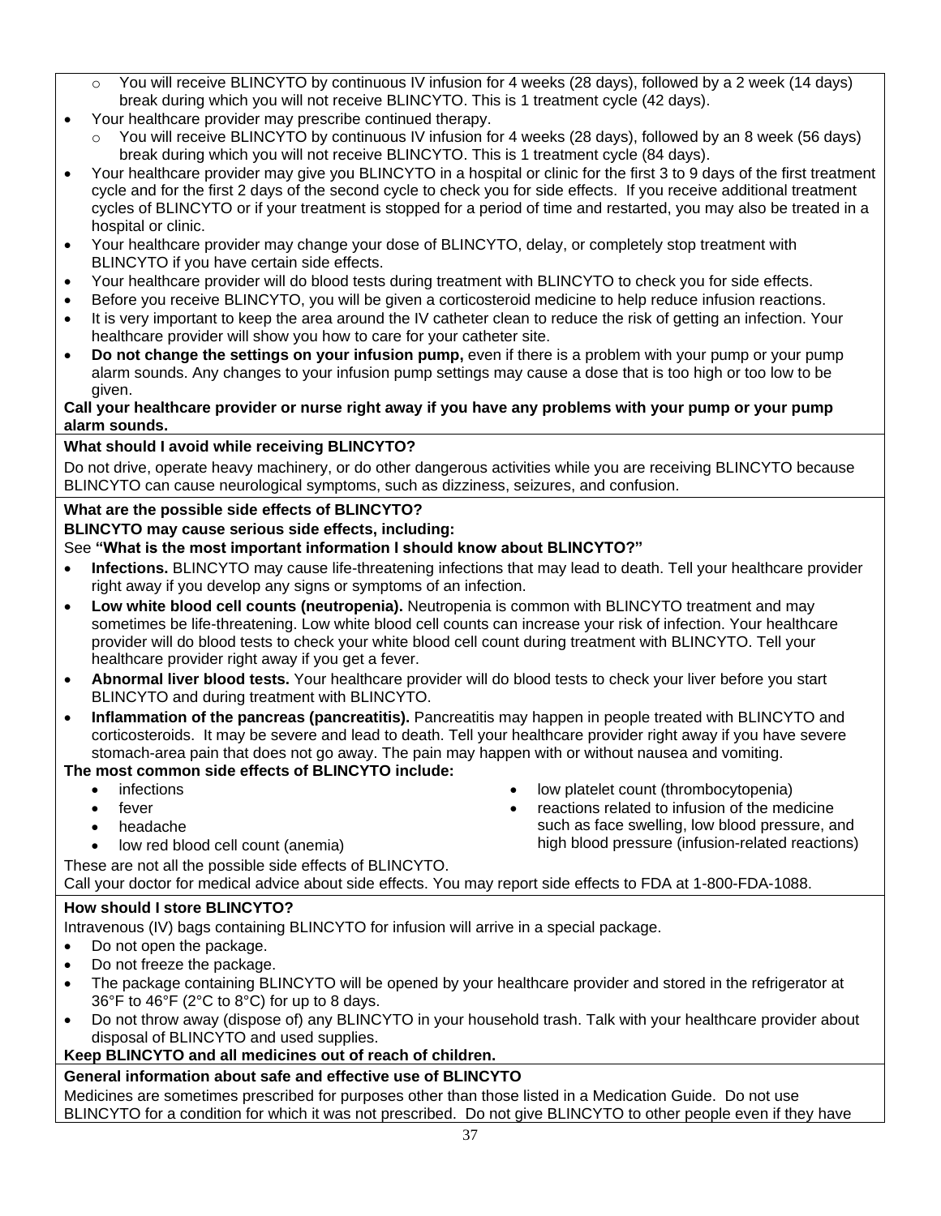- $\circ$  You will receive BLINCYTO by continuous IV infusion for 4 weeks (28 days), followed by a 2 week (14 days) break during which you will not receive BLINCYTO. This is 1 treatment cycle (42 days).
- Your healthcare provider may prescribe continued therapy.
	- o You will receive BLINCYTO by continuous IV infusion for 4 weeks (28 days), followed by an 8 week (56 days) break during which you will not receive BLINCYTO. This is 1 treatment cycle (84 days).
- Your healthcare provider may give you BLINCYTO in a hospital or clinic for the first 3 to 9 days of the first treatment cycle and for the first 2 days of the second cycle to check you for side effects. If you receive additional treatment cycles of BLINCYTO or if your treatment is stopped for a period of time and restarted, you may also be treated in a hospital or clinic.
- Your healthcare provider may change your dose of BLINCYTO, delay, or completely stop treatment with BLINCYTO if you have certain side effects.
- Your healthcare provider will do blood tests during treatment with BLINCYTO to check you for side effects.
- Before you receive BLINCYTO, you will be given a corticosteroid medicine to help reduce infusion reactions.
- It is very important to keep the area around the IV catheter clean to reduce the risk of getting an infection. Your healthcare provider will show you how to care for your catheter site.
- **Do not change the settings on your infusion pump,** even if there is a problem with your pump or your pump alarm sounds. Any changes to your infusion pump settings may cause a dose that is too high or too low to be given.

#### **Call your healthcare provider or nurse right away if you have any problems with your pump or your pump alarm sounds.**

# **What should I avoid while receiving BLINCYTO?**

Do not drive, operate heavy machinery, or do other dangerous activities while you are receiving BLINCYTO because BLINCYTO can cause neurological symptoms, such as dizziness, seizures, and confusion.

## **What are the possible side effects of BLINCYTO?**

**BLINCYTO may cause serious side effects, including:** 

## See **"What is the most important information I should know about BLINCYTO?"**

- **Infections.** BLINCYTO may cause life-threatening infections that may lead to death. Tell your healthcare provider right away if you develop any signs or symptoms of an infection.
- **Low white blood cell counts (neutropenia).** Neutropenia is common with BLINCYTO treatment and may sometimes be life-threatening. Low white blood cell counts can increase your risk of infection. Your healthcare provider will do blood tests to check your white blood cell count during treatment with BLINCYTO. Tell your healthcare provider right away if you get a fever.
- **Abnormal liver blood tests.** Your healthcare provider will do blood tests to check your liver before you start BLINCYTO and during treatment with BLINCYTO.
- **Inflammation of the pancreas (pancreatitis).** Pancreatitis may happen in people treated with BLINCYTO and corticosteroids. It may be severe and lead to death. Tell your healthcare provider right away if you have severe stomach-area pain that does not go away. The pain may happen with or without nausea and vomiting.

# **The most common side effects of BLINCYTO include:**

- infections
- fever
- headache
- low red blood cell count (anemia)
- low platelet count (thrombocytopenia) • reactions related to infusion of the medicine
- such as face swelling, low blood pressure, and high blood pressure (infusion-related reactions)

These are not all the possible side effects of BLINCYTO.

# Call your doctor for medical advice about side effects. You may report side effects to FDA at 1-800-FDA-1088.

# **How should I store BLINCYTO?**

Intravenous (IV) bags containing BLINCYTO for infusion will arrive in a special package.

- Do not open the package.
- Do not freeze the package.
- The package containing BLINCYTO will be opened by your healthcare provider and stored in the refrigerator at 36°F to 46°F (2°C to 8°C) for up to 8 days.
- Do not throw away (dispose of) any BLINCYTO in your household trash. Talk with your healthcare provider about disposal of BLINCYTO and used supplies.

# **Keep BLINCYTO and all medicines out of reach of children.**

# **General information about safe and effective use of BLINCYTO**

Medicines are sometimes prescribed for purposes other than those listed in a Medication Guide. Do not use BLINCYTO for a condition for which it was not prescribed. Do not give BLINCYTO to other people even if they have